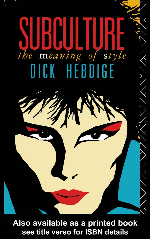# W the meaning of style DICK HEBDIGE

ヽヽノ〈

Also available as a printed book see title verso for ISBN details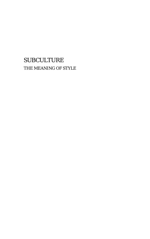## SUBCULTURE THE MEANING OF STYLE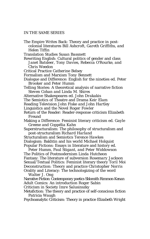#### IN THE SAME SERIES

- The Empire Writes Back: Theory and practice in postcolonial literatures *Bill Ashcroft, Gareth Griffiths, and Helen Tiffin*
- Translation Studies *Susan Bassnett*
- Rewriting English: Cultural politics of gender and class *Janet Batsleer, Tony Davies, Rebecca O'Rourke, and Chris Weedon*
- Critical Practice *Catherine Belsey*
- Formalism and Marxism *Tony Bennett*
- Dialogue and Difference: English for the nineties ed. *Peter Brooker and Peter Humm*
- Telling Stories: A theoretical analysis of narrative fiction *Steven Cohan and Linda M. Shires*
- Alternative Shakespeares ed. *John Drakakis*
- The Semiotics of Theatre and Drama *Keir Elam*
- Reading Television *John Fiske and John Hartley*
- Linguistics and the Novel *Roger Fowler*
- Return of the Reader: Reader-response criticism *Elizabeth Freund*
- Making a Difference: Feminist literary criticism ed. *Gayle Greene and Coppélia Kahn*
- Superstructuralism: The philosophy of structuralism and post-structuralism *Richard Harland*
- Structuralism and Semiotics *Terence Hawkes*

Dialogism: Bakhtin and his world *Michael Holquist*

- Popular Fictions: Essays in literature and history ed.
- *Peter Humm, Paul Stigant, and Peter Widdowson* The Politics of Postmodernism *Linda Hutcheon*
- Fantasy: The literature of subversion *Rosemary Jackson*
- Sexual/Textual Politics: Feminist literary theory *Toril Moi*
- Deconstruction: Theory and practice *Christopher Norris* Orality and Literacy: The technologizing of the word
- *Walter J. Ong*
- Narrative Fiction: Contemporary poetics *Shlomith Rimmon-Kenan* Adult Comics: An introduction *Roger Sabin*
- Criticism in Society *Imre Salusinszky*
- Metafiction: The theory and practice of self-conscious fiction *Patricia Waugh*
- Psychoanalytic Criticism: Theory in practice *Elizabeth Wright*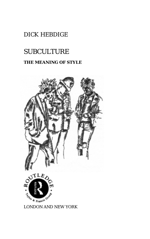## DICK HEBDIGE

# **SUBCULTURE THE MEANING OF STYLE**



LONDON AND NEW YORK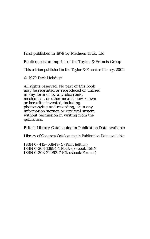## *First published in 1979 by Methuen & Co. Ltd*

*Routledge is an imprint of the Taylor & Francis Group*

This edition published in the Taylor & Francis e-Library, 2002.

*© 1979 Dick Hebdige*

*All rights reserved. No part of this book may be reprinted or reproduced or utilized in any form or by any electronic, mechanical, or other means, now known or hereafter invented, including photocopying and recording, or in any information storage or retrieval system, without permission in writing from the publishers.*

*British Library Cataloguing in Publication Data available*

*Library of Congress Cataloguing in Publication Data available*

ISBN 0–415–03949–5 (Print Edition) ISBN 0-203-13994-1 Master e-book ISBN ISBN 0-203-22092-7 (Glassbook Format)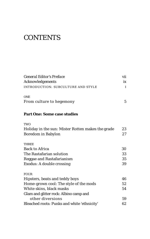## **CONTENTS**

| General Editor's Preface<br>Acknowledgements      |    |
|---------------------------------------------------|----|
|                                                   |    |
| <b>ONE</b>                                        |    |
| From culture to hegemony                          | 5  |
| <b>Part One: Some case studies</b>                |    |
| TWO                                               |    |
| Holiday in the sun: Mister Rotten makes the grade | 23 |
| Boredom in Babylon                                | 27 |
| <b>THREE</b>                                      |    |
| Back to Africa                                    | 30 |
| The Rastafarian solution                          | 33 |
| Reggae and Rastafarianism                         | 35 |
| Exodus: A double crossing                         | 39 |
| <b>FOUR</b>                                       |    |
| Hipsters, beats and teddy boys                    | 46 |
| Home-grown cool: The style of the mods            | 52 |
| White skins, black masks                          | 54 |
| Glam and glitter rock: Albino camp and            |    |
| other diversions                                  | 59 |
| Bleached roots: Punks and white 'ethnicity'       | 62 |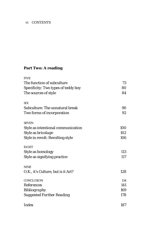## vi CONTENTS

## **Part Two: A reading**

| <b>FIVE</b>                         |     |
|-------------------------------------|-----|
| The function of subculture          | 73  |
| Specificity: Two types of teddy boy | 80  |
| The sources of style                | 84  |
| <b>SIX</b>                          |     |
| Subculture: The unnatural break     | 90  |
| Two forms of incorporation          | 92  |
| <b>SEVEN</b>                        |     |
| Style as intentional communication  | 100 |
| Style as bricolage                  | 102 |
| Style in revolt: Revolting style    | 106 |
| <b>EIGHT</b>                        |     |
| Style as homology                   | 113 |
| Style as signifying practice        | 117 |
| <b>NINE</b>                         |     |
| O.K., it's Culture, but is it Art?  | 128 |
| <b>CONCLUSION</b>                   | 134 |
| References                          | 141 |
| Bibliography                        | 169 |
| <b>Suggested Further Reading</b>    | 178 |
| <i>Index</i>                        | 187 |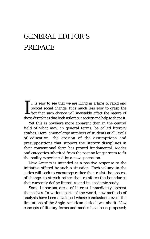# GENERAL EDITOR'S PREFACE

T is easy to see that we are living in a time of rapid and radical social change. It is much less easy to grasp the fact that such change will inevitably affect the nature of these disciplines that bath reflect curreceipty T is easy to see that we are living in a time of rapid and radical social change. It is much less easy to grasp the those disciplines that both reflect our society and help to shape it.

Yet this is nowhere more apparent than in the central field of what may, in general terms, be called literary studies. Here, among large numbers of students at all levels of education, the erosion of the assumptions and presuppositions that support the literary disciplines in their conventional form has proved fundamental. Modes and categories inherited from the past no longer seem to fit the reality experienced by a new generation.

*New Accents* is intended as a positive response to the initiative offered by such a situation. Each volume in the series will seek to encourage rather than resist the process of change, to stretch rather than reinforce the boundaries that currently define literature and its academic study.

Some important areas of interest immediately present themselves. In various parts of the world, new methods of analysis have been developed whose conclusions reveal the limitations of the Anglo-American outlook we inherit. New concepts of literary forms and modes have been proposed;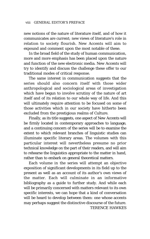new notions of the nature of literature itself, and of how it communicates are current; new views of literature's role in relation to society flourish. *New Accents* will aim to expound and comment upon the most notable of these.

In the broad field of the study of human communication, more and more emphasis has been placed upon the nature and function of the new electronic media. *New Accents* will try to identify and discuss the challenge these offer to our traditional modes of critical response.

The same interest in communication suggests that the series should also concern itself with those wider anthropological and sociological areas of investigation which have begun to involve scrutiny of the nature of art itself and of its relation to our whole way of life. And this will ultimately require attention to be focused on some of those activities which in our society have hitherto been excluded from the prestigious realms of Culture.

Finally, as its title suggests, one aspect of *New Accents* will be firmly located in contemporary approaches to language, and a continuing concern of the series will be to examine the extent to which relevant branches of linguistic studies can illuminate specific literary areas. The volumes with this particular interest will nevertheless presume no prior technical knowledge on the part of their readers, and will aim to rehearse the linguistics appropriate to the matter in hand, rather than to embark on general theoretical matters.

Each volume in the series will attempt an objective exposition of significant developments in its field up to the present as well as an account of its author's own views of the matter. Each will culminate in an informative bibliography as a guide to further study. And while each will be primarily concerned with matters relevant to its own specific interests, we can hope that a kind of conversation will be heard to develop between them: one whose accents may perhaps suggest the distinctive discourse of the future. TERENCE HAWKES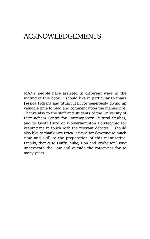## ACKNOWLEDGEMENTS

MANY people have assisted in different ways in the writing of this book. I should like in particular to thank Jessica Pickard and Stuart Hall for generously giving up valuable time to read and comment upon the manuscript. Thanks also to the staff and students of the University of Birmingham Centre for Contemporary Cultural Studies, and to Geoff Hurd of Wolverhampton Polytechnic for keeping me in touch with the relevant debates. I should also like to thank Mrs Erica Pickard for devoting so much time and skill to the preparation of this manuscript. Finally, thanks to Duffy, Mike, Don and Bridie for living underneath the Law and outside the categories for so many years.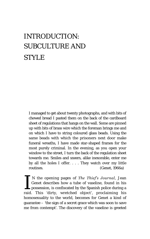# INTRODUCTION: SUBCULTURE AND STYLE

I managed to get about twenty photographs, and with bits of chewed bread I pasted them on the back of the cardboard sheet of regulations that hangs on the wall. Some are pinned up with bits of brass wire which the foreman brings me and on which I have to string coloured glass beads. Using the same beads with which the prisoners next door make funeral wreaths, I have made star-shaped frames for the most purely criminal. In the evening, as you open your window to the street, I turn the back of the regulation sheet towards me. Smiles and sneers, alike inexorable, enter me by all the holes I offer. . . . They watch over my little routines. (Genet, 1966a)

IN the opening pages of *The Thief's Journal*, Jean Genet describes how a tube of vaseline, found in his possession, is confiscated by the Spanish police during a raid. This 'dirty, wretched object', proclaiming his N the opening pages of *The Thief's Journal*, Jean Genet describes how a tube of vaseline, found in his possession, is confiscated by the Spanish police during a homosexuality to the world, becomes for Genet a kind of guarantee – 'the sign of a secret grace which was soon to save me from contempt'. The discovery of the vaseline is greeted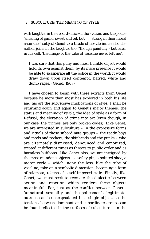#### 2 SUBCULTURE: THE MEANING OF STYLE

with laughter in the record-office of the station, and the police 'smelling of garlic, sweat and oil, but . . . strong in their moral assurance' subject Genet to a tirade of hostile innuendo. The author joins in the laughter too ('though painfully') but later, in his cell, 'the image of the tube of vaseline never left me'.

I was sure that this puny and most humble object would hold its own against them; by its mere presence it would be able to exasperate all the police in the world; it would draw down upon itself contempt, hatred, white and dumb rages. (Genet, 1967)

I have chosen to begin with these extracts from Genet because he more than most has explored in both his life and his art the subversive implications of style. I shall be returning again and again to Genet's major themes: the status and meaning of revolt, the idea of style as a form of Refusal, the elevation of crime into art (even though, in our case, the 'crimes' are only broken codes). Like Genet, we are interested in subculture – in the expressive forms and rituals of those subordinate groups – the teddy boys and mods and rockers, the skinheads and the punks – who are alternately dismissed, denounced and canonized; treated at different times as threats to public order and as harmless buffoons. Like Genet also, we are intrigued by the most mundane objects – a safety pin, a pointed shoe, a motor cycle – which, none the less, like the tube of vaseline, take on a symbolic dimension, becoming a form of stigmata, tokens of a self-imposed exile. Finally, like Genet, we must seek to recreate the dialectic between action and reaction which renders these objects meaningful. For, just as the conflict between Genet's 'unnatural' sexuality and the policemen's 'legitimate' outrage can be encapsulated in a single object, so the tensions between dominant and subordinate groups can be found reflected in the surfaces of subculture – in the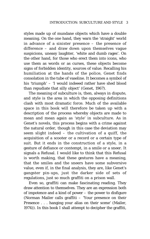styles made up of mundane objects which have a double meaning. On the one hand, they warn the 'straight' world in advance of a sinister presence – the presence of difference – and draw down upon themselves vague suspicions, uneasy laughter, 'white and dumb rages'. On the other hand, for those who erect them into icons, who use them as words or as curses, these objects become signs of forbidden identity, sources of value. Recalling his humiliation at the hands of the police, Genet finds consolation in the tube of vaseline. It becomes a symbol of his 'triumph' – 'I would indeeed rather have shed blood than repudiate that silly object' (Genet, 1967).

The meaning of subculture is, then, always in dispute, and style is the area in which the opposing definitions clash with most dramatic force. Much of the available space in this book will therefore be taken up with a description of the process whereby objects are made to mean and mean again as 'style' in subculture. As in Genet's novels, this process begins with a crime against the natural order, though in this case the deviation may seem slight indeed – the cultivation of a quiff, the acquisition of a scooter or a record or a certain type of suit. But it ends in the construction of a style, in a gesture of defiance or contempt, in a smile or a sneer. It signals a Refusal. I would like to think that this Refusal is worth making, that these gestures have a meaning, that the smiles and the sneers have some subversive value, even if, in the final analysis, they are, like Genet's gangster pin-ups, just the darker side of sets of regulations, just so much graffiti on a prison wall.

Even so, graffiti can make fascinating reading. They draw attention to themselves. They are an expression both of impotence and a kind of power – the power to disfigure (Norman Mailer calls graffiti – 'Your presence on their Presence . . . hanging your alias on their scene' (Mailer, 1974)). In this book I shall attempt to decipher the graffiti,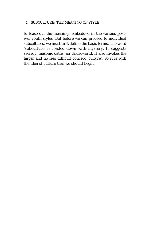## 4 SUBCULTURE: THE MEANING OF STYLE

to tease out the meanings embedded in the various postwar youth styles. But before we can proceed to individual subcultures, we must first define the basic terms. The word 'subculture' is loaded down with mystery. It suggests secrecy, masonic oaths, an Underworld. It also invokes the larger and no less difficult concept 'culture'. So it is with the idea of culture that we should begin.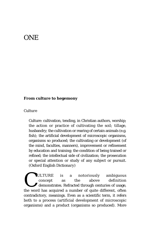## ONE

## **From culture to hegemony**

## *Culture*

Culture: cultivation, tending, in Christian authors, worship; the action or practice of cultivating the soil; tillage, husbandry; the cultivation or rearing of certain animals (e.g. fish); the artificial development of microscopic organisms, organisms so produced; the cultivating or development (of the mind, faculties, manners), improvement or refinement by education and training; the condition of being trained or refined; the intellectual side of civilization; the prosecution or special attention or study of any subject or pursuit. (*Oxford English Dictionary*)

ULTURE is a notoriously ambiguous<br>
concept as the above definition<br>
demonstrates. Refracted through centuries of usage,<br>
the word has acquired a number of quite different often concept as the above definition the word has acquired a number of quite different, often contradictory, meanings. Even as a scientific term, it refers both to a process (artificial development of microscopic organisms) and a product (organisms so produced). More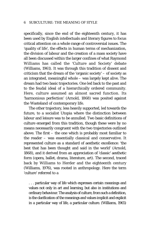specifically, since the end of the eighteenth century, it has been used by English intellectuals and literary figures to focus critical attention on a whole range of controversial issues. The 'quality of life', the effects in human terms of mechanization, the division of labour and the creation of a mass society have all been discussed within the larger confines of what Raymond Williams has called the 'Culture and Society' debate (Williams, 1961). It was through this tradition of dissent and criticism that the dream of the 'organic society' – of society as an integrated, meaningful whole – was largely kept alive. The dream had two basic trajectories. One led back to the past and to the feudal ideal of a hierarchically ordered community. Here, culture assumed an almost sacred function. Its 'harmonious perfection' (Arnold, 1868) was posited against the Wasteland of contemporary life.

The other trajectory, less heavily supported, led towards the future, to a socialist Utopia where the distinction between labour and leisure was to be annulled. Two basic definitions of culture emerged from this tradition, though these were by no means necessarily congruent with the two trajectories outlined above. The first – the one which is probably most familiar to the reader – was essentially classical and conservative. It represented culture as a standard of aesthetic excellence: 'the best that has been thought and said in the world' (Arnold, 1868), and it derived from an appreciation of 'classic' aesthetic form (opera, ballet, drama, literature, art). The second, traced back by Williams to Herder and the eighteenth century (Williams, 1976), was rooted in anthropology. Here the term 'culture' referred to a

. . . particular way of life which expresses certain meanings and values not only in art and learning, but also in institutions and ordinary behaviour. The analysis of culture, from such a definition, is the clarification of the meanings and values implicit and explicit in a particular way of life, a particular culture. (Williams, 1965)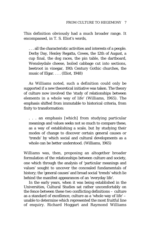This definition obviously had a much broader range. It encompassed, in T. S. Eliot's words,

. . . all the characteristic activities and interests of a people. Derby Day, Henley Regatta, Cowes, the 12th of August, a cup final, the dog races, the pin table, the dartboard, Wensleydale cheese, boiled cabbage cut into sections, beetroot in vinegar, 19th Century Gothic churches, the music of Elgar. . . . (Eliot, 1948)

As Williams noted, such a definition could only be supported if a new theoretical initiative was taken. The theory of culture now involved the 'study of relationships between elements in a whole way of life' (Williams, 1965). The emphasis shifted from immutable to historical criteria, from fixity to transformation:

. . . an emphasis [which] from studying particular meanings and values seeks not so much to compare these, as a way of establishing a scale, but by studying their modes of change to discover certain general causes or 'trends' by which social and cultural developments as a whole can be better understood. (Williams, 1965)

Williams was, then, proposing an altogether broader formulation of the relationships between culture and society, one which through the analysis of 'particular meanings and values' sought to uncover the concealed fundamentals of history; the 'general causes' and broad social 'trends' which lie behind the manifest appearances of an 'everyday life'.

In the early years, when it was being established in the Universities, Cultural Studies sat rather uncomfortably on the fence between these two conflicting definitions – culture as a standard of excellence, culture as a 'whole way of life' – unable to determine which represented the most fruitful line of enquiry. Richard Hoggart and Raymond Williams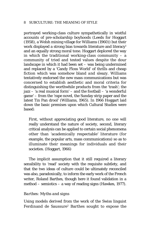portrayed working-class culture sympathetically in wistful accounts of pre-scholarship boyhoods (Leeds for Hoggart (1958), a Welsh mining village for Williams (1960)) but their work displayed a strong bias towards literature and literacy<sup>1</sup> and an equally strong moral tone. Hoggart deplored the way in which the traditional working-class community  $-$  a community of tried and tested values despite the dour landscape in which it had been set – was being undermined and replaced by a 'Candy Floss World' of thrills and cheap fiction which was somehow bland *and* sleazy. Williams tentatively endorsed the new mass communications but was concerned to establish aesthetic and moral criteria for distinguishing the worthwhile products from the 'trash'; the jazz – 'a real musical form' – and the football – 'a wonderful game' – from the 'rape novel, the Sunday strip paper and the latest Tin Pan drool' (Williams, 1965). In 1966 Hoggart laid down the basic premises upon which Cultural Studies were based:

First, without appreciating good literature, no one will really understand the nature of society, second, literary critical analysis can be applied to certain social phenomena other than 'academically respectable' literature (for example, the popular arts, mass communications) so as to illuminate their meanings for individuals and their societies. (Hoggart, 1966)

The implicit assumption that it still required a literary sensibility to 'read' society with the requisite subtlety, and that the two ideas of culture could be ultimately reconciled was also, paradoxically, to inform the early work of the French writer, Roland Barthes, though here it found validation in a method – semiotics – a way of reading signs (Hawkes, 1977).

## *Barthes: Myths and signs*

Using models derived from the work of the Swiss linguist Ferdinand de Saussure<sup>2</sup> Barthes sought to expose the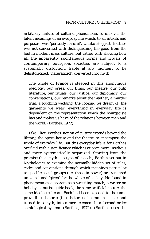*arbitrary* nature of cultural phenomena, to uncover the latent meanings of an everyday life which, to all intents and purposes, was 'perfectly natural'. Unlike Hoggart, Barthes was not concerned with distinguishing the good from the bad in modern mass culture, but rather with showing how *all* the apparently spontaneous forms and rituals of contemporary bourgeois societies are subject to a systematic distortion, liable at any moment to be dehistoricized, 'naturalized', converted into myth:

The whole of France is steeped in this anonymous ideology: our press, our films, our theatre, our pulp literature, our rituals, our Justice, our diplomacy, our conversations, our remarks about the weather, a murder trial, a touching wedding, the cooking we dream of, the garments we wear, everything in everyday life is dependent on the representation which the bourgeoisie *has and makes us have* of the relations between men and the world. (Barthes, 1972)

Like Eliot, Barthes' notion of culture extends beyond the library, the opera-house and the theatre to encompass the whole of everyday life. But this everyday life is for Barthes overlaid with a significance which is at once more insidious and more systematically organized. Starting from the premise that 'myth is a type of speech', Barthes set out in *Mythologies* to examine the normally hidden set of rules, codes and conventions through which meanings particular to specific social groups (i.e. those in power) are rendered universal and 'given' for the whole of society. He found in phenomena as disparate as a wrestling match, a writer on holiday, a tourist-guide book, the same artificial nature, the same ideological core. Each had been exposed to the same prevailing rhetoric (the rhetoric of common sense) and turned into myth, into a mere element in a 'second-order semiological system' (Barthes, 1972). (Barthes uses the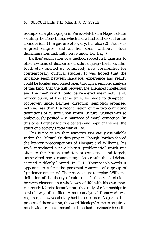example of a photograph in *Paris-Match* of a Negro soldier saluting the French flag, which has a first and second order connotation: (1) a gesture of loyalty, but also (2) 'France is a great empire, and all her sons, without colour discrimination, faithfully serve under her flag'.)

Barthes' application of a method rooted in linguistics to other systems of discourse outside language (fashion, film, food, etc.) opened up completely new possibilities for contemporary cultural studies. It was hoped that the invisible seam between language, experience and reality could be located and prised open through a semiotic analysis of this kind: that the gulf between the alienated intellectual and the 'real' world could be rendered meaningful and, miraculously, at the same time, be made to disappear. Moreover, under Barthes' direction, semiotics promised nothing less than the reconciliation of the two conflicting definitions of culture upon which Cultural Studies was so ambiguously posited – a marriage of moral conviction (in this case, Barthes' Marxist beliefs) and popular themes: the study of a society's total way of life.

This is not to say that semiotics was easily assimilable within the Cultural Studies project. Though Barthes shared the literary preoccupations of Hoggart and Williams, his work introduced a new Marxist 'problematic'3 which was alien to the British tradition of concerned and largely untheorized 'social commentary'. As a result, the old debate seemed suddenly limited. In E. P. Thompson's words it appeared to reflect the parochial concerns of a group of 'gentlemen amateurs'. Thompson sought to replace Williams' definition of the theory of culture as 'a theory of relations between elements in a whole way of life' with his own more rigorously Marxist formulation: 'the study of relationships in a whole way of *conflict*'. A more analytical framework was required; a new vocabulary had to be learned. As part of this process of theorization, the word 'ideology' came to acquire a much wider range of meanings than had previously been the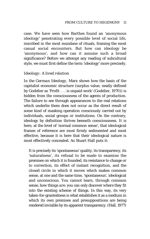case. We have seen how Barthes found an 'anonymous ideology' penetrating every possible level of social life, inscribed in the most mundane of rituals, framing the most casual social encounters. But how can ideology be 'anonymous', and how can it assume such a broad significance? Before we attempt any reading of subcultural style, we must first define the term 'ideology' more precisely.

## *Ideology: A* lived *relation*

In the *German Ideology*, Marx shows how the basis of the capitalist economic structure (surplus value, neatly defined by Godelier as 'Profit . . . is unpaid work' (Godelier, 1970)) is hidden from the consciousness of the agents of production. The failure to see through appearances to the real relations which underlie them does not occur as the direct result of some kind of masking operation consciously carried out by individuals, social groups or institutions. On the contrary, ideology by definition thrives *beneath* consciousness. It is here, at the level of 'normal common sense', that ideological frames of reference are most firmly sedimented and most effective, because it is here that their ideological nature is most effectively concealed. As Stuart Hall puts it:

It is precisely its 'spontaneous' quality, its transparency, its 'naturalness', its refusal to be made to examine the premises on which it is founded, its resistance to change or to correction, its effect of instant recognition, and the closed circle in which it moves which makes common sense, at one and the same time, 'spontaneous', ideological and *unconscious*. You cannot learn, through common sense, *how things are*: you can only discover *where they fit* into the existing scheme of things. In this way, its very taken-for-grantedness is what establishes it as a medium in which its own premises and presuppositions are being rendered *invisible* by its apparent transparency. (Hall, 1977)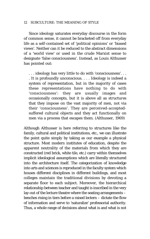#### 12 SUBCULTURE: THE MEANING OF STYLE

Since ideology saturates everyday discourse in the form of common sense, it cannot be bracketed off from everyday life as a self-contained set of 'political opinions' or 'biased views'. Neither can it be reduced to the abstract dimensions of a 'world view' or used in the crude Marxist sense to designate 'false consciousness'. Instead, as Louis Althusser has pointed out:

. . . ideology has very little to do with 'consciousness'. . . . It is profoundly *unconscious*. . . . Ideology is indeed a system of representation, but in the majority of cases these representations have nothing to do with 'consciousness': they are usually images and occasionally concepts, but it is above all as *structures* that they impose on the vast majority of men, not via their 'consciousness'. They are perceived-acceptedsuffered cultural objects and they act functionally on men via a process that escapes them. (Althusser, 1969)

Although Althusser is here referring to structures like the family, cultural and political institutions, etc., we can illustrate the point quite simply by taking as our example a physical structure. Most modern institutes of education, despite the apparent neutrality of the materials from which they are constructed (red brick, white tile, etc.) carry within themselves implicit ideological assumptions which are literally structured into the architecture itself. The categorization of knowledge into arts and sciences is reproduced in the faculty system which houses different disciplines in different buildings, and most colleges maintain the traditional divisions by devoting a separate floor to each subject. Moreover, the hierarchical relationship between teacher and taught is inscribed in the very lay-out of the lecture theatre where the seating arrangements – benches rising in tiers before a raised lectern – dictate the flow of information and serve to 'naturalize' professorial authority. Thus, a whole range of decisions about what is and what is not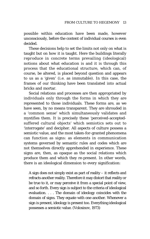possible within education have been made, however unconsciously, before the content of individual courses is even decided.

These decisions help to set the limits not only on what is taught but on *how* it is taught. Here the buildings literally *reproduce* in concrete terms prevailing (ideological) notions about what education *is* and it is through this process that the educational structure, which can, of course, be altered, is placed beyond question and appears to us as a 'given' (i.e. as immutable). In this case, the frames of our thinking have been translated into actual bricks and mortar.

Social relations and processes are then appropriated by individuals only through the forms in which they are represented to those individuals. These forms are, as we have seen, by no means transparent. They are shrouded in a 'common sense' which simultaneously validates and mystifies them. It is precisely these 'perceived-acceptedsuffered cultural objects' which semiotics sets out to 'interrogate' and decipher. All aspects of culture possess a semiotic value, and the most taken-for-granted phenomena can function as signs: as elements in communication systems governed by semantic rules and codes which are not themselves directly apprehended in experience. These signs are, then, as opaque as the social relations which produce them and which they re-present. In other words, there is an ideological dimension to every signification:

A sign does not simply exist as part of reality – it reflects and refracts another reality. Therefore it may distort that reality or be true to it, or may perceive it from a special point of view, and so forth. Every sign is subject to the criteria of ideological evaluation. . . . The domain of ideology coincides with the domain of signs. They equate with one another. Whenever a sign is present, ideology is present too. Everything ideological possesses a semiotic value. (Volosinov, 1973)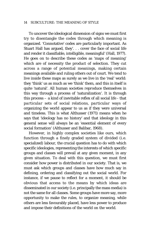#### 14 SUBCULTURE: THE MEANING OF STYLE

To uncover the ideological dimension of signs we must first try to disentangle the codes through which meaning is organized. 'Connotative' codes are particularly important. As Stuart Hall has argued, they'. . . cover the face of social life and render it classifiable, intelligible, meaningful' (Hall, 1977). He goes on to describe these codes as 'maps of meaning' which are of necessity the product of selection. They cut across a range of potential meanings, making certain meanings available and ruling others out of court. We tend to live inside these maps as surely as we live in the 'real' world: they 'think' us as much as we 'think' them, and this in itself is quite 'natural'. All human societies *reproduce* themselves in this way through a process of 'naturalization'. It is through this process – a kind of inevitable reflex of all social life - that *particular* sets of social relations, *particular* ways of organizing the world appear to us as if they were universal and timeless. This is what Althusser (1971) means when he says that 'ideology has no history' and that ideology in this general sense will always be an 'essential element of every social formation' (Althusser and Balibar, 1968).

However, in highly complex societies like ours, which function through a finely graded system of divided (i.e. specialized) labour, the crucial question has to do with which specific ideologies, representing the interests of which specific groups and classes will prevail at any given moment, in any given situation. To deal with this question, we must first consider how power is distributed in our society. That is, we must ask which groups and classes have how much say in defining, ordering and classifying out the social world. For instance, if we pause to reflect for a moment, it should be obvious that access to the means by which ideas are disseminated in our society (i.e. principally the mass media) is *not* the same for all classes. Some groups have more say, more opportunity to make the rules, to organize meaning, while others are less favourably placed, have less power to produce and impose their definitions of the world on the world.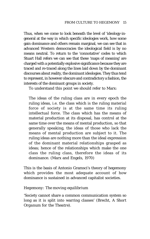Thus, when we come to look beneath the level of 'ideology-ingeneral at the way in which specific ideologies work, how some gain dominance and others remain marginal, we can see that in advanced Western democracies the ideological field is by no means neutral. To return to the 'connotative' codes to which Stuart Hall refers we can see that these 'maps of meaning' are charged with a potentially explosive significance because they are traced and re-traced along the lines laid down by the *dominant* discourses about reality, the *dominant* ideologies. They thus tend to represent, in however obscure and contradictory a fashion, the interests of the *dominant* groups in society.

To understand this point we should refer to Marx:

The ideas of the ruling class are in every epoch the ruling ideas, i.e. the class which is the ruling *material* force of society is at the same time its ruling *intellectual* force. The class which has the means of material production at its disposal, has control at the same time over the means of mental production, so that generally speaking, the ideas of those who lack the means of mental production are subject to it. The ruling ideas are nothing more than the ideal expression of the dominant material relationships grasped as ideas; hence of the relationships which make the one class the ruling class, therefore the ideas of its dominance. (Marx and Engels, 1970)

This is the basis of Antonio Gramsci's theory of *hegemony* which provides the most adequate account of how dominance is sustained in advanced capitalist societies.

## *Hegemony: The moving equilibrium*

'Society cannot share a common communication system so long as it is split into warring classes' (Brecht, *A Short Organum for the Theatre*).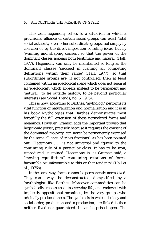#### 16 SUBCULTURE: THE MEANING OF STYLE

The term hegemony refers to a situation in which a provisional alliance of certain social groups can exert 'total social authority' over other subordinate groups, not simply by coercion or by the direct imposition of ruling ideas, but by 'winning and shaping consent so that the power of the dominant classes appears both legitimate and natural' (Hall, 1977). Hegemony can only be maintained so long as the dominant classes 'succeed in framing all competing definitions within their range' (Hall, 1977), so that subordinate groups are, if not controlled; then at least contained within an ideological space which does not seem at all 'ideological': which appears instead to be permanent and 'natural', to lie outside history, to be beyond particular interests (see *Social Trends*, no. 6, 1975).

This is how, according to Barthes, 'mythology' performs its vital function of naturalization and normalization and it is in his book *Mythologies* that Barthes demonstrates most forcefully the full extension of these normalized forms and meanings. However, Gramsci adds the important proviso that hegemonic power, precisely *because* it requires the consent of the dominated majority, can never be permanently exercised by the same alliance of 'class fractions'. As has been pointed out, 'Hegemony . . . is not universal and "given" to the continuing rule of a particular class. It has to be won, reproduced, sustained. Hegemony is, as Gramsci said, a "moving equilibrium" containing relations of forces favourable or unfavourable to this or that tendency' (Hall *et al*., 1976a).

In the same way, forms cannot be permanently normalized. They can always be deconstructed, demystified, by a 'mythologist' like Barthes. Moreover commodities can be symbolically 'repossessed' in everyday life, and endowed with implicitly oppositional meanings, by the very groups who originally produced them. The symbiosis in which ideology and social order, production and reproduction, are linked is then neither fixed nor guaranteed. It can be prised open. The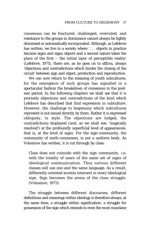consensus can be fractured, challenged, overruled, and resistance to the groups in dominance cannot always be lightly dismissed or automatically incorporated. Although, as Lefebvre has written, we live in a society where '. . . objects in practice become signs and signs objects and a second nature takes the place of the first – the initial layer of perceptible reality' (Lefebvre, 1971), there are, as he goes on to affirm, always 'objections and contradictions which hinder the closing of the circuit' between sign and object, production and reproduction.

We can now return to the meaning of youth subcultures, for the emergence of such groups has signalled in a spectacular fashion the breakdown of consensus in the postwar period. In the following chapters we shall see that it is precisely objections and contradictions of the kind which Lefebvre has described that find expression in subculture. However, the challenge to hegemony which subcultures represent is not issued directly by them. Rather it is expressed obliquely, in style. The objections are lodged, the contradictions displayed (and, as we shall see, 'magically resolved') at the profoundly superficial level of appearances: that is, at the level of signs. For the sign-community, the community of myth-consumers, is not a uniform body. As Volosinov has written, it is cut through by class:

Class does not coincide with the sign community, i.e. with the totality of users of the same set of signs of ideological communication. Thus various different classes will use one and the same language. As a result, differently oriented accents intersect in every ideological sign. Sign becomes the arena of the class struggle. (Volosinov, 1973)

The struggle between different discourses, different definitions and meanings within ideology is therefore always, at the same time, a struggle within signification: a struggle for possession of the sign which extends to even the most mundane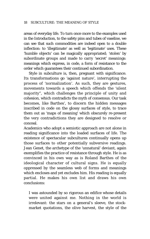areas of everyday life. To turn once more to the examples used in the Introduction, to the safety pins and tubes of vaseline, we can see that such commodities are indeed open to a double inflection: to 'illegitimate' as well as 'legitimate' uses. These 'humble objects' can be magically appropriated; 'stolen' by subordinate groups and made to carry 'secret' meanings: meanings which express, in code, a form of resistance to the order which guarantees their continued subordination.

Style in subculture is, then, pregnant with significance. Its transformations go 'against nature', interrupting the process of 'normalization'. As such, they are gestures, movements towards a speech which offends the 'silent majority", which challenges the principle of unity and cohesion, which contradicts the myth of consensus. Our task becomes, like Barthes', to discern the hidden messages inscribed in code on the glossy surfaces of style, to trace them out as 'maps of meaning' which obscurely re-present the very contradictions they are designed to resolve or conceal.

Academics who adopt a semiotic approach are not alone in reading significance into the loaded surfaces of life. The existence of spectacular subcultures continually opens up those surfaces to other potentially subversive readings. Jean Genet, the archetype of the 'unnatural' deviant, again exemplifies the practice of resistance through style. He is as convinced in his own way as is Roland Barthes of the ideological character of cultural signs. He is equally oppressed by the seamless web of forms and meanings which encloses and yet excludes him. His reading is equally partial. He makes his own list and draws his own conclusions:

I was astounded by so rigorous an edifice whose details were united against me. Nothing in the world is irrelevant: the stars on a general's sleeve, the stockmarket quotations, the olive harvest, the style of the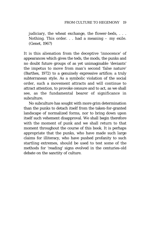judiciary, the wheat exchange, the flower-beds, . . . Nothing. This order. . . had a meaning – my exile. (Genet, 1967)

It is this alienation from the deceptive 'innocence' of appearances which gives the teds, the mods, the punks and no doubt future groups of as yet unimaginable 'deviants' the impetus to move from man's second 'false nature' (Barthes, 1972) to a genuinely expressive artifice; a truly subterranean style. As a symbolic violation of the social order, such a movement attracts and will continue to attract attention, to provoke censure and to act, as we shall see, as the fundamental bearer of significance in subculture.

No subculture has sought with more grim determination than the punks to detach itself from the taken-for-granted landscape of normalized forms, nor to bring down upon itself such vehement disapproval. We shall begin therefore with the moment of punk and we shall return to that moment throughout the course of this book. It is perhaps appropriate that the punks, who have made such large claims for illiteracy, who have pushed profanity to such startling extremes, should be used to test some of the methods for 'reading' signs evolved in the centuries-old debate on the sanctity of culture.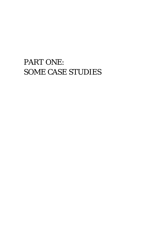# PART ONE: SOME CASE STUDIES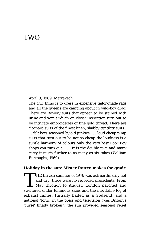## TWO

## April 3, 1989, Marrakech

The chic thing is to dress in expensive tailor-made rags and all the queens are camping about in wild-boy drag. There are Bowery suits that appear to be stained with urine and vomit which on closer inspection turn out to be intricate embroideries of fine gold thread. There are clochard suits of the finest linen, shabby gentility suits . . . felt hats seasoned by old junkies . . . loud cheap pimp suits that turn out to be not so cheap the loudness is a subtle harmony of colours only the very best Poor Boy shops can turn out. . . . It is the double take and many carry it much further to as many as six takes (William Burroughs, 1969)

## **Holiday in the sun: Mister Rotten makes the grade**

THE British summer of 1976 was extraordinarily hot<br>and dry: there were no recorded precedents. From<br>May through to August, London parched and<br>guidened under luminous clies and the inevitable for of and dry: there were no recorded precedents. From sweltered under luminous skies and the inevitable fog of exhaust fumes. Initially hailed as a Godsend, and a national 'tonic' in the press and television (was Britain's 'curse' finally broken?) the sun provided seasonal relief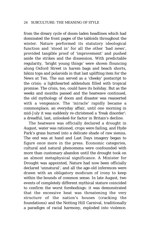from the dreary cycle of doom-laden headlines which had dominated the front pages of the tabloids throughout the winter. Nature performed its statutory ideological function and 'stood in' for all the other 'bad news', provided tangible proof of 'improvement' and pushed aside the strikes and the dissension. With predictable regularity, 'bright young things' were shown flouncing along Oxford Street in harem bags and beach shorts, bikini tops and polaroids in that last uplifting item for the *News at Ten*. The sun served as a 'cheeky' postscript to the crisis: a lighthearted addendum filled with tropical promise. The crisis, too, could have its holiday. But as the weeks and months passed and the heatwave continued, the old mythology of doom and disaster was reasserted with a vengeance. The 'miracle' rapidly became a commonplace, an everyday affair, until one morning in mid-July it was suddenly re-christened a 'freak disorder': a dreadful, last, unlooked-for factor in Britain's decline.

The heatwave was officially declared a drought in August, water was rationed, crops were failing, and Hyde Park's grass burned into a delicate shade of raw sienna. The end was at hand and Last Days imagery began to figure once more in the press. Economic categories, cultural and natural phenomena were confounded with more than customary abandon until the drought took on an almost metaphysical significance. A Minister for Drought was appointed, Nature had now been officially declared 'unnatural', and all the age-old inferences were drawn with an obligatory modicum of irony to keep within the bounds of common sense. In late August, two events of completely different mythical stature coincided to confirm the worst forebodings: it was demonstrated that the excessive heat was threatening the very structure of the nation's houses (cracking the foundations) and the Notting Hill Carnival, traditionally a paradigm of racial harmony, exploded into violence.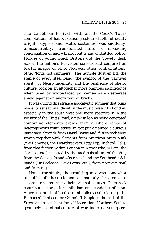The Caribbean festival, with all its Cook's Tours connotations of happy, dancing coloured folk, of jaunty bright calypsos and exotic costumes, was suddenly, unaccountably, transformed into a menacing congregation of angry black youths and embattled police. Hordes of young black Britons did the Soweto dash across the nation's television screens and conjured up fearful images of other Negroes, other confrontations, other 'long, hot summers'. The humble dustbin lid, the staple of every steel band, the symbol of the 'carnival spirit', of Negro ingenuity and the resilience of ghetto culture, took on an altogether more ominous significance when used by white-faced policemen as a desperate shield against an angry rain of bricks.

It was during this strange apocalyptic summer that punk made its sensational debut in the music press.<sup>1</sup> In London, especially in the south west and more specifically in the vicinity of the King's Road, a new style was being generated combining elements drawn from a whole range of heterogeneous youth styles. In fact punk claimed a dubious parentage. Strands from David Bowie and glitter-rock were woven together with elements from American proto-punk (the Ramones, the Heartbreakers, Iggy Pop, Richard Hell), from that faction within London pub-rock (the 101-ers, the Gorillas, etc.) inspired by the mod subculture of the 60s, from the Canvey Island 40s revival and the Southend r & b bands (Dr Feelgood, Lew Lewis, etc.), from northern soul and from reggae.

Not surprisingly, the resulting mix was somewhat unstable: all these elements constantly threatened to separate and return to their original sources. Glam rock contributed narcissism, nihilism and gender confusion. American punk offered a minimalist aesthetic (e.g. the Ramones' 'Pinhead' or Crime's 'I Stupid'), the cult of the Street and a penchant for self-laceration. Northern Soul (a genuinely secret subculture of working-class youngsters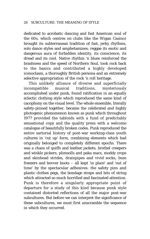dedicated to acrobatic dancing and fast American soul of the 60s, which centres on clubs like the Wigan Casino) brought its subterranean tradition of fast, jerky rhythms, solo dance styles and amphetamines; reggae its exotic and dangerous aura of forbidden identity, its conscience, its dread and its cool. Native rhythm 'n blues reinforced the brashness and the speed of Northern Soul, took rock back to the basics and contributed a highly developed iconoclasm, a thoroughly British persona and an extremely selective appropriation of the rock 'n roll heritage.

This unlikely alliance of diverse and superficially incompatible musical traditions, mysteriously accomplished under punk, found ratification in an equally eclectic clothing style which reproduced the same kind of cacophony on the visual level. The whole ensemble, literally safety-pinned together, became the celebrated and highly photogenic phenomenon known as punk which throughout 1977 provided the tabloids with a fund of predictably sensational copy and the quality press with a welcome catalogue of beautifully broken codes. Punk reproduced the entire sartorial history of post-war working-class youth cultures in 'cut up' form, combining elements which had originally belonged to completely different epochs. There was a chaos of quiffs and leather jackets, brothel creepers and winkle pickers, plimsolls and paka macs, moddy crops and skinhead strides, drainpipes and vivid socks, bum freezers and bovver boots – all kept 'in place' and 'out of time' by the spectacular adhesives: the safety pins and plastic clothes pegs, the bondage straps and bits of string which attracted so much horrified and fascinated attention. Punk is therefore a singularly appropriate point of departure for a study of this kind because punk style contained distorted reflections of all the major post-war subcultures. But before we can interpret the significance of these subcultures, we must first unscramble the sequence in which they occurred.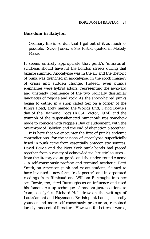### **Boredom in Babylon**

Ordinary life is so dull that I get out of it as much as possible. (Steve Jones, a Sex Pistol, quoted in *Melody Maker*)

It seems entirely appropriate that punk's 'unnatural' synthesis should have hit the London streets during that bizarre summer. Apocalypse was in the air and the rhetoric of punk was drenched in apocalypse: in the stock imagery of crisis and sudden change. Indeed, even punk's epiphanies were hybrid affairs, representing the awkward and unsteady confluence of the two radically dissimilar languages of *reggae* and *rock*. As the shock-haired punks began to gather in a shop called Sex on a corner of the King's Road, aptly named the Worlds End, David Bowie's day of the *Diamond Dogs* (R.C.A. Victor, 1974) and the triumph of the 'super-alienated humanoid' was somehow made to coincide with reggae's Day of Judgement, with the overthrow of Babylon and the end of alienation altogether.

It is here that we encounter the first of punk's endemic contradictions, for the visions of apocalypse superficially fused in punk came from essentially antagonistic sources. David Bowie and the New York punk bands had pieced together from a variety of acknowledged 'artistic' sources – from the literary *avant-garde* and the underground cinema – a self-consciously profane and terminal aesthetic. Patti Smith, an American punk and ex-art student, claimed to have invented a new form, 'rock poetry', and incorporated readings from Rimbaud and William Burroughs into her act. Bowie, too, cited Burroughs as an influence and used his famous cut-up technique of random juxtapositions to 'compose' lyrics. Richard Hell drew on the writings of Lautréamont and Huysmans. British punk bands, generally younger and more self-consciously proletarian, remained largely innocent of literature. However, for better or worse,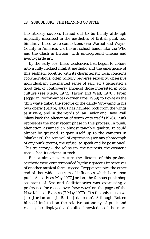the literary sources turned out to be firmly although implicitly inscribed in the aesthetics of British punk too. Similarly, there were connections (via Warhol and Wayne County in America, via the art school bands like the Who and the Clash in Britain) with underground cinema and *avant-garde* art.

By the early 70s, these tendencies had begun to cohere into a fully fledged nihilist aesthetic and the emergence of this aesthetic together with its characteristic focal concerns (polymorphous, often wilfully perverse sexuality, obsessive individualism, fragmented sense of self, etc.) generated a good deal of controversy amongst those interested in rock culture (see Melly, 1972; Taylor and Wall, 1976). From Jagger in *Performance* (Warner Bros, 1969) to Bowie as the 'thin white duke', the spectre of the dandy 'drowning in his own opera' (Sartre, 1968) has haunted rock from the wings as it were, and in the words of Ian Taylor and Dave Wall 'plays back the alienation of youth onto itself (1976). Punk represents the most recent phase in this process. In punk, alienation assumed an almost tangible quality. It could almost be grasped. It gave itself up to the cameras in 'blankness', the removal of expression (see any photograph of any punk group), the refusal to speak and be positioned. This trajectory – the solipsism, the neurosis, the cosmetic rage – had its origins in rock.

But at almost every turn the dictates of this profane aesthetic were countermanded by the righteous imperatives of another musical form: reggae. Reggae occupies the other end of that wide spectrum of influences which bore upon punk. As early as May 1977 Jordan, the famous punk shop assistant of Sex and Seditionaries was expressing a preference for reggae over 'new wave' on the pages of the *New Musical Express* (7 May 1977). 'It's the only music we [i.e. Jordan and J. Rotten] dance to'. Although Rotten himself insisted on the relative autonomy of punk and reggae, he displayed a detailed knowledge of the more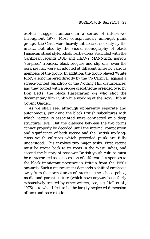esoteric reggae numbers in a series of interviews throughout 1977. Most conspicuously amongst punk groups, the Clash were heavily influenced not only by the music, but also by the visual iconography of black Jamaican street style. Khaki battle dress stencilled with the Caribbean legends DUB and HEAVY MANNERS, narrow 'sta-prest' trousers, black brogues and slip ons, even the pork pie hat, were all adopted at different times by various members of the group. In addition, the group played 'White Riot', a song inspired directly by the '76 Carnival, against a screen-printed backdrop of the Notting Hill disturbances, and they toured with a reggae discotheque presided over by Don Letts, the black Rastafarian d-j who shot the documentary film *Punk* while working at the Roxy Club in Covent Garden.

As we shall see, although apparently separate and autonomous, punk and the black British subcultures with which reggae is associated were connected at a deep structural level. But the dialogue between the two forms cannot properly be decoded until the internal composition and significance of both reggae and the British workingclass youth cultures which preceded punk are fully understood. This involves two major tasks. First reggae must be traced back to its roots in the West Indies, and second the history of post-war British youth culture must be reinterpreted as a succession of differential responses to the black immigrant presence in Britain from the 1950s onwards. Such a reassessment demands a shift of emphasis away from the normal areas of interest – the school, police, media and parent culture (which have anyway been fairly exhaustively treated by other writers, see, e.g. Hall *et al*., 1976) – to what I feel to be the largely neglected dimension of race and race relations.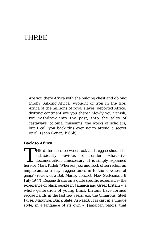# THREE

Are you there Africa with the bulging chest and oblong thigh? Sulking Africa, wrought of iron in the fire, Africa of the millions of royal slaves, deported Africa, drifting continent are you there? Slowly you vanish, you withdraw into the past, into the tales of castaways, colonial museums, the works of scholars; but I call you back this evening to attend a secret revel. (Jean Genet, 1966b)

## **Back to Africa**

THE differences between rock and reggae should be<br>sufficiently obvious to render exhaustive<br>documentation unnecessary. It is simply explained<br>have by Mark Kidak Wharaas iazz and reak often reflect an sufficiently obvious to render exhaustive here by Mark Kidel: 'Whereas jazz and rock often reflect an amphetamine frenzy, reggae tunes in to the slowness of ganja' (review of a Bob Marley concert, *New Statesman*, 8 July 1977). Reggae draws on a quite specific experience (the experience of black people in Jamaica and Great Britain – a whole generation of young Black Britons have formed reggae bands in the last few years, e.g. the Cimarons, Steel Pulse, Matumbi, Black Slate, Aswaad). It is cast in a unique style, in a language of its own – Jamaican patois, that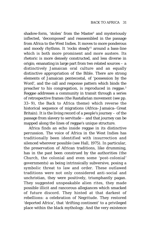shadow-form, 'stolen' from the Master<sup>1</sup> and mysteriously inflected, 'decomposed' and reassembled in the passage from Africa to the West Indies. It moves to more ponderous and moody rhythms. It 'rocks steady'2 around a bass-line which is both more prominent and more austere. Its rhetoric is more densely constructed, and less diverse in origin; emanating in large part from two related sources – a distinctively Jamaican oral culture and an equally distinctive appropriation of the Bible. There are strong elements of Jamaican pentecostal, of 'possession by the Word', and the call and response pattern which binds the preacher to his congregation, is reproduced in reggae.3 Reggae addresses a community in transit through a series of retrospective frames (the Rastafarian movement (see pp. 33–9), the Back to Africa theme) which reverse the historical sequence of migrations (Africa–Jamaica–Great Britain). It is the living record of a people's journey – of the passage from slavery to servitude – and that journey can be mapped along the lines of reggae's unique structure.

Africa finds an echo inside reggae in its distinctive percussion. The voice of Africa in the West Indies has traditionally been identified with insurrection and silenced wherever possible (see Hall, 1975). In particular, the preservation of African traditions, like drumming, has in the past been construed by the authorities (the Church, the colonial and even some 'post-colonial' governments) as being intrinsically subversive, posing a symbolic threat to law and order. These outlawed traditions were not only considered anti-social and unchristian, they were positively, triumphantly pagan. They suggested unspeakable alien rites, they made possible illicit and rancorous allegiances which smacked of future discord. They hinted at that darkest of rebellions: a celebration of Negritude. They restored 'deported Africa', that 'drifting continent' to a privileged place within the black mythology. And the very existence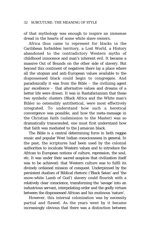of that mythology was enough to inspire an immense dread in the hearts of some white slave owners.

Africa thus came to represent for blacks in the Caribbean forbidden territory, a Lost World, a History abandoned to the contradictory Western myths of childhood innocence and man's inherent evil. It became a massive Out of Bounds on the other side of slavery. But beyond this continent of negatives there lay a place where all the utopian and anti-European values available to the dispossessed black could begin to congregate. And paradoxically it was from the Bible – the civilizing agent *par excellence* – that alternative values and dreams of a better life were drawn. It was in Rastafarianism that these two symbolic clusters (Black Africa and the White man's Bible) so ostensibly antithetical, were most effectively integrated. To understand how such a heretical convergence was possible, and how the meta-message in the Christian faith (submission to the Master) was so dramatically transcended, one must first understand how that faith was mediated to the Jamaican black.

The Bible is a central determining force in both reggae music and popular West Indian consciousness in general. In the past, the scriptures had been used by the colonial authorities to inculcate Western values and to introduce the African to European notions of culture, repression, the soul, etc. It was under their sacred auspices that civilization itself was to be achieved: that Western culture was to fulfil its divinely ordained mission of conquest. Underpinned by the persistent dualism of Biblical rhetoric ('Black Satan' and 'the snow-white Lamb of God') slavery could flourish with a relatively clear conscience, transforming the 'savage' into an industrious servant, interpolating order and the godly virtues between the dispossessed African and his mutinous 'nature'.

However, this internal colonization was by necessity partial and flawed. As the years went by it became increasingly obvious that there was a distinction between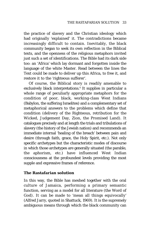the practice of slavery and the Christian ideology which had originally 'explained' it. The contradictions became increasingly difficult to contain. Inevitably, the black community began to seek its own reflection in the Biblical texts, and the openness of the religious metaphors invited just such a set of identifications. The Bible had its dark side too: an 'Africa' which lay dormant and forgotten inside the language of the white Master. Read between the lines the Text could be made to deliver up this Africa, to free it, and restore it to the 'righteous sufferer'.

Of course, the Biblical story is readily amenable to exclusively black interpretations.4 It supplies in particular a whole range of peculiarly appropriate metaphors for the condition of poor, black, working-class West Indians (Babylon, the suffering Israelites) and a complementary set of metaphorical answers to the problems which define that condition (delivery of the Righteous, retribution for the Wicked, Judgement Day, Zion, the Promised Land). It catalogues precisely and at length the trials and tribulations of slavery (the history of the Jewish nation) and recommends an immediate internal 'healing of the breach' between pain and desire (through faith, grace, the Holy Spirit, etc.). Not only specific archetypes but the characteristic modes of discourse in which those archetypes are generally situated (the parable, the aphorism, etc.) have influenced West Indian consciousness at the profoundest levels providing the most supple and expressive frames of reference.

## **The Rastafarian solution**

In this way, the Bible has meshed together with the oral culture of Jamaica, performing a primary semantic function, serving as a model for all literature (the Word of God). It can be made to 'mean all things equivocally' (Alfred Jarry, quoted in Shattuck, 1969). It is the supremely ambiguous means through which the black community can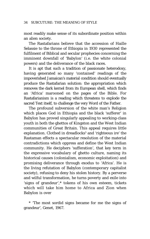most readily make sense of its subordinate position within an alien society.

The Rastafarians believe that the accession of Haille Selassie to the throne of Ethiopia in 1930 represented the fulfilment of Biblical and secular prophecies concerning the imminent downfall of 'Babylon' (i.e. the white colonial powers) and the deliverance of the black races.

It is apt that such a tradition of passionate heterodoxy, having generated so many 'contained' readings of the impoverished Jamaican's material condition should eventually produce the Rastafarian solution: the appropriation which removes the dark kernel from its European shell, which finds an 'Africa' marooned on the pages of the Bible. For Rastafarianism is a reading which threatens to explode the sacred Text itself, to challenge the very Word of the Father.

The profound subversion of the white man's Religion which places God in Ethiopia and the black 'sufferer' in Babylon has proved singularly appealing to working-class youth in both the ghettos of Kingston and the West Indian communities of Great Britain. This appeal requires little explanation. Clothed in dreadlocks<sup>5</sup> and 'righteous ire' the Rastaman effects a spectacular resolution of the material contradictions which oppress and define the West Indian community. He deciphers 'sufferation', that key term in the expressive vocabulary of ghetto culture, naming its historical causes (colonialism, economic exploitation) and promising deliverance through exodus to 'Africa'. He is the living refutation of Babylon (contemporary capitalist society), refusing to deny his stolen history. By a perverse and wilful transformation, he turns poverty and exile into 'signs of grandeur',\* tokens of his own esteem, tickets which will take him home to Africa and Zion when Babylon is over

\* 'The most sordid signs became for me the signs of grandeur', Genet, 1967.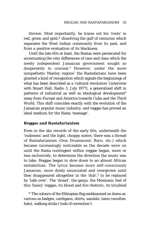thrown. Most importantly, he traces out his 'roots' in red, green and gold,\* dissolving the gulf of centuries which separates the West Indian community from its past, and from a positive evaluation of its blackness.

Until the late 60s at least, the Rastas were persecuted for accentuating the very differences of race and class which the newly independent Jamaican government sought so desperately to conceal.<sup>6</sup> However, under the more sympathetic Manley regime<sup>7</sup> the Rastafarians have been granted a kind of recognition which signals the beginnings of what has been described as a 'cultural revolution' (interview with Stuart Hall, Radio 3, July 1977), a generalized shift in patterns of industrial as well as ideological development<sup>8</sup> away from Europe and America towards Cuba and the Third World. This shift coincides exactly with the evolution of the Jamaican popular music industry; and reggae has proved an ideal medium for the Rasta 'message'.

## **Reggae and Rastafarianism**

Even in the *ska* records of the early 60s, underneath the 'rudeness' and the light, choppy metre, there was a thread of Rastafarianism (Don Drummond, Reco, etc.) which became increasingly noticeable as the decade wore on until the Rasta contingent within reggae began, more or less exclusively, to determine the direction the music was to take. Reggae began to slow down to an almost African metabolism. The lyrics became more self-consciously Jamaican, more dimly enunciated and overgrown until they disappeared altogether in the 'dub',<sup>9</sup> to be replaced by 'talk-over'. The 'dread', the ganja, the Messianic feel of this 'heavy' reggae, its blood and fire rhetoric, its troubled

\* The colours of the Ethiopian flag emblazoned on items as various as badges, cardigans, shirts, sandals, tams (woollen hats), walking sticks ('rods of correction').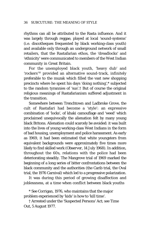rhythms can all be attributed to the Rasta influence. And it was largely through reggae, played at local 'sound-systems' (i.e. discotheques frequented by black working-class youth) and available only through an underground network of small retailers, that the Rastafarian ethos, the 'dreadlocks' and 'ethnicity' were communicated to members of the West Indian community in Great Britain.

For the unemployed black youth, 'heavy dub' and 'rockers'10 provided an alternative sound-track, infinitely preferable to the muzak which filled the vast new shopping precincts where he spent his days 'doing nothing',\* subjected to the random tyrannies of 'sus'.† But of course the original religious meanings of Rastafarianism suffered adjustment in the transition.

Somewhere between Trenchtown and Ladbroke Grove, the cult of Rastafari had become a 'style': an expressive combination of 'locks', of khaki camouflage and 'weed' which proclaimed unequivocally the alienation felt by many young black Britons. Alienation could scarcely be avoided: it was built into the lives of young working-class West Indians in the form of bad housing, unemployment and police harassment. As early as 1969, it had been estimated that white youngsters from equivalent backgrounds were approximately five times more likely to find skilled work (*Observer*, 14 July 1968). In addition, throughout the 60s, relations with the police had been deteriorating steadily. The Mangrove trial of 1969 marked the beginning of a long series of bitter confrontations between the black community and the authorities (the Carib trial, the Oval trial, the 1976 Carnival) which led to a progressive polarization.

It was during this period of growing disaffection and joblessness, at a time when conflict between black youths

\* See Corrigan, 1976, who maintains that the major problem experienced by 'kids' is how to 'kill time'.

† Arrested under the 'Suspected Persons' Act; see *Time Out*, 5 August 1977.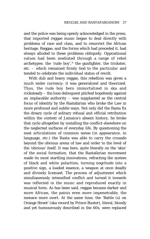and the police was being openly acknowledged in the press, that imported reggae music began to deal directly with problems of race and class, and to resurrect the African heritage. Reggae, and the forms which had preceded it, had always alluded to these problems obliquely. Oppositional values had been mediated through a range of rebel archetypes: the 'rude boy', $11$  the gunfighter, the trickster, etc. – which remained firmly tied to the *particular* and tended to celebrate the *individual* status of revolt.

With dub and heavy reggae, this rebellion was given a much wider currency: it was generalized and theorized. Thus, the rude boy hero immortalized in ska and rocksteady – the lone delinquent pitched hopelessly against an implacable authority – was supplanted as the central focus of identity by the Rastafarian who broke the Law in more profound and subtle ways. Not only did the Rasta fix the dreary cycle of solitary refusal and official retribution within the context of Jamaica's absent history, he broke that cycle altogether by installing the conflict elsewhere on the neglected surfaces of everyday life. By questioning the neat articulations of common sense (in appearance, in language, etc.) the Rasta was able to carry the crusade beyond the obvious arena of law and order to the level of the 'obvious' itself. It was here, quite literally on the 'skin' of the social formation, that the Rastafarian movement made its most startling innovations, refracting the system of black and white polarities, turning negritude into a positive sign, a loaded essence, a weapon at once deadly and divinely licensed. The process of adjustment which simultaneously intensified conflict and turned it inwards was reflected in the music and reproduced exactly in musical form. As has been said, reggae became darker and more African, the patois even more impenetrable, the menace more overt. At the same time, the 'Battle (s) on Orange Street' (ska record by Prince Buster), literal, bloody and yet humourously described in the 60s, were replaced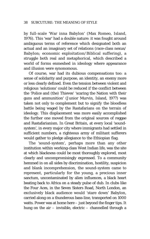by full-scale 'War inna Babylon' (Max Romeo, Island, 1976). This 'war' had a double nature: it was fought around ambiguous terms of reference which designated both an actual and an imaginary set of relations (race-class nexus/ Babylon; economic exploitation/Biblical suffering), a struggle both real and metaphorical, which described a world of forms enmeshed in ideology where appearance and illusion were synonomous.

Of course, war had its dubious compensations too: a sense of solidarity and purpose, an identity, an enemy more or less clearly defined. Even the tension between violent and religious 'solutions' could be reduced if the conflict between the 'Police and (the) Thieves' 'scaring the Nation with their guns and ammunition' (Junior Murvin, Island, 1977) was taken not only to complement but to *signify* the bloodless battle being waged by the Rastafarians on the terrain of ideology. This displacement was more easily accomplished the further one moved from the original sources of reggae and Rastafarianism. In Great Britain, at every local 'soundsystem', in every major city where immigrants had settled in sufficient numbers, a righteous army of militant sufferers would gather to pledge allegiance to the Ethiopian flag.

The 'sound-system', perhaps more than any other institution within working-class West Indian life, was the site at which blackness could be most thoroughly explored, most clearly and uncompromisingly expressed. To a community hemmed in on all sides by discrimination, hostility, suspicion and blank incomprehension, the sound-system came to represent, particularly for the young, a precious inner sanctum, uncontaminated by alien influences, a black heart beating back to Africa on a steady pulse of dub. In clubs like the Four Aces, in the Seven Sisters Road, North London, an exclusively black audience would 'stare down' Babylon, carried along on a thunderous bass-line, transported on 1000 watts. Power was at home here – just beyond the finger tips. It hung on the air – invisible, electric – channelled through a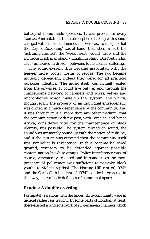battery of home-made speakers. It was present in every 'toasted'12 incantation. In an atmosphere shaking with sound, charged with smoke and nemesis, it was easy to imagine that the 'Day of Reckoning' was at hand; that when, at last, the 'lightning flashed', the 'weak heart' would 'drop and the righteous black man stand' ('Lightning Flash', Big Youth, Klik, 1975) armoured in dread, $13$  oblivious to his former suffering.

The sound-system thus became associated with the heavier more 'rootsy' forms of reggae. The two became mutually dependent; indeed they were, for all practical purposes, identical. The music itself was virtually exiled from the airwaves. It could live only in and through the cumbersome network of cabinets and wires, valves and microphones which make up the 'system' and which, though legally the property of an individual entrepreneur, was owned in a much deeper sense by the community. And it was through music, more than any other medium, that the communication with the past, with Jamaica, and hence Africa, considered vital for the maintenance of black identity, was possible. The 'system' turned on sound; the sound was intimately bound up with the notion of 'culture'; and if the system was attacked then the community itself was symbolically threatened. It thus became hallowed ground, territory to be defended against possible contamination by white groups. Police interference was, of course, vehemently resented and in some cases the mere presence of policemen was sufficient to provoke black youths to violent reprisal. The Notting Hill riot of 197614 and the Carib Club incident of 197415 can be interpreted in this way, as symbolic defences of communal space.

### **Exodus: A double crossing**

Fortunately relations with the larger white community were in general rather less fraught. In some parts of London, at least, there existed a whole network of subterranean channels which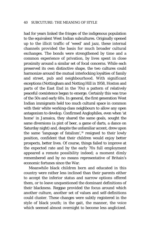had for years linked the fringes of the indigenous population to the equivalent West Indian subcultures. Originally opened up to the illicit traffic of 'weed' and jazz, these internal channels provided the basis for much broader cultural exchanges. The bonds were strengthened by time and a common experience of privation, by lives spent in close proximity around a similar set of focal concerns. While each preserved its own distinctive shape, the two cultures could harmonize around the mutual interlocking loyalties of family and street, pub and neighbourhood. With significant exceptions (Nottingham and Notting Hill in 1958, Hoxton and parts of the East End in the 70s) a pattern of relatively peaceful coexistence began to emerge. Certainly this was true of the 50s and early 60s. In general, the first generation West Indian immigrants held too much cultural space in common with their white working-class neighbours to allow any open antagonism to develop. Confirmed Anglophiles, even when 'at home' in Jamaica, they shared the same goals, sought the same diversions (a pint of beer, a game of darts, a dance on Saturday night) and, despite the unfamiliar accent, drew upon the same 'language of fatalism',16 resigned to their lowly position, confident that their children would enjoy better prospects, better lives. Of course, things failed to improve at the expected rate and by the early 70s full employment appeared a remote possibility indeed; a moment dimly remembered and by no means representative of Britain's economic fortunes since the War.

Meanwhile black children born and educated in this country were rather less inclined than their parents either to accept the inferior status and narrow options offered them, or to leave unquestioned the dominant definitions of their blackness. Reggae provided the focus around which another culture, another set of values and self-definitions could cluster. These changes were subtly registered in the style of black youth; in the gait, the manner, the voice which seemed almost overnight to become less anglicized.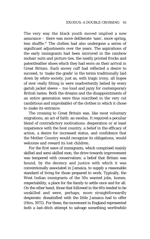The very way the black youth moved implied a new assurance – there was more deliberate 'sass', more spring, less shuffle.17 The clothes had also undergone a series of significant adjustments over the years. The aspirations of the early immigrants had been mirrored in the rainbow mohair suits and picture ties, the neatly printed frocks and patentleather shoes which they had worn on their arrival in Great Britain. Each snowy cuff had reflected a desire to succeed, to 'make the grade' in the terms traditionally laid down by white society, just as, with tragic irony, all hopes of ever really fitting in were inadvertently belied by every garish jacket sleeve – too loud and jazzy for contemporary British tastes. Both the dreams and the disappointments of an entire generation were thus inscribed in the very cut (ambitious and improbable) of the clothes in which it chose to make its entrance.

The crossing to Great Britain was, like most voluntary migrations, an act of faith: an exodus. It required a peculiar blend of contradictory motivations: desperation or at least impatience with the host country, a belief in the efficacy of action, a desire for increased status, and confidence that the Mother Country would recognize its obligations, would welcome and reward its lost children.

For the first wave of immigrants, which comprised mainly skilled and semi-skilled men, the drive towards improvement was tempered with conservatism: a belief that Britain was bound, by the decency and justice with which it was conventionally associated in Jamaica, to supply a reasonable standard of living for those prepared to work. Typically, the West Indian immigrants of the 50s wanted jobs, homes, respectability, a place for the family to settle once and for all. On the other hand, those that followed in the 60s tended to be unskilled and were, perhaps, more straightforwardly desperate: dissatisfied with the little Jamaica had to offer (Hiro, 1972). For these, the movement to England represented both a last-ditch attempt to salvage something worthwhile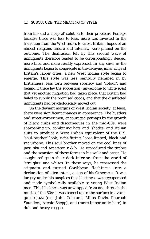from life and a 'magical' solution to their problems. Perhaps because there was less to lose, more was invested in the transition from the West Indies to Great Britain: hopes of an almost religious nature and intensity were pinned on the outcome. The disillusion felt by this second wave of immigrants therefore tended to be correspondingly deeper, more final and more readily expressed. In any case, as the immigrants began to congregate in the decaying inner rings of Britain's larger cities, a new West Indian style began to emerge. This style was less painfully hemmed in by Britishness, less torn between sobriety and 'colour', and behind it there lay the suggestion (unwelcome to white eyes) that yet another migration had taken place, that Britain had failed to supply the promised goods, and that the disaffected immigrants had psychologically moved out.

On the deviant margins of West Indian society, at least, there were significant changes in appearance. The hustlers and street-corner men, encouraged perhaps by the growth of black clubs and discotheques in the mid-60s, were sharpening up, combining hats and 'shades' and Italian suits to produce a West Indian equivalent of the U.S. 'soul-brother' look; tight-fitting, loose-limbed, black and yet urbane. This soul brother moved on the cool lines of jazz, ska and American r & b. He reproduced the timbre and the scansion of these forms in his walk and argot. He sought refuge in their dark interiors from the world of 'straights' and whites. In these ways, he reassessed the stigmata and turned Caribbean flashiness into a declaration of alien intent, a sign of his Otherness. It was largely under his auspices that blackness was recuperated and made symbolically available to young West Indian men. This blackness was unwrapped from and through the music of the 60s; it was teased up to the surface in *avantgarde* jazz (e.g. John Coltrane, Milos Davis, Pharoah Saunders, Archie Shepp), and (more importantly here) in dub and heavy reggae.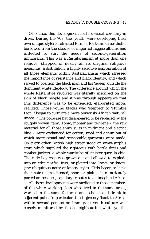Of course, this development had its visual corollary in dress. During the 70s, the 'youth' were developing their own unique style: a refracted form of Rastafarian aesthetic, borrowed from the sleeves of imported reggae albums and inflected to suit the needs of second-generation immigrants. This was a Rastafarianism at more than one remove, stripped of nearly all its original religious meanings: a distillation, a highly selective appropriation of all those elements within Rastafarianism which stressed the importance of resistance and black identity, and which served to position the black man and his 'queen' outside the dominant white ideology. The difference around which the whole Rasta style revolved was literally inscribed on the skin of black people and it was through appearance that this difference was to be extended, elaborated upon, realized. Those young blacks who 'stepped' to 'Humble Lion'19 began to cultivate a more obviously African 'natural' image.20 The pork-pie hat disappeared to be replaced by the roughly woven 'tam'. Tonic, mohair and terylene – the raw material for all those shiny suits in midnight and electric blue – were exchanged for cotton, wool and denim out of which more casual and serviceable garments were made. On every other British high street stood an army-surplus store which supplied the righteous with battle dress and combat jackets: a whole wardrobe of sinister guerilla chic. The rude boy crop was grown out and allowed to explode into an ethnic 'Afro' frizz, or plaited into 'locks' or 'knots' (the ubiquitous natty or knotty style). Girls began to leave their hair unstraightened, short or plaited into intricately parted arabesques, capillary tributes to an imagined Africa.

All these developments were mediated to those members of the white working class who lived in the same areas, worked in the same factories and schools and drank in adjacent pubs. In particular, the trajectory 'back to Africa' within second-generation immigrant youth culture was closely monitored by those neighbouring white youths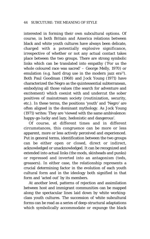interested in forming their own subcultural options. Of course, in both Britain and America relations between black and white youth cultures have always been delicate, charged with a potentially explosive significance, irrespective of whether or not any actual contact takes place between the two groups. There are strong symbolic links which can be translated into empathy ('For us the whole coloured race was sacred' – George Melly, 1970) or emulation (e.g. hard drug use in the modern jazz  $era^{21}$ ). Both Paul Goodman (1968) and Jock Young (1971) have characterized the Negro as the quintessential subterranean, embodying all those values (the search for adventure and excitement) which coexist with and undercut the sober positives of mainstream society (routinization, security, etc.). In these terms, the positions 'youth' and 'Negro' are often aligned in the dominant mythology. As Jock Young (1971) writes: They are 'viewed with the same ambivalence: happy-go-lucky and lazy, hedonistic and dangerous'.

Of course, at different times and in different circumstances, this congruence can be more or less apparent, more or less actively perceived and experienced. Put in general terms, identification between the two groups can be either open or closed, direct or indirect, acknowledged or unacknowledged. It can be recognized and extended into actual links (the mods, skinheads and punks) or repressed and inverted into an antagonism (teds, greasers). In either case, the relationship represents a crucial determining factor in the evolution of each youth cultural form and in the ideology both signified in that form and 'acted out' by its members.

At another level, patterns of rejection and assimilation between host and immigrant communities can be mapped along the spectacular lines laid down by white workingclass youth cultures. The succession of white subcultural forms can be read as a series of deep-structural adaptations which symbolically accommodate or expunge the black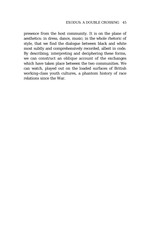presence from the host community. It is on the plane of aesthetics: in dress, dance, music; in the whole rhetoric of style, that we find the dialogue between black and white most subtly and comprehensively recorded, albeit in code. By describing, interpreting and deciphering these forms, we can construct an oblique account of the exchanges which have taken place between the two communities. We can watch, played out on the loaded surfaces of British working-class youth cultures, a phantom history of race relations since the War.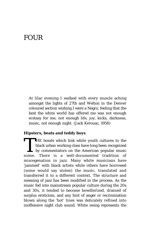# **FOUR**

At lilac evening I walked with every muscle aching amongst the lights of 27th and Welton in the Denver coloured section wishing I were a Negro, feeling that the best the white world has offered me was not enough ecstasy for me, not enough life, joy, kicks, darkness, music, not enough night. (Jack Kerouac, 1958)

## **Hipsters, beats and teddy boys**

THE bonds which link white youth cultures to the<br>black urban working class have long been recognized<br>by commentators on the American popular music black urban working class have long been recognized scene. There is a well-documented tradition of miscegenation in jazz. Many white musicians have 'jammed' with black artists while others have borrowed (some would say stolen) the music, translated and transferred it to a different context. The structure and meaning of jazz has been modified in the process. As the music fed into mainstream popular culture during the 20s and 30s, it tended to become bowdlerized, drained of surplus eroticism, and any hint of anger or recrimination blown along the 'hot' lines was delicately refined into inoffensive night club sound. White swing represents the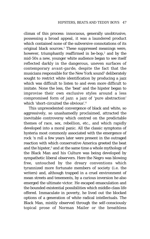climax of this process: innocuous, generally unobtrusive, possessing a broad appeal, it was a laundered product which contained none of the subversive connotations of its original black sources.<sup>1</sup> These suppressed meanings were, however, triumphantly reaffirmed in be-bop,<sup>2</sup> and by the mid-50s a new, younger white audience began to see itself reflected darkly in the dangerous, uneven surfaces of contemporary *avant-garde*, despite the fact that the musicians responsible for the New York sound<sup>3</sup> deliberately sought to restrict white identification by producing a jazz which was difficult to listen to and even more difficult to imitate. None the less, the 'beat' and the hipster began to improvise their own exclusive styles around a less compromised form of jazz: a jazz of 'pure abstraction' which 'short-circuited the obvious'.4

This unprecedented convergence of black and white, so aggressively, so unashamedly proclaimed, attracted the inevitable controversy which centred on the predictable themes of race, sex, rebellion, etc., and which rapidly developed into a moral panic. All the classic symptoms of hysteria most commonly associated with the emergence of rock 'n roll a few years later were present in the outraged reaction with which conservative America greeted the beat and the hipster,<sup>5</sup> and at the same time a whole mythology of the Black Man and his Culture was being developed by sympathetic liberal observers. Here the Negro was blowing free, untouched by the dreary conventions which tyrannized more fortunate members of society (i.e. the writers) and, although trapped in a cruel environment of mean streets and tenements, by a curious inversion he also emerged the ultimate victor. He escaped emasculation and the bounded existential possibilities which middle-class life offered. Immaculate in poverty, he lived out the blocked options of a generation of white radical intellectuals. The Black Man, mistily observed through the self-consciously topical prose of Norman Mailer or the breathless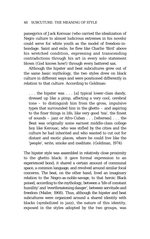panegyrics of Jack Kerouac (who carried the idealization of Negro culture to almost ludicrous extremes in his novels) could serve for white youth as the model of freedom-inbondage. Saint and exile, he flew like Charlie 'Bird' above his wretched condition, expressing and transcending contradictions through his art in every solo statement blown (God knows how!) through every battered sax.

Although the hipster and beat subcultures grew out of the same basic mythology, the two styles drew on black culture in different ways and were positioned differently in relation to that culture. According to Goldman:

. . . the hipster was . . . [a] typical lower-class dandy, dressed up like a pimp, affecting a very cool, cerebral tone – to distinguish him from the gross, impulsive types that surrounded him in the ghetto – and aspiring to the finer things in life, like very good 'tea', the finest of sounds – jazz or Afro-Cuban . . . [whereas] . . . the Beat was originally some earnest middle-class college boy like Kerouac, who was stifled by the cities and the culture he had inherited and who wanted to cut out for distant and exotic places, where he could live like the 'people', write, smoke and meditate. (Goldman, 1974)

The hipster style was assembled in relatively close proximity to the ghetto black: it gave formal expression to an experienced bond, it shared a certain amount of communal space, a common language, and revolved around similar focal concerns. The beat, on the other hand, lived an imaginary relation to the Negro-as-noble-savage, to that heroic Black poised, according to the mythology, between a 'life of constant humility' and 'everthreatening danger', between servitude and freedom (Mailer, 1968). Thus, although the hipster and beat subcultures were organized around a shared identity with blacks (symbolized in jazz), the nature of this identity, exposed in the styles adopted by the two groups, was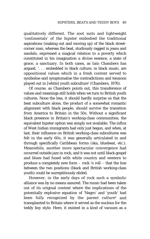qualitatively different. The zoot suits and lightweight 'continentals' of the hipster embodied the traditional aspirations (making out and moving up) of the black streetcorner man, whereas the beat, studiously ragged in jeans and sandals, expressed a magical relation to a poverty which constituted in his imagination a divine essence, a state of grace, a sanctuary. In both cases, as Iain Chambers has argued, '. . . embedded in black culture, in black music, are oppositional values which in a fresh context served to symbolise and symptomatise the contradictions and tensions played out in [white] youth subculture' (Chambers, 1976).

Of course, as Chambers points out, this transference of values and meanings still holds when we turn to British youth cultures. None the less, it should hardly surprise us that the beat subculture alone, the product of a somewhat romantic alignment with black people, should survive the transition from America to Britain in the 50s. Without a significant black presence in Britain's working-class communities, the equivalent hipster option was simply not available. The influx of West Indian immigrants had only just begun, and when, at last, their influence on British working-class subcultures was felt in the early 60s, it was generally articulated in and through specifically Caribbean forms (ska, bluebeat, etc.). Meanwhile, another more spectacular convergence had occurred outside jazz in rock, and it was not until black gospel and blues had fused with white country and western to produce a completely new form – rock 'n roll – that the line between the two positions (black and British working-class youth) could be surreptitiously elided.

However, in the early days of rock such a symbolic alliance was by no means assured. The music had been taken out of its original context where the implications of the potentially explosive equation of 'Negro' and 'youth' had been fully recognized by the parent culture<sup>6</sup> and transplanted to Britain where it served as the nucleus for the teddy boy style. Here, it existed in a kind of vacuum as a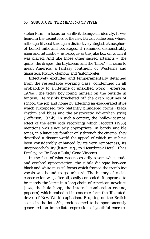stolen form – a focus for an illicit delinquent identity. It was heard in the vacant lots of the new British coffee bars where, although filtered through a distinctively English atmosphere of boiled milk and beverages, it remained demonstrably alien and futuristic – as baroque as the juke box on which it was played. And like those other sacred artefacts – the quiffs, the drapes, the Brylcreem and the 'flicks' – it came to mean America, a fantasy continent of Westerns and gangsters, luxury, glamour and 'automobiles'.

Effectively excluded and temperamentally detached from the respectable working class, condemned in all probability to a lifetime of unskilled work (Jefferson, 1976a), the teddy boy found himself on the outside in fantasy. He visibly bracketed off the drab routines of school, the job and home by affecting an exaggerated style which juxtaposed two blatantly plundered forms (black rhythm and blues and the aristocratic Edwardian style) (Jefferson, 1976b). In such a context, the 'hollow cosmos' effect of the early rock recordings which Hoggart (1958) mentions was singularly appropriate: in barely audible tones, in a language familiar only through the cinema, they described a distant world the appeal of which must have been considerably enhanced by its very remoteness, its unapproachability (listen, e.g.; to 'Heartbreak Hotel', Elvis Presley, or 'Be Bop a Lula,' Gene Vincent).

In the face of what was necessarily a somewhat crude and cerebral appropriation, the subtle dialogue between black and white musical forms which framed the trembling vocals was bound to go unheard. The history of rock's construction was, after all, easily concealed. It appeared to be merely the latest in a long chain of American novelties (jazz, the hula hoop, the internal combustion engine, popcorn) which embodied in concrete form the 'liberated' drives of New World capitalism. Erupting on the British scene in the late 50s, rock seemed to be spontaneously generated, an immediate expression of youthful energies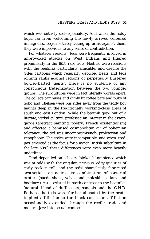which was entirely self-explanatory. And when the teddy boys, far from welcoming the newly arrived coloured immigrants, began actively taking up arms against them, they were impervious to any sense of contradiction.

For whatever reasons,<sup>7</sup> teds were frequently involved in unprovoked attacks on West Indians and figured prominently in the 1958 race riots. Neither were relations with the beatniks particularly amicable, and despite the Giles cartoons which regularly depicted beats and teds joining ranks against legions of perpetually flustered bowler-hatted 'gents', there is no evidence of any conspicuous fraternization between the two younger groups. The subcultures were in fact literally worlds apart. The college campuses and dimly lit coffee bars and pubs of Soho and Chelsea were bus rides away from the teddy boy haunts deep in the traditionally working-class areas of south and east London. While the beatnik grew out of a literate, verbal culture, professed an interest in the *avantgarde* (abstract painting, poetry, French existentialism) and affected a bemused cosmopolitan air of bohemian tolerance, the ted was uncompromisingly proletarian and xenophobic. The styles were incompatible, and when 'trad' jazz emerged as the focus for a major British subculture in the late 50s.<sup>8</sup> these differences were even more heavily underlined.

Trad depended on a beery 'blokeish' ambience which was at odds with the angular, nervous, edgy qualities of early rock 'n roll, and the teds' shamelessly fabricated aesthetic – an aggressive combination of sartorial exotica (suede shoes, velvet and moleskin collars, and bootlace ties) – existed in stark contrast to the beatniks' 'natural' blend of dufflecoats, sandals and the C.N.D. Perhaps the teds were further alienated by the beats' implied affiliation to the black cause, an affiliation occasionally extended through the reefer trade and modern jazz into actual contact.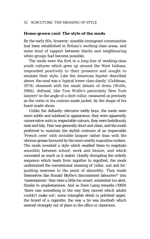#### **Home-grown cool: The style of the mods**

By the early 60s, however, sizeable immigrant communities had been established in Britain's working-class areas, and some kind of rapport between blacks and neighbouring white groups had become possible.

The mods were the first in a long line of working-class youth cultures which grew up around the West Indians, responded positively to their presence and sought to emulate their style. Like the American hipster described above, the mod was a 'typical lower-class dandy' (Goldman, 1974) obsessed with the small details of dress (Wolfe, 1966), defined, like Tom Wolfe's pernickety New York lawyers<sup>9</sup> in the angle of a shirt collar, measured as precisely as the vents in his custom-made jacket; by the shape of his hand-made shoes.

Unlike the defiantly obtrusive teddy boys, the mods were more subtle and subdued in appearance: they wore apparently conservative suits in respectable colours, they were fastidiously neat and tidy. Hair was generally short and clean, and the mods preferred to maintain the stylish contours of an impeccable 'French crew' with invisible lacquer rather than with the obvious grease favoured by the more overtly masculine rockers. The mods invented a style which enabled them to negotiate smoothly between school, work and leisure, and which concealed as much as it stated. Quietly disrupting the orderly sequence which leads from signifier to signified, the mods undermined the conventional meaning of 'collar, suit and tie', pushing neatness to the point of absurdity. They made themselves like Ronald Blythe's discontented labourers<sup>10</sup> into 'masterpieces': they were a little *too* smart, somewhat *too* alert, thanks to amphetamines. And as Dave Laing remarks (1969) 'there was something in the way they moved which adults couldn't make out'; some intangible detail (a polished upper, the brand of a cigarette, the way a tie was knotted) which seemed strangely out of place in the office or classroom.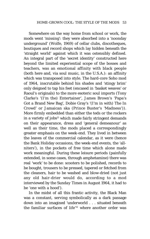Somewhere on the way home from school or work, the mods went 'missing': they were absorbed into a 'noonday underground' (Wolfe, 1969) of cellar clubs, discotheques, boutiques and record shops which lay hidden beneath the 'straight world' against which it was ostensibly defined. An integral part of the 'secret identity' constructed here beyond the limited experiential scope of the bosses and teachers, was an emotional affinity with black people (both here and, via soul music, in the U.S.A.): an affinity which was transposed into style. The hard-core Soho mod of 1964, inscrutable behind his shades and 'stingy brim' only deigned to tap his feet (encased in 'basket weaves' or Raoul's originals) to the more esoteric soul imports (Tony Clarke's '(I'm the) Entertainer', James Brown's 'Papa's Got a Brand New Bag', Dobie Gray's '(I'm in with) The In Crowd' or Jamaican ska (Prince Buster's 'Madness')). More firmly embedded than either the teds or the rockers in a variety of jobs $11$  which made fairly stringent demands on their appearance, dress and 'general demeanour' as well as their time, the mods placed a correspondingly greater emphasis on the week-end. They lived in between the leaves of the commercial calendar, as it were (hence the Bank Holiday occasions, the week-end events, the 'allniters'), in the pockets of free time which alone made work meaningful. During these leisure periods (painfully extended, in some cases, through amphetamine) there was real 'work' to be done: scooters to be polished, records to be bought, trousers to be pressed, tapered or fetched from the cleaners, hair to be washed and blow-dried (not just any old hair-drier would do, according to a mod interviewed by the *Sunday Times* in August 1964, it had to be 'one with a hood').

In the midst of all this frantic activity, the Black Man was a constant, serving symbolically as a dark passage down into an imagined 'underworld . . . situated beneath the familiar surfaces of life'12 where another order was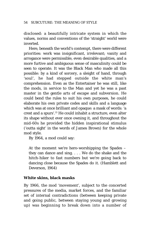disclosed: a beautifully intricate system in which the values, norms and conventions of the 'straight' world were inverted.

Here, beneath the world's contempt, there were different priorities: work was insignificant, irrelevant; vanity and arrogance were permissible, even desirable qualities, and a more furtive and ambiguous sense of masculinity could be seen to operate. It was the Black Man who made all this possible: by a kind of sorcery, a sleight of hand, through 'soul', he had stepped outside the white man's comprehension. Even as the Entertainer he was still, like the mods, in service to the Man and yet he was a past master in the gentle arts of escape and subversion. He could bend the rules to suit his own purposes, he could elaborate his own private codes and skills and a language which was at once brilliant and opaque: a mask of words: 'a crest and a spurs'.13 He could inhabit a structure, even alter its shape without ever once owning it, and throughout the mid-60s he provided the hidden inspirational stimulus ('outta sight' in the words of James Brown) for the whole mod style.

By 1964, a mod could say:

At the moment we're hero-worshipping the Spades – they can dance and sing. . . . We do the shake and the hitch-hiker to fast numbers but we're going back to dancing close because the Spades do it. (Hamblett and Deverson, 1964)

## **White skins, black masks**

By 1966, the mod 'movement', subject to the concerted pressures of the media, market forces, and the familiar set of internal contradictions (between keeping private and going public, between staying young and growing up) was beginning to break down into a number of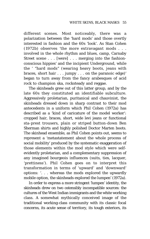different scenes. Most noticeably, there was a polarization between the 'hard mods' and those overtly interested in fashion and the 60s 'look'. As Stan Cohen (1972b) observes 'the more extravagant mods . . . involved in the whole rhythm and blues, camp, Carnaby Street scene . . . [were] . . . merging into the fashionconscious hippies' and the incipient Underground, while the ' "hard mods" (wearing heavy boots, jeans with braces, short hair . . . jumpy . . . on the paranoic edge)' began to turn away from the fancy arabesques of acid rock to champion ska, rocksteady and reggae.

The skinheads grew out of this latter group, and by the late 60s they constituted an identifiable subculture. Aggressively proletarian, puritanical and chauvinist, the skinheads dressed down in sharp contrast to their mod antecedents in a uniform which Phil Cohen (1972a) has described as a 'kind of caricature of the model worker': cropped hair, braces, short, wide levi jeans or functional sta-prest trousers, plain or striped button-down Ben Sherman shirts and highly polished Doctor Marten boots. The skinhead ensemble, as Phil Cohen points out, seems to represent a 'metastatement about the whole process of social mobility' produced by the systematic exaggeration of those elements within the mod style which were selfevidently proletarian, and a complementary suppression of any imagined bourgeois influences (suits, ties, lacquer, 'prettiness'). Phil Cohen goes on to interpret this transformation in terms of 'upward' and 'downward' options: '. . . whereas the mods explored the upwardly mobile option, the skinheads explored the lumpen' (1972a).

In order to express a more stringent 'lumpen' identity, the skinheads drew on two ostensibly incompatible sources: the cultures of the West Indian immigrants and the white working class. A somewhat mythically conceived image of the traditional working-class community with its classic focal concerns, its acute sense of territory, its tough exteriors, its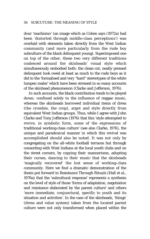dour 'machismo' (an image which as Cohen says (1972a) had been 'distorted through middle-class perceptions') was overlaid with elements taken directly from the West Indian community (and more particularly from the rude boy subculture of the black delinquent young). Superimposed one on top of the other, these two very different traditions coalesced around the skinheads' visual style which simultaneously embodied both: the clean-cut, neatly pressed delinquent look owed at least as much to the rude boys as it did to the 'formalised and very "hard" stereotypes of the white lumpen males' which have been stressed in so many accounts of the skinhead phenomenon (Clarke and Jefferson, 1976).

In such accounts, the black contribution tends to be played down: confined solely to the influence of reggae music, whereas the skinheads borrowed individual items of dress (the crombie, the crop), argot and style directly from equivalent West Indian groups. Thus, while I agree with John Clarke and Tony Jefferson (1976) that this 'style attempted to revive, in symbolic form, some of the expressions of traditional working-class culture' (see also Clarke, 1976), the unique and paradoxical manner in which this revival was accomplished should also be noted. It was not only by congregating on the all-white football terraces but through consorting with West Indians at the local youth clubs and on the street corners, by copying *their* mannerisms, adopting *their* curses, dancing to *their* music that the skinheads 'magically recovered' the lost sense of working-class community. Here we find a dramatic demonstration of the thesis put forward in *Resistance Through Rituals* (Hall *et al*., 1976a) that the 'subcultural response' represents a synthesis on the level of style of those 'forms of adaptation, negotiation and resistance elaborated by the parent culture' and others 'more immediate, conjunctural, specific to youth and its situation and activities'. In the case of the skinheads, 'things' (dress and value system) taken from the located parent culture were not only transformed when placed within the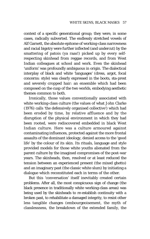context of a specific generational group; they were, in some cases, radically subverted. The endlessly stretched vowels of Alf Garnett, the absolute epitome of working-class narrowness and racial bigotry were further inflected (and *undercut*) by the smattering of patois (ya raas!) picked up by every selfrespecting skinhead from reggae records, and from West Indian colleagues at school and work. Even the skinhead 'uniform' was profoundly ambiguous in origin. The dialectical interplay of black and white 'languages' (dress, argot, focal concerns: style) was clearly expressed in the boots, sta-prest and severely cropped hair: an ensemble which had been composed on the cusp of the two worlds, embodying aesthetic themes common to both.

Ironically, those values conventionally associated with white working-class culture (the values of what John Clarke (1976) calls 'the defensively organised collective') which had been eroded by time, by relative affluence and by the disruption of the physical environment in which they had been rooted, were rediscovered embedded in black West Indian culture. Here was a culture armoured against contaminating influences, protected against the more frontal assaults of the dominant ideology, denied access to the 'good life' by the colour of its skin. Its rituals, language and style provided models for those white youths alienated from the parent culture by the imagined compromises of the post-war years. The skinheads, then, resolved or at least reduced the tension between an experienced present (the mixed ghetto) and an imaginary past (the classic white slum) by initiating a dialogue which reconstituted each in terms of the other.

But this 'conversation' itself inevitably created certain problems. After all, the most conspicuous sign of change (the black presence in traditionally white working-class areas) was being used by the skinheads to re-establish continuity with a broken past, to rehabilitate a damaged integrity, to resist other less tangible changes (embourgeoisement, the myth of classlessness, the breakdown of the extended family, the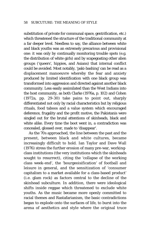substitution of private for communal space, gentrification, etc.) which threatened the structure of the traditional community at a far deeper level. Needless to say, the alliance between white and black youths was an extremely precarious and provisional one: it was only by continually monitoring trouble spots (e.g. the distribution of white girls) and by scapegoating other alien groups ('queers', hippies, and Asians) that internal conflict could be avoided. Most notably, 'paki-bashing' can be read as a displacement manoeuvre whereby the fear and anxiety produced by limited identification with one black group was transformed into aggression and directed against another black community. Less easily assimilated than the West Indians into the host community, as both Clarke (1976a, p. 102) and Cohen (1972a, pp. 29-30) take pains to point out, sharply differentiated not only by racial characteristics but by religious rituals, food taboos and a value system which encouraged deference, frugality and the profit motive, the Pakistanis were singled out for the brutal attentions of skinheads, black and white alike. Every time the boot went in, a contradiction was concealed, glossed over, made to 'disappear'.

As the 70s approached, the line between the past and the present, between black and white cultures, became increasingly difficult to hold. Ian Taylor and Dave Wall (1976) stress the further erosion of many pre-war, workingclass institutions (the very institutions which the skinheads sought to resurrect), citing the 'collapse of the working class week-end', the 'bourgeoisification' of football and leisure in general, and the sensitization of 'consumer capitalism to a market available for a class-based product' (i.e. glam rock) as factors central to the decline of the skinhead subculture. In addition, there were ideological shifts inside reggae which threatened to exclude white youths. As the music became more openly committed to racial themes and Rastafarianism, the basic contradictions began to explode onto the surfaces of life, to burst into the arena of aesthetics and style where the original truce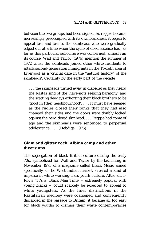between the two groups had been signed. As reggae became increasingly preoccupied with its own blackness, it began to appeal less and less to the skinheads who were gradually edged out at a time when the cycle of obsolescence had, as far as this particular subculture was concerned, almost run its course. Wall and Taylor (1976) mention the summer of 1972 when the skinheads joined other white residents to attack second-generation immigrants in the Toxteth area of Liverpool as a 'crucial date in the "natural history" of the skinheads'. Certainly by the early part of the decade

. . . the skinheads turned away in disbelief as they heard the Rastas sing of the 'have-nots seeking harmony' and the scatting dee-jays exhorting their black brothers to be 'good in (the) neighbourhood'. . . . It must have seemed as the rudies closed their ranks that they had also changed their sides and the doors were doubly locked against the bewildered skinhead. . . . Reggae had come of age and the skinheads were sentenced to perpetual adolescence. . . . (Hebdige, 1976)

# **Glam and glitter rock: Albino camp and other diversions**

The segregation of black British culture during the early 70s, symbolized for Wall and Taylor by the launching in November 1973 of a magazine called *Black Music* aimed specifically at the West Indian market, created a kind of impasse in white working-class youth culture. After all, I-Roy's '(It's a) Black Man Time' – extremely popular with young blacks – could scarcely be expected to appeal to white youngsters. As the finer distinctions in the Rastafarian ideology were coarsened and conveniently discarded in the passage to Britain, it became all too easy for black youths to dismiss their white contemporaries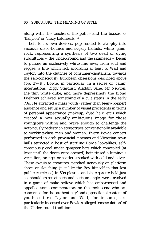along with the teachers, the police and the bosses as 'Babylon' or 'crazy baldheads'.<sup>14</sup>

Left to its own devices, pop tended to atrophy into vacuous disco-bounce and sugary ballads, while 'glam' rock, representing a synthesis of two dead or dying subcultures – the Underground and the skinheads – began to pursue an exclusively white line away from soul and reggae; a line which led, according at least to Wall and Taylor, into the clutches of consumer-capitalism, towards the self-consciously European obsessions described above (pp. 27–9). Bowie, in particular, in a series of 'camp' incarnations (Ziggy Stardust, Aladdin Sane, Mr Newton, the thin white duke, and more depressingly the Blond Fuehrer) achieved something of a cult status in the early 70s. He attracted a mass youth (rather than teeny-bopper) audience and set up a number of visual precedents in terms of personal appearance (makeup, dyed hair, etc.) which created a new sexually ambiguous image for those youngsters willing and brave enough to challenge the notoriously pedestrian stereotypes conventionally available to working-class men and women. Every Bowie concert performed in drab provincial cinemas and Victorian town halls attracted a host of startling Bowie lookalikes, selfconsciously cool under gangster hats which concealed (at least until the doors were opened) hair rinsed a luminous vermilion, orange, or scarlet streaked with gold and silver. These exquisite creatures, perched nervously on platform shoes or slouching (just like the Boy himself in that last publicity release) in 50s plastic sandals, cigarette held just so, shoulders set at such and such an angle, were involved in a game of make-believe which has embarrassed and appalled some commentators on the rock scene who are concerned for the 'authenticity' and oppositional content of youth culture. Taylor and Wall, for instance, are particularly incensed over Bowie's alleged 'emasculation' of the Underground tradition: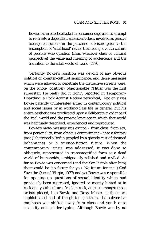Bowie has in effect colluded in consumer capitalism's attempt to re-create a dependent adolescent class, involved as passive teenage consumers in the purchase of leisure prior to the assumption of 'adulthood' rather than being a youth culture of persons who question (from whatever class or cultural perspective) the value and meaning of adolescence and the transition to the adult world of work. (1976)

Certainly Bowie's position was devoid of any obvious political or counter-cultural significance, and those messages which were allowed to penetrate the distractive screens were, on the whole, positively objectionable ('Hitler was the first superstar. He really did it right', reported in *Temporary Hoarding*, a Rock Against Racism periodical). Not only was Bowie patently uninterested either in contemporary political and social issues or in working-class life in general, but his entire aesthetic was predicated upon a deliberate avoidance of the 'real' world and the prosaic language in which that world was habitually described, experienced and reproduced.

Bowie's meta-message was escape – from class, from sex, from personality, from obvious commitment – into a fantasy past (Isherwood's Berlin peopled by a ghostly cast of doomed bohemians) or a science-fiction future. When the contemporary 'crisis' was addressed, it was done so obliquely, represented in transmogrified form as a dead world of humanoids, ambiguously relished and reviled. As far as Bowie was concerned (and the Sex Pistols after him) there could be 'no future for you, No future for me' ('God Save the Queen', Virgin, 1977) and yet Bowie was responsible for opening up questions of sexual identity which had previously been repressed, ignored or merely hinted at in rock and youth culture. In glam rock, at least amongst those artists placed, like Bowie and Roxy Music, at the more sophisticated end of the glitter spectrum, the subversive emphasis was shifted away from class and youth onto sexuality and gender typing. Although Bowie was by no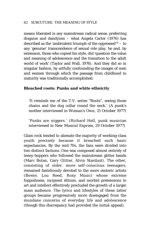means liberated in any mainstream radical sense, preferring disguise and dandyism – what Angela Carter (1976) has described as the 'ambivalent triumph of the oppressed'15 – to any 'genuine' transcendence of sexual role play, he and, by extension, those who copied his style, *did* 'question the value and meaning of adolescence and the transition to the adult world of work' (Taylor and Wall, 1976). And they did so in singular fashion, by artfully confounding the images of men and women through which the passage from childhood to maturity was traditionally accomplished.

# **Bleached roots: Punks and white ethnicity**

'It reminds me of the T.V. series "Roots", seeing those chains and the dog collar round the neck.' (A punk's mother interviewed in *Woman's Own*, 15 October 1977)

'Punks are niggers.' (Richard Hell, punk musician interviewed in *New Musical Express*, 29 October 1977)

Glam rock tended to alienate the majority of working-class youth precisely because it breached such basic expectancies. By the mid-70s, the fans were divided into two distinct factions. One was composed almost entirely of teeny-boppers who followed the mainstream glitter bands (Marc Bolan, Gary Glitter, Alvin Stardust). The other, consisting of older, more self-conscious teenagers, remained fastidiously devoted to the more esoteric artists (Bowie, Lou Reed, Roxy Music) whose extreme foppishness, incipient élitism, and morbid pretensions to art and intellect effectively precluded the growth of a larger mass audience. The lyrics and lifestyles of these latter groups became progressively more disengaged from the mundane concerns of everyday life and adolescence (though this discrepancy had provided the initial appeal).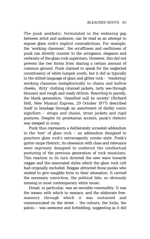The punk aesthetic, formulated in the widening gap between artist and audience, can be read as an attempt to expose glam rock's implicit contradictions. For example, the 'working classness', the scruffiness and earthiness of punk ran directly counter to the arrogance, elegance and verbosity of the glam rock superstars. However, this did not prevent the two forms from sharing a certain amount of common ground. Punk claimed to speak for the neglected constituency of white lumpen youth, but it did so typically in the stilted language of glam and glitter rock – 'rendering' working classness metaphorically in chains and hollow cheeks, 'dirty' clothing (stained jackets, tarty see-through blouses) and rough and ready diction. Resorting to parody, the blank generation, 'classified null by society' (Richard Hell, *New Musical Express*, 29 October 1977) described itself in bondage through an assortment of darkly comic signifiers – straps and chains, strait jackets and rigid postures. Despite its proletarian accents, punk's rhetoric was steeped in irony.

Punk thus represents a deliberately scrawled addendum to the 'text' of glam rock – an addendum designed to puncture glam rock's extravagantly ornate style. Punk's gutter-snipe rhetoric, its obsession with class and relevance were expressly designed to undercut the intellectual posturing of the previous generation of rock musicians. This reaction in its turn directed the new wave towards reggae and the associated styles which the glam rock cult had originally excluded. Reggae attracted those punks who wished to give tangible form to their alienation. It carried the necessary conviction, the political bite, so obviously missing in most contemporary white music.

Dread, in particular, was an enviable commodity. It was the means with which to menace, and the elaborate freemasonry through which it was sustained and communicated on the street – the colours, the locks, the patois – was awesome and forbidding, suggesting as it did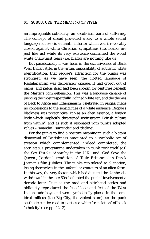an impregnable solidarity, an asceticism born of suffering. The concept of dread provided a key to a whole secret language: an exotic semantic interior which was irrevocably closed against white Christian sympathies (i.e. blacks are just like us) while its very existence confirmed the worst white chauvinist fears (i.e. blacks are nothing like us).

But paradoxically it was here, in the exclusiveness of Black West Indian style, in the virtual impossibility of authentic white identification, that reggae's attraction for the punks was strongest. As we have seen, the clotted language of Rastafarianism was deliberately opaque. It had grown out of patois, and patois itself had been spoken for centuries beneath the Master's comprehension. This was a language capable of piercing the most respectfully inclined white ear, and the themes of Back to Africa and Ethiopianism, celebrated in reggae, made no concessions to the sensibilities of a white audience. Reggae's blackness was proscriptive. It was an alien essence, a foreign body which implicitly threatened mainstream British culture from within<sup>16</sup> and as such it resonated with punk's adopted values – 'anarchy', 'surrender' and 'decline'.

For the punks to find a positive meaning in such a blatant disavowal of Britishness amounted to a symbolic act of treason which complemented, indeed completed, the sacrilegious programme undertaken in punk rock itself (c.f. the Sex Pistols' 'Anarchy in the U.K.' and 'God Save the Queen', Jordan's rendition of 'Rule Britannia' in Derek Jarman's film *Jubilee*). The punks capitulated to alienation, losing themselves in the unfamiliar contours of an alien form. In this way, the very factors which had dictated the skinheads' withdrawal in the late 60s facilitated the punks' involvement a decade later. Just as the mod and skinhead styles had obliquely reproduced the 'cool' look and feel of the West Indian rude boys and were symbolically placed in the same ideal milieux (the Big City, the violent slum), so the punk aesthetic can be read in part as a white 'translation' of black 'ethnicity' (see pp. 42–3).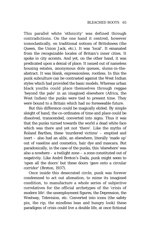This parallel white 'ethnicity' was defined through contradictions. On the one hand it centred, however iconoclastically, on traditional notions of Britishness (the Queen, the Union Jack, etc.). It was 'local'. It emanated from the recognizable locales of Britain's inner cities. It spoke in city accents. And yet, on the other hand, it was predicated upon a denial of place. It issued out of nameless housing estates, anonymous dole queues, slums-in-theabstract. It was blank, expressionless, rootless. In this the punk subculture can be contrasted against the West Indian styles which had provided the basic models. Whereas urban black youths could place themselves through reggae 'beyond the pale' in an imagined elsewhere (Africa, the West Indies) the punks were tied to present time. They were bound to a Britain which had no foreseeable future.

But this difference could be magically elided. By simple sleight of hand, the co-ordinates of time and place could be dissolved, transcended, converted into signs. Thus it was that the punks turned towards the world a dead white face which was there and yet not 'there'. Like the myths of Roland Barthes, these 'murdered victims' – emptied and inert – also had an alibi, an elsewhere, literally 'made up' out of vaseline and cosmetics, hair dye and mascara. But paradoxically, in the case of the punks, this 'elsewhere' was also a nowhere – a twilight zone – a zone constituted out of negativity. Like André Breton's Dada, punk might seem to 'open all the doors' but these doors 'gave onto a circular corridor' (Breton, 1937).

Once inside this desecrated circle, punk was forever condemned to act out alienation, to mime its imagined condition, to manufacture a whole series of subjective correlatives for the official archetypes of the 'crisis of modern life': the unemployment figures, the Depression, the Westway, Television, etc. Converted into icons (the safety pin, the rip, the mindless lean and hungry look) these paradigms of crisis could live a double life, at once fictional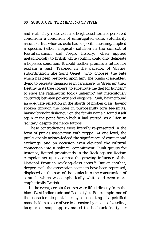and real. They reflected in a heightened form a perceived condition: a condition of unmitigated exile, voluntarily assumed. But whereas exile had a specific meaning, implied a specific (albeit magical) solution in the context of Rastafarianism and Negro history, when applied metaphorically to British white youth it could only delineate a hopeless condition. It could neither promise a future nor explain a past. Trapped in the paradox of 'divine' subordination like Saint Genet<sup>17</sup> who 'chooses' the Fate which has been bestowed upon him, the punks dissembled, dying to recreate themselves in caricature, to 'dress up' their Destiny in its true colours, to substitute the diet for hunger,<sup>18</sup> to slide the ragamuffin look ('unkempt' but meticulously coutured) between poverty and elegance. Punk, having found an adequate reflection in the shards of broken glass, having spoken through the holes in purposefully torn tee-shirts, having brought dishonour on the family name19*,* found itself again at the point from which it had started: as a 'lifer' in 'solitary' despite the fierce tattoos.

These contradictions were literally re-presented in the form of punk's association with reggae. At one level, the punks openly acknowledged the significance of contact and exchange, and on occasion even elevated the cultural connection into a political commitment. Punk groups for instance, figured prominently in the Rock against Racism campaign set up to combat the growing influence of the National Front in working-class areas.<sup>20</sup> But at another, deeper level, the association seems to have been repressed, displaced on the part of the punks into the construction of a music which was emphatically white and even more emphatically British.

In the event, certain features were lifted directly from the black West Indian rude and Rasta styles. For example, one of the characteristic punk hair-styles consisting of a petrified mane held in a state of vertical tension by means of vaseline, lacquer or soap, approximated to the black 'natty' or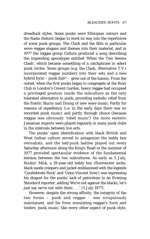dreadlock styles. Some punks wore Ethiopian colours and the Rasta rhetoric began to work its way into the repertoires of some punk groups. The Clash and the Slits in particular wove reggae slogans and themes into their material, and in 1977 the reggae group Culture produced a song describing the impending apocalypse entitled 'When the Two Sevens Clash', which became something of a catchphrase in select punk circles. Some groups (e.g. the Clash, Alternative T.V.) incorporated reggae numbers into their sets and a new hybrid form – punk dub<sup>21</sup> – grew out of the liaison. From the outset, when the first punks began to congregate at the Roxy Club in London's Covent Garden, heavy reggae had occupied a privileged position inside the subculture as the only tolerated alternative to punk, providing melodic relief from the frantic *Sturm und Drang* of new wave music. Partly for reasons of expediency (i.e. in the early days there was no recorded punk music) and partly through choice (because reggae was obviously 'rebel music') the more esoteric Jamaican imports were played regularly in many punk clubs in the intervals between live acts.

The punks' open identification with black British and West Indian culture served to antagonize the teddy boy revivalists, and the ted/punk battles played out every Saturday afternoon along the King's Road in the summer of 1977 provided spectacular evidence of the fundamental tension between the two subcultures. As early as 5 July, Rockin' Mick, a 19-year-old teddy boy (fluorescent socks, black suede creepers and jacket emblazoned with the legends 'Confederate Rock' and 'Gene Vincent lives') was expressing his disgust for the punks' lack of patriotism to an *Evening Standard* reporter, adding 'We're not against the blacks, let's just say we're not with them . . .' (5 July 1977).

However, despite the strong affinity, the integrity of the two forms – punk and reggae – was scrupulously maintained, and far from simulating reggae's form and timbre, punk music, like every other aspect of punk style,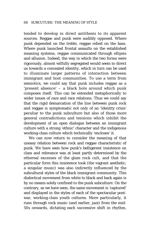tended to develop in direct antithesis to its apparent sources. Reggae and punk were audibly opposed. Where punk depended on the treble, reggae relied on the bass. Where punk launched frontal assaults on the established meaning systems, reggae communicated through ellipsis and allusion. Indeed, the way in which the two forms were rigorously, almost wilfully segregated would seem to direct us towards a concealed identity, which in turn can be used to illuminate larger patterns of interaction between immigrant and host communities. To use a term from semiotics, we could say that punk includes reggae as a 'present absence' – a black hole around which punk composes itself. This can be extended metaphorically to wider issues of race and race relations. Thus we could say that the rigid demarcation of the line between punk rock and reggae is symptomatic not only of an 'identity crisis' peculiar to the punk subculture but also of those more general contradictions and tensions which inhibit the development of an open dialogue between an immigrant culture with a strong 'ethnic' character and the indigenous working-class culture which technically 'encloses' it.

We can now return to consider the meaning of that uneasy relation between rock and reggae characteristic of punk. We have seen how punk's belligerent insistence on class and relevance was at least partly determined by the ethereal excesses of the glam rock cult, and that the particular form this insistence took (the vagrant aesthetic, a singular music) was also indirectly influenced by the subcultural styles of the black immigrant community. This dialectical movement from white to black and back again is by no means solely confined to the punk subculture. On the contrary, as we have seen, the same movement is 'captured' and displayed in the styles of each of the spectacular postwar, working-class youth cultures. More particularly, it runs through rock music (and earlier, jazz) from the mid-50s onwards, dictating each successive shift in rhythm,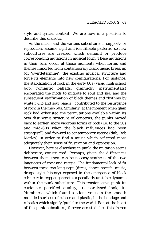style and lyrical content. We are now in a position to describe this dialectic.

As the music and the various subcultures it supports or reproduces assume rigid and identifiable patterns, so new subcultures are created which demand or produce corresponding mutations in musical form. These mutations in their turn occur at those moments when forms and themes imported from contemporary black music break up (or 'overdetermine') the existing musical structure and force its elements into new configurations. For instance, the stabilization of rock in the early 60s (vapid high school bop, romantic ballads, gimmicky instrumentals) encouraged the mods to migrate to soul and ska, and the subsequent reaffirmation of black themes and rhythms by white  $r \& b$  and soul bands<sup>22</sup> contributed to the resurgence of rock in the mid-60s. Similarly, at the moment when glam rock had exhausted the permutations available within its own distinctive structure of concerns, the punks moved back to earlier, more vigorous forms of rock (i.e. to the 50s and mid-60s when the black influences had been strongest<sup>23</sup>) and forward to contemporary reggae (dub, Bob Marley) in order to find a music which reflected more adequately their sense of frustration and oppression.

However, here as elsewhere in punk, the mutation seems deliberate, constructed. Perhaps, given the differences between them, there can be no easy synthesis of the two languages of rock and reggae. The fundamental lack of fit between these two languages (dress, dance, speech, music, drugs, style, history) exposed in the emergence of black ethnicity in reggae, generates a peculiarly unstable dynamic within the punk subculture. This tension gave punk its curiously petrified quality, its paralysed look, its 'dumbness' which found a silent voice in the smooth moulded surfaces of rubber and plastic, in the bondage and robotics which signify 'punk' to the world. For, at the heart of the punk subculture, forever arrested, lies this frozen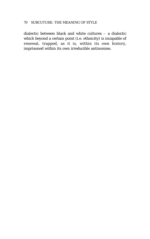# 70 SUBCUTURE: THE MEANING OF STYLE

dialectic between black and white cultures – a dialectic which beyond a certain point (i.e. ethnicity) is incapable of renewal, trapped, as it is, within its own history, imprisoned within its own irreducible antinomies.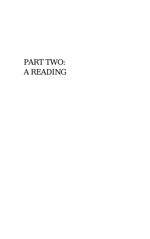# PART TWO: A READING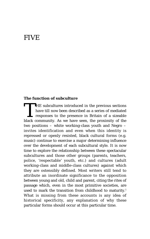# FIVE

# **The function of subculture**

THE subcultures introduced in the previous sections<br>have till now been described as a series of mediated<br>responses to the presence in Britain of a sizeable<br>black community. As we have seen the previmity of the have till now been described as a series of mediated black community. As we have seen, the proximity of the two positions – white working-class youth and Negro – invites identification and even when this identity is repressed or openly resisted, black cultural forms (e.g. music) continue to exercise a major determining influence over the development of each subcultural style. It is now time to explore the relationship between these spectacular subcultures and those other groups (parents, teachers, police, 'respectable' youth, etc.) and cultures (adult working-class and middle-class cultures) against which they are ostensibly defined. Most writers still tend to attribute an inordinate significance to the opposition between young and old, child and parent, citing the rites of passage which, even in the most primitive societies, are used to mark the transition from childhood to maturity.<sup>1</sup> What is missing from these accounts is any idea of historical specificity, any explanation of why these particular forms should occur at this particular time.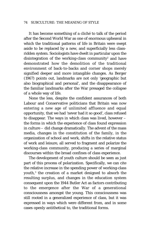#### 74 SUBCULTURE: THE MEANING OF STYLE

It has become something of a cliché to talk of the period after the Second World War as one of enormous upheaval in which the traditional patterns of life in Britain were swept aside to be replaced by a new, and superficially less classridden system. Sociologists have dwelt in particular upon the disintegration of the working-class community<sup>2</sup> and have demonstrated how the demolition of the traditional environment of back-to-backs and corner shops merely signified deeper and more intangible changes. As Berger (1967) points out, landmarks are not only 'geographic but also biographical and personal', and the disappearance of the familiar landmarks after the War presaged the collapse of a whole way of life.

None the less, despite the confident assurances of both Labour and Conservative politicians that Britain was now entering a new age of unlimited affluence and equal opportunity, that we had 'never had it so good', class refused to disappear. The ways in which class was *lived*, however – the forms in which the experience of class found expression in culture – did change dramatically. The advent of the mass media, changes in the constitution of the family, in the organization of school and work, shifts in the relative status of work and leisure, all served to fragment and polarize the working-class community, producing a series of marginal discourses within the broad confines of class experience.

The development of youth culture should be seen as just part of this process of polarization. Specifically, we can cite the relative increase in the spending power of working-class youth,<sup>3</sup> the creation of a market designed to absorb the resulting surplus, and changes in the education system consequent upon the 1944 Butler Act as factors contributing to the emergence after the War of a generational consciousness amongst the young. This consciousness was still rooted in a generalized experience of class, but it was expressed in ways which were different from, and in some cases openly antithetical to, the traditional forms.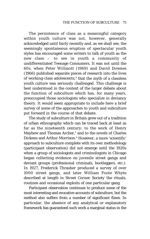The persistence of class as a meaningful category within youth culture was not, however, generally acknowledged until fairly recently and, as we shall see, the seemingly spontaneous eruption of spectacular youth styles has encouraged some writers to talk of youth as the new class – to see in youth a community of undifferentiated Teenage Consumers. It was not until the 60s, when Peter Willmott (1969) and David Downes (1966) published separate pieces of research into the lives of working-class adolescents,<sup>4</sup> that the myth of a classless youth culture was seriously challenged. This challenge is best understood in the context of the larger debate about the function of subculture which has, for many years, preoccupied those sociologists who specialize in deviancy theory. It would seem appropriate to include here a brief survey of some of the approaches to youth and subculture put forward in the course of that debate.

The study of subculture in Britain grew out of a tradition of urban ethnography which can be traced back at least as far as the nineteenth century: to the work of Henry Mayhew and Thomas Archer,<sup>5</sup> and to the novels of Charles Dickens and Arthur Morrison.6 However, a more 'scientific' approach to subculture complete with its own methodology (participant observation) did not emerge until the 1920s when a group of sociologists and criminologists in Chicago began collecting evidence on juvenile street gangs and deviant groups (professional criminals, bootleggers, etc.). In 1927, Frederick Thrasher produced a survey of over 1000 street gangs, and later William Foote Whyte described at length in *Street Corner Society* the rituals, routines and occasional exploits of one particular gang.

Participant observation continues to produce some of the most interesting and evocative accounts of subculture, but the method also suffers from a number of significant flaws. In particular, the absence of any analytical or explanatory framework has guaranteed such work a marginal status in the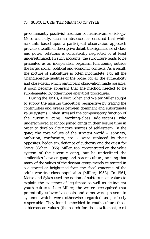predominantly positivist tradition of mainstream sociology.7 More crucially, such an absence has ensured that while accounts based upon a participant observation approach provide a wealth of descriptive detail, the significance of class and power relations is consistently neglected or at least underestimated. In such accounts, the subculture tends to be presented as an independent organism functioning outside the larger social, political and economic contexts. As a result, the picture of subculture is often incomplete. For all the Chandleresque qualities of the prose; for all the authenticity and close detail which participant observation made possible, it soon became apparent that the method needed to be supplemented by other more analytical procedures.

During the 1950s, Albert Cohen and Walter Miller sought to supply the missing theoretical perspective by tracing the continuities and breaks between dominant and subordinate value systems. Cohen stressed the compensatory function of the juvenile gang: working-class adolescents who underachieved at school joined gangs in their leisure time in order to develop alternative sources of self-esteem. In the gang, the core values of the straight world – sobriety, ambition, conformity, etc. – were replaced by their opposites: hedonism, defiance of authority and the quest for 'kicks' (Cohen, 1955). Miller, too, concentrated on the value system of the juvenile gang, but he underlined the similarities between gang and parent culture, arguing that many of the values of the deviant group merely reiterated in a distorted or heightened form the 'focal concerns' of the adult working-class population (Miller, 1958). In 1961, Matza and Sykes used the notion of subterranean values to explain the existence of legitimate as well as delinquent youth cultures. Like Miller, the writers recognized that potentially subversive goals and aims were present in systems which were otherwise regarded as perfectly respectable. They found embedded in youth culture those subterranean values (the search for risk, excitement, etc.)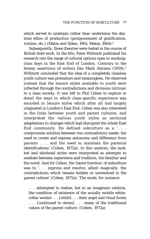which served to underpin rather than undermine the daytime ethos of production (postponement of gratification, routine, etc.) (Matza and Sykes, 1961; Matza, 1964).8

Subsequently, these theories were tested in the course of British field work. In the 60s, Peter Willmott published his research into the range of cultural options open to workingclass boys in the East End of London. Contrary to the breezy assertions of writers like Mark Abrams (1959),<sup>9</sup> Willmott concluded that the idea of a completely classless youth culture was premature and meaningless. He observed instead that the leisure styles available to youth were inflected through the contradictions and divisions intrinsic to a class society. It was left to Phil Cohen to explore in detail the ways in which class-specific experience was encoded in leisure styles which after all had largely originated in London's East End. Cohen was also interested in the links between youth and parent cultures, and interpreted the various youth styles as sectional adaptations to changes which had disrupted the *whole* East End community. He defined subculture as a '. . . compromise solution between two contradictory needs: the need to create and express autonomy and difference from parents . . . and the need to maintain the parental identifications' (Cohen, 1972a). In this analysis, the mod, ted and skinhead styles were interpreted as attempts to mediate between experience and tradition, the familiar and the novel. And for Cohen, the 'latent function' of subculture was to  $\therefore$ . express and resolve, albeit magically, the contradictions which remain hidden or unresolved in the parent culture' (Cohen, 1972a). The mods, for instance

. . . attempted to realise, but in an imaginary relation, the condition of existence of the socially mobile whitecollar worker . . . [while] . . . their argot and ritual forms . . . [continued to stress] . . . many of the traditional values of the parent culture. (Cohen, 1972a)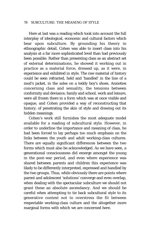#### 78 SUBCULTURE: THE MEANING OF STYLE

Here at last was a reading which took into account the full interplay of ideological, economic and cultural factors which bear upon subculture. By grounding his theory in ethnographic detail, Cohen was able to insert class into his analysis at a far more sophisticated level than had previously been possible. Rather than presenting class as an abstract set of external determinations, he showed it working out in practice as a material force, dressed up, as it were, in experience and exhibited in style. The raw material of history could be seen refracted, held and 'handled' in the line of a mod's jacket, in the soles on a teddy boy's shoes. Anxieties concerning class and sexuality, the tensions between conformity and deviance, family and school, work and leisure, were all frozen there in a form which was at once visible and opaque, and Cohen provided a way of reconstructing that history; of penetrating the skin of style and drawing out its hidden meanings.

Cohen's work still furnishes the most adequate model available for a reading of subcultural style. However, in order to underline the importance and meaning of class, he had been forced to lay perhaps too much emphasis on the links between the youth and adult working-class cultures. There are equally significant differences between the two forms which must also be acknowledged. As we have seen, a generational consciousness *did* emerge amongst the young in the post-war period, and even where experience was shared between parents and children this experience was likely to be differently interpreted, expressed and handled by the two groups. Thus, while obviously there are points where parent and adolescent 'solutions' converge and even overlap, when dealing with the spectacular subculture we should not grant these an absolute ascendancy. And we should be careful when attempting to tie back subcultural style to its generative context not to overstress the fit between respectable working-class culture and the altogether more marginal forms with which we are concerned here.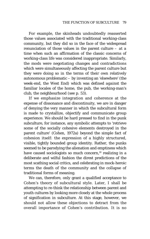For example, the skinheads undoubtedly reasserted those values associated with the traditional working-class community, but they did so *in the face of* the widespread renunciation of those values in the parent culture – *at a time when* such an affirmation of the classic concerns of working-class life was considered inappropriate. Similarly, the mods were negotiating changes and contradictions which were simultaneously affecting the parent culture but they were doing so in the terms of their own relatively autonomous problematic – by inventing an 'elsewhere' (the week-end, the West End) which was defined *against* the familiar locales of the home, the pub, the working-man's club, the neighbourhood (see p. 53).

If we emphasize integration and coherence at the expense of dissonance and discontinuity, we are in danger of denying the very manner in which the subcultural form is made to crystallize, objectify and communicate group experience. We should be hard pressed to find in the punk subculture, for instance, any symbolic attempts to 'retrieve some of the socially cohesive elements destroyed in the parent culture' (Cohen, 1972a) beyond the simple fact of cohesion itself: the expression of a highly structured, visible, tightly bounded group identity. Rather, the punks seemed to be parodying the alienation and emptiness which have caused sociologists so much concern,<sup>10</sup> realizing in a deliberate and wilful fashion the direst predictions of the most scathing social critics, and celebrating in mock-heroic terms the death of the community and the collapse of traditional forms of meaning.

We can, therefore, only grant a qualified acceptance to Cohen's theory of subcultural style. Later, I shall be attempting to re-think the relationship between parent and youth cultures by looking more closely at the whole process of signification in subculture. At this stage, however, we should not allow these objections to detract from the overall importance of Cohen's contribution. It is no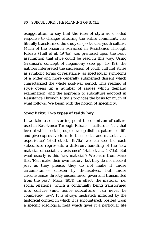exaggeration to say that the idea of style as a coded response to changes affecting the entire community has literally transformed the study of spectacular youth culture. Much of the research extracted in *Resistance Through Rituals* (Hall *et al*. 1976a) was premised upon the basic assumption that style could be read in this way. Using Gramsci's concept of hegemony (see pp. 15–19), the authors interpreted the succession of youth cultural styles as symbolic forms of resistance; as spectacular symptoms of a wider and more generally submerged dissent which characterized the whole post-war period. This reading of style opens up a number of issues which demand examination, and the approach to subculture adopted in *Resistance Through Rituals* provides the basis for much of what follows. We begin with the notion of specificity.

# **Specificity: Two types of teddy boy**

If we take as our starting point the definition of culture used in *Resistance Through Rituals* – culture is '. . . that level at which social groups develop distinct patterns of life and give *expressive form* to their social and material . . . experience' (Hall *et al*., 1976a) we can see that each subculture represents a different handling of the 'raw material of social. . . existence' (Hall *et al*., 1976a). But what exactly is this 'raw material'? We learn from Marx that 'Men make their own history, but they do not make it just as they please, they do not make it under circumstances chosen by themselves, but under circumstances directly encountered, given and transmitted from the past' (Marx, 1951). In effect, the material (i.e. social relations) which is continually being transformed into culture (and hence subculture) can never be completely 'raw'. It is always mediated: inflected by the historical context in which it is encountered; posited upon a specific ideological field which gives it a particular life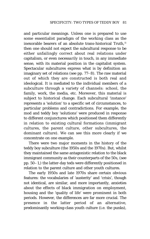and particular meanings. Unless one is prepared to use some essentialist paradigm of the working class as the inexorable bearers of an absolute trans-historical Truth.<sup>11</sup> then one should not expect the subcultural response to be either unfailingly correct about real relations under capitalism, or even *necessarily* in touch, in any immediate sense, with its material position in the capitalist system. Spectacular subcultures express what is by definition an imaginary set of relations (see pp. 77–8). The raw material out of which they are constructed is both real and ideological. It is mediated to the individual members of a subculture through a variety of channels: school, the family, work, the media, etc. Moreover, this material is subject to historical change. Each subcultural 'instance' represents a 'solution' to a specific set of circumstances, to particular problems and contradictions. For example, the mod and teddy boy 'solutions' were produced in response to different conjunctures which positioned them differently in relation to existing cultural formations (immigrant cultures, the parent culture, other subcultures, the dominant culture). We can see this more clearly if we concentrate on one example.

There were two major moments in the history of the teddy boy subculture (the 1950s and the 1970s). But, whilst they maintained the same antagonistic relation to the black immigrant community as their counterparts of the 50s, (see pp. 50–1,) the latter-day teds were differently positioned in relation to the parent culture and other youth cultures.

The early 1950s and late 1970s share certain obvious features: the vocabularies of 'austerity' and 'crisis', though not identical, are similar, and more importantly, anxieties about the effects of black immigration on employment, housing and the 'quality of life' were prominent in both periods. However, the differences are far more crucial. The presence in the latter period of an alternative, predominantly working-class youth culture (i.e. the punks),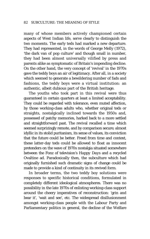many of whose members actively championed certain aspects of West Indian life, serve clearly to distinguish the two moments. The early teds had marked a new departure. They had represented, in the words of George Melly (1972), 'the dark van of pop culture' and though small in number, they had been almost universally vilified by press and parents alike as symptomatic of Britain's impending decline. On the other hand, the very concept of 'revival' in the 1970s gave the teddy boys an air of legitimacy. After all, in a society which seemed to generate a bewildering number of fads and fashions, the teddy boys were a virtual institution: an authentic, albeit dubious part of the British heritage.

The youths who took part in this revival were thus guaranteed in certain quarters at least a limited acceptability. They could be regarded with tolerance, even muted affection, by those working-class adults who, whether original teds or straights, nostalgically inclined towards the 1950s and, possessed of patchy memories, harked back to a more settled and straightforward past. The revival recalled a time which seemed surprizingly remote, and by comparison secure; almost idyllic in its stolid puritanism, its sense of values, its conviction that the future could be better. Freed from time and context, these latter-day teds could be allowed to float as innocent pretenders on the wave of 1970s nostalgia situated somewhere between the Fonz of television's *Happy Days* and a recycled Ovaltine ad. Paradoxically then, the subculture which had originally furnished such dramatic signs of change could be made to provide a kind of continuity in its revived form.

In broader terms, the two teddy boy solutions were responses to specific historical conditions, formulated in completely different ideological atmospheres. There was no possibility in the late 1970s of enlisting working-class support around the cheery imperatives of reconstruction: 'grin and bear it', 'wait and see', etc. The widespread disillusionment amongst working-class people with the Labour Party and Parliamentary politics in general, the decline of the Welfare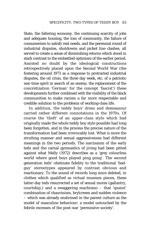State, the faltering economy, the continuing scarcity of jobs and adequate housing, the loss of community, the failure of consumerism to satisfy real needs, and the perennial round of industrial disputes, shutdowns and picket line clashes, all served to create a sense of diminishing returns which stood in stark contrast to the embattled optimism of the earlier period. Assisted no doubt by the ideological constructions retrospectively placed upon the Second World War (the fostering around 1973 as a response to protracted industrial disputes, the oil crisis, the three day week, etc. of a patriotic war-time spirit in search of an enemy; the replacement of the concretization 'German' for the concept 'fascist') these developments further combined with the visibility of the black communities to make racism a far more respectable and credible solution to the problems of working-class life.

In addition, the teddy boys' dress and demeanour carried rather different connotations in the 1970s. Of course the 'theft' of an upper-class style which had originally made the whole teddy boy style possible had long been forgotten, and in the process the precise nature of the transformation had been irrevocably lost. What is more the strutting manner and sexual aggressiveness had different meanings in the two periods. The narcissism of the early teds and the carnal gymnastics of jiving had been pitted against what Melly (1972) describes as a 'grey colourless world where good boys played ping pong'. The second generation teds' obstinate fidelity to the traditional 'badguy' stereotypes appeared by contrast obvious and reactionary. To the sound of records long since deleted, in clothes which qualified as virtual museum pieces, these latter-day teds resurrected a set of sexual mores (gallantry, courtship,) and a swaggering machismo – that 'quaint' combination of chauvinism, brylcreem and sudden violence – which was already enshrined in the parent culture as *the* model of masculine behaviour: a model untouched by the febrile excesses of the post-war 'permissive society'.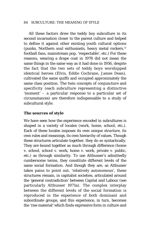#### 84 SUBCULTURE: THE MEANING OF STYLE

All these factors drew the teddy boy subculture in its second incarnation *closer* to the parent culture and helped to define it against other existing youth cultural options (punks, Northern soul enthusiasts, heavy metal rockers, $12$ football fans, mainstream pop, 'respectable', etc.) For these reasons, wearing a drape coat in 1978 did not mean the same things in the same way as it had done in 1956, despite the fact that the two sets of teddy boys worshipped identical heroes (Elvis, Eddie Cochrane, James Dean), cultivated the same quiffs and occupied approximately the same class position. The twin concepts of *conjuncture* and *specificity* (each subculture representing a distinctive 'moment' – a particular response to a particular set of circumstances) are therefore indispensable to a study of subcultural style.

#### **The sources of style**

We have seen how the experience encoded in subcultures is shaped in a variety of locales (work, home, school, etc.). Each of these locales imposes its own unique structure, its own rules and meanings, its own hierarchy of values. Though these structures articulate together, they do so syntactically. They are bound together as much through difference (home v. school, school v. work, home v. work, private v. public, etc.) as through similarity. To use Althusser's admittedly cumbersome terms, they constitute different levels of the same social formation. And though they are, as Althusser takes pains to point out, 'relatively autonomous', these structures remain, in capitalist societies, articulated around the 'general contradiction' between Capital and Labour (see particularly Althusser 1971a). The complex interplay between the different levels of the social formation is reproduced in the experience of both dominant and subordinate groups, and this experience, in turn, becomes the 'raw material' which finds expressive form in culture and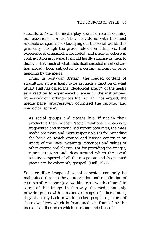subculture. Now, the media play a crucial role in defining our experience for us. They provide us with the most available categories for classifying out the social world. It is primarily through the press, television, film, etc. that experience is organized, interpreted, and made to *cohere in contradiction* as it were. It should hardly surprise us then, to discover that much of what finds itself encoded in subculture has already been subjected to a certain amount of prior handling by the media.

Thus, in post-war Britain, the loaded content of subcultural style is likely to be as much a function of what Stuart Hall has called the 'ideological effect'<sup>13</sup> of the media as a reaction to experienced changes in the institutional framework of working-class life. As Hall has argued, the media have 'progressively colonised the cultural and ideological sphere':

As social groups and classes live, if not in their productive then in their 'social' relations, increasingly fragmented and sectionally differentiated lives, the mass media are more and more responsible (a) for providing the basis on which groups and classes construct an image of the lives, meanings, practices and values of *other* groups and classes; (b) for providing the images, representations and ideas around which the social totality composed of all these separate and fragmented pieces can be coherently grasped. (Hall, 1977)

So a credible image of social cohesion can only be maintained through the appropriation and redefinition of cultures of resistance (e.g. working-class youth cultures) in terms of that image. In this way, the media not only provide groups with substantive images of other groups, they also relay back to working-class people a 'picture' of their own lives which is 'contained' or 'framed' by the ideological discourses which surround and situate it.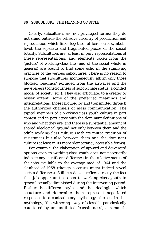#### 86 SUBCULTURE: THE MEANING OF STYLE

Clearly, subcultures are not privileged forms; they do not stand outside the reflexive circuitry of production and reproduction which links together, at least on a symbolic level, the separate and fragmented pieces of the social totality. Subcultures are, at least in part, representations of these representations, and elements taken from the 'picture' of working-class life (and of the social whole in general) are bound to find some echo in the signifying practices of the various subcultures. There is no reason to suppose that subcultures spontaneously affirm only those *blocked* 'readings' excluded from the airwaves and the newspapers (consciousness of subordinate status, a conflict model of society, etc.). They also articulate, to a greater or lesser extent, some of the *preferred* meanings and interpretations, those favoured by and transmitted through the authorized channels of mass communication. The typical members of a working-class youth culture in part contest and in part agree with the dominant definitions of who and what they are, and there is a substantial amount of shared ideological ground not only between them and the adult working-class culture (with its muted tradition of resistance) but also between them and the dominant culture (at least in its more 'democratic', accessible forms).

For example, the elaboration of upward and downward options open to working-class youth does not necessarily indicate any significant difference in the relative status of the jobs available to the average mod of 1964 and the skinhead of 1968 (though a census might indeed reveal such a difference). Still less does it reflect *directly* the fact that job opportunities open to working-class youth in general actually diminished during the intervening period. Rather the different styles and the ideologies which structure and determine them represent negotiated responses to a contradictory mythology of class. In this mythology, 'the withering away of class' is paradoxically countered by an undiluted 'classfulness', a romantic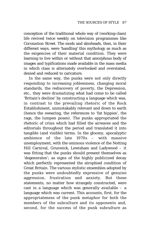conception of the traditional whole way of (working-class) life revived twice weekly on television programmes like *Coronation Street*. The mods and skinheads, then, in their different ways, were 'handling' this mythology as much as the exigencies of their material condition. They were learning to live within or without that amorphous body of images and typifications made available in the mass media in which class is alternately overlooked and overstated, denied and reduced to caricature.

In the same way, the punks were not only directly *responding* to increasing joblessness, changing moral standards, the rediscovery of poverty, the Depression, etc., they were *dramatizing* what had come to be called 'Britain's decline' by constructing a language which was, in contrast to the prevailing rhetoric of the Rock Establishment, unmistakably relevant and down to earth (hence the swearing, the references to 'fat hippies', the rags, the lumpen poses). The punks appropriated the rhetoric of crisis which had filled the airwaves and the editorials throughout the period and translated it into tangible (and visible) terms. In the gloomy, apocalyptic ambience of the late 1970s – with massive unemployment, with the ominous violence of the Notting Hill Carnival, Grunwick, Lewisham and Ladywood – it was fitting that the punks should present themselves as 'degenerates'; as signs of the highly publicized decay which perfectly represented the atrophied condition of Great Britain. The various stylistic ensembles adopted by the punks were undoubtedly expressive of genuine aggression, frustration and anxiety. But these statements, no matter how strangely constructed, were cast in a language which was generally available – a language which was current. This accounts, first, for the appropriateness of the punk metaphor for both the members of the subculture and its opponents and, second, for the success of the punk subculture as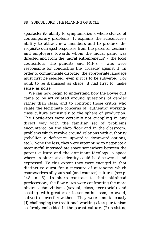spectacle: its ability to symptomatize a whole cluster of contemporary problems. It explains the subculture's ability to attract new members and to produce the requisite outraged responses from the parents, teachers and employers towards whom the moral panic was directed and from the 'moral entrepreneurs' – the local councillors, the pundits and M.P.s – who were responsible for conducting the 'crusade' against it. In order to communicate disorder, the appropriate language must first be selected, even if it is to be subverted. For punk to be dismissed as chaos, it had first to 'make sense' as noise.

We can now begin to understand how the Bowie cult came to be articulated around questions of gender rather than class, and to confront those critics who relate the legitimate concerns of 'authentic' workingclass culture exclusively to the sphere of production. The Bowie-ites were certainly not grappling in any *direct* way with the familiar set of problems encountered on the shop floor and in the classroom: problems which revolve around relations with authority (rebellion v. deference, upward v. downward options, etc.). None the less, they were attempting to negotiate a meaningful intermediate space somewhere between the parent culture and the dominant ideology: a space where an alternative identity could be discovered and expressed. To this extent they were engaged in that distinctive quest for a measure of autonomy which characterizes all youth sub(and counter) cultures (see p. 148, n. 6). In sharp contrast to their skinhead predecessors, the Bowie-ites were confronting the more obvious chauvinisms (sexual, class, territorial) and seeking, with greater or lesser enthusiasm, to avoid, subvert or overthrow them. They were simultaneously (1) challenging the traditional working-class puritanism so firmly embedded in the parent culture, (2) resisting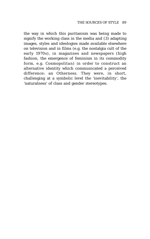the way in which this puritanism was being made to signify the working class in the media and (3) adapting images, styles and ideologies made available elsewhere on television and in films (e.g. the nostalgia cult of the early 1970s), in magazines and newspapers (high fashion, the emergence of feminism in its commodity form, e.g. *Cosmopolitan*) in order to construct an alternative identity which communicated a perceived difference: an Otherness. They were, in short, challenging at a symbolic level the 'inevitability', the 'naturalness' of class and gender stereotypes.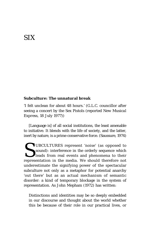# SIX

### **Subculture: The unnatural break**

'I felt unclean for about 48 hours.' (G.L.C. councillor after seeing a concert by the Sex Pistols (reported *New Musical Express*, 18 July 1977))

[Language is] of all social institutions, the least amenable to initiative. It blends with the life of society, and the latter, inert by nature, is a prime conservative force. (Saussure, 1974)

S UBCULTURES represent 'noise' (as opposed to sound): interference in the orderly sequence which leads from real events and phenomena to their sound): interference in the orderly sequence which representation in the media. We should therefore not underestimate the signifying power of the spectacular subculture not only as a metaphor for potential anarchy 'out there' but as an actual mechanism of semantic disorder: a kind of temporary blockage in the system of representation. As John Mepham (1972) has written:

Distinctions and identities may be so deeply embedded in our discourse and thought about the world whether this be because of their role in our practical lives, or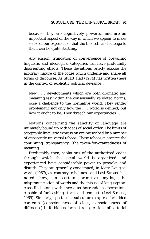because they are cognitively powerful and are an important aspect of the way in which we appear to make sense of our experience, that the theoretical challenge to them can be quite startling.

Any elision, truncation or convergence of prevailing linguistic and ideological categories can have profoundly disorienting effects. These deviations briefly expose the arbitrary nature of the codes which underlie and shape all forms of discourse. As Stuart Hall (1974) has written (here in the context of explicitly political deviance):

New . . . developments which are both dramatic and 'meaningless' within the consensually validated norms, pose a challenge to the normative world. They render problematic not only how the . . . world is defined, but how it ought to be. They 'breach our expectancies'. . . .

Notions concerning the sanctity of language are intimately bound up with ideas of social order. The limits of acceptable linguistic expression are prescribed by a number of apparently universal taboos. These taboos guarantee the continuing 'transparency' (the taken-for-grantedness) of meaning.

Predictably then, violations of the authorized codes through which the social world is organized and experienced have considerable power to provoke and disturb. They are generally condemned, in Mary Douglas' words (1967), as 'contrary to holiness' and Levi-Strauss has noted how, in certain primitive myths, the mispronunciation of words and the misuse of language are classified along with incest as horrendous aberrations capable of 'unleashing storm and tempest' (Levi-Strauss, 1969). Similarly, spectacular subcultures express forbidden contents (consciousness of class, consciousness of difference) in forbidden forms (transgressions of sartorial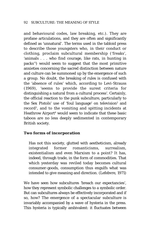and behavioural codes, law breaking, etc.). They are profane articulations, and they are often and significantly defined as 'unnatural'. The terms used in the tabloid press to describe those youngsters who, in their conduct or clothing, proclaim subcultural membership ('freaks', 'animals . . . who find courage, like rats, in hunting in packs'1 ) would seem to suggest that the most primitive anxieties concerning the sacred distinction between nature and culture can be summoned up by the emergence of such a group. No doubt, the breaking of rules is confused with the 'absence of rules' which, according to Levi-Strauss (1969), 'seems to provide the surest criteria for distinguishing a natural from a cultural process'. Certainly, the official reaction to the punk subculture, particularly to the Sex Pistols' use of 'foul language' on television<sup>2</sup> and record3, and to the vomiting and spitting incidents at Heathrow Airport<sup>4</sup> would seem to indicate that these basic taboos are no less deeply sedimented in contemporary British society.

# **Two forms of incorporation**

Has not this society, glutted with aestheticism, already integrated former romanticisms, surrealism, existentialism and even Marxism to a point? It has, indeed, through trade, in the form of commodities. That which yesterday was reviled today becomes cultural consumer-goods, consumption thus engulfs what was intended to give meaning and direction. (Lefebvre, 1971)

We have seen how subcultures 'breach our expectancies', how they represent symbolic challenges to a symbolic order. But can subcultures always be effectively incorporated and if so, how? The emergence of a spectacular subculture is invariably accompanied by a wave of hysteria in the press. This hysteria is typically ambivalent: it fluctuates between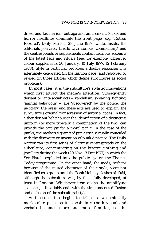dread and fascination, outrage and amusement. Shock and horror headlines dominate the front page (e.g. 'Rotten Razored', *Daily Mirror*, 28 June 1977) while, inside, the editorials positively bristle with 'serious' commentary<sup>5</sup> and the centrespreads or supplements contain delirious accounts of the latest fads and rituals (see, for example, *Observer* colour supplements 30 January, 10 July 1977, 12 February 1978). Style in particular provokes a double response: it is alternately celebrated (in the fashion page) and ridiculed or reviled (in those articles which define subcultures as social problems).

In most cases, it is the subculture's stylistic innovations which first attract the media's attention. Subsequently deviant or 'anti-social' acts – vandalism, swearing, fighting, 'animal behaviour' – are 'discovered' by the police, the judiciary, the press; and these acts are used to 'explain' the subculture's original transgression of sartorial codes. In fact, either deviant behaviour or the identification of a distinctive uniform (or more typically a combination of the two) can provide the catalyst for a moral panic. In the case of the punks, the media's sighting of punk style virtually coincided with the discovery or invention of punk deviance. The *Daily Mirror* ran its first series of alarmist centrespreads on the subculture, concentrating on the bizarre clothing and jewellery during the week (29 Nov– 3 Dec 1977) in which the Sex Pistols exploded into the public eye on the Thames *Today* programme. On the other hand, the mods, perhaps because of the muted character of their style, were not identified as a group until the Bank Holiday clashes of 1964, although the subculture was, by then, fully developed, at least in London. Whichever item opens the amplifying sequence, it invariably ends with the simultaneous diffusion and defusion of the subcultural style.

As the subculture begins to strike its own eminently marketable pose, as its vocabulary (both visual and verbal) becomes more and more familiar, so the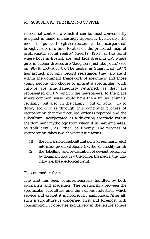referential context to which it can be most conveniently assigned is made increasingly apparent. Eventually, the mods, the punks, the glitter rockers can be incorporated, brought back into line, located on the preferred 'map of problematic social reality' (Geertz, 1964) at the point where boys in lipstick are 'just kids dressing up', where girls in rubber dresses are 'daughters just like yours' (see pp. 98–9; 158–9, n. 8). The media, as Stuart Hall (1977) has argued, not only record resistance, they 'situate it within the dominant framework of meanings' and those young people who choose to inhabit a spectacular youth culture are simultaneously *returned*, as they are represented on T.V. and in the newspapers, to the place where common sense would have them fit (as 'animals' certainly, but also 'in the family', 'out of work', 'up to date', etc.). It is through this continual process of recuperation that the fractured order is repaired and the subculture incorporated as a diverting spectacle within the dominant mythology from which it in part emanates: as 'folk devil', as Other, as Enemy. The process of recuperation takes two characteristic forms:

- (1) the conversion of subcultural signs (dress, music, etc.) into mass-produced objects (i.e. the commodity form);
- (2) the 'labelling' and re-definition of deviant behaviour by dominant groups – the police, the media, the judiciary (i.e. the ideological form).

# *The commodity form*

The first has been comprehensively handled by both journalists and academics. The relationship between the spectacular subculture and the various industries which service and exploit it is notoriously ambiguous. After all, such a subculture is concerned first and foremost with consumption. It operates exclusively in the leisure sphere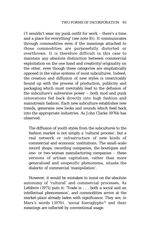('I wouldn't wear my punk outfit for work – there's a time and a place for everything' (see note 8)). It communicates through commodities even if the meanings attached to those commodities are purposefully distorted or overthrown. It is therefore difficult in this case to maintain any absolute distinction between commercial exploitation on the one hand and creativity/originality on the other, even though these categories are emphatically opposed in the value systems of most subcultures. Indeed, the creation and diffusion of new styles is inextricably bound up with the process of production, publicity and packaging which must inevitably lead to the defusion of the subculture's subversive power – both mod and punk innovations fed back directly into high fashion and mainstream fashion. Each new subculture establishes new trends, generates new looks and sounds which feed back into the appropriate industries. As John Clarke 1976b has observed:

The diffusion of youth styles from the subcultures to the fashion market is not simply a 'cultural process', but a real network or infrastructure of new kinds of commercial and economic institutions. The small-scale record shops, recording companies, the boutiques and one- or two-woman manufacturing companies – these versions of artisan capitalism, rather than more generalised and unspecific phenomena, situate the dialectic of commercial 'manipulation'.

However, it would be mistaken to insist on the absolute autonomy of 'cultural' and commercial processes. As Lefebvre (1971) puts it: 'Trade is . . . both a social and an intellectual phenomenon', and commodities arrive at the market-place already laden with significance. They are, in Marx's words (1970), 'social hieroglyphs'<sup>6</sup> and their meanings are inflected by conventional usage.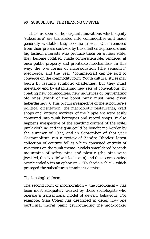#### 96 SUBCULTURE: THE MEANING OF STYLE

Thus, as soon as the original innovations which signify 'subculture' are translated into commodities and made generally available, they become 'frozen'. Once removed from their private contexts by the small entrepreneurs and big fashion interests who produce them on a mass scale, they become codified, made comprehensible, rendered at once public property and profitable merchandise. In this way, the two forms of incorporation (the semantic/ ideological and the 'real' /commercial) can be said to converge on the commodity form. Youth cultural styles may begin by issuing symbolic challenges, but they must inevitably end by establishing new sets of conventions; by creating new commodities, new industries or rejuvenating old ones (think of the boost punk must have given haberdashery!). This occurs irrespective of the subculture's political orientation: the macrobiotic restaurants, craft shops and 'antique markets' of the hippie era were easily converted into punk boutiques and record shops. It also happens irrespective of the startling content of the style: punk clothing and insignia could be bought mail-order by the summer of 1977, and in September of that year *Cosmopolitan* ran a review of Zandra Rhodes' latest collection of couture follies which consisted entirely of variations on the punk theme. Models smouldered beneath mountains of safety pins and plastic (the pins were jewelled, the 'plastic' wet-look satin) and the accompanying article ended with an aphorism – 'To shock is chic' – which presaged the subculture's imminent demise.

#### *The ideological form*

The second form of incorporation  $-$  the ideological  $-$  has been most adequately treated by those sociologists who operate a transactional model of deviant behaviour. For example, Stan Cohen has described in detail how one particular moral panic (surrounding the mod-rocker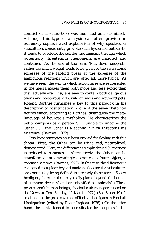conflict of the mid-60s) was launched and sustained.7 Although this type of analysis can often provide an extremely sophisticated explanation of why spectacular subcultures consistently provoke such hysterical outbursts, it tends to overlook the subtler mechanisms through which potentially threatening phenomena are handled and contained. As the use of the term 'folk devil' suggests, rather too much weight tends to be given to the sensational excesses of the tabloid press at the expense of the ambiguous reactions which are, after all, more typical. As we have seen, the way in which subcultures are represented in the media makes them both more *and less* exotic than they actually are. They are seen to contain both dangerous aliens and boisterous kids, wild animals and wayward pets. Roland Barthes furnishes a key to this paradox in his description of 'identification' – one of the seven rhetorical figures which, according to Barthes, distinguish the metalanguage of bourgeois mythology. He characterizes the petit-bourgeois as a person '. . . unable to imagine the Other . . . the Other is a scandal which threatens his existence' (Barthes, 1972).

Two basic strategies have been evolved for dealing with this threat. First, the Other can be trivialized, naturalized, domesticated. Here, the difference is simply denied ('Otherness is reduced to sameness'). Alternatively, the Other can be transformed into meaningless exotica, a 'pure object, a spectacle, a clown' (Barthes, 1972). In this case, the difference is consigned to a place beyond analysis. Spectacular subcultures are continually being defined in precisely these terms. Soccer hooligans, for example, are typically placed beyond 'the bounds of common decency' and are classified as 'animals'. ('These people aren't human beings', football club manager quoted on the *News at Ten*, Sunday, 12 March 1977.) (See Stuart Hall's treatment of the press coverage of football hooligans in *Football Hooliganism* (edited by Roger Ingham, 1978).) On the other hand, the punks tended to be resituated by the press in the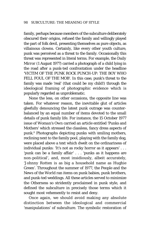family, perhaps because members of the subculture deliberately obscured their origins, refused the family and willingly played the part of folk devil, presenting themselves as pure objects, as villainous clowns. Certainly, like every other youth culture, punk was perceived as a threat to the family. Occasionally this threat was represented in literal terms. For example, the *Daily Mirror* (1 August 1977) carried a photograph of a child lying in the road after a punk-ted confrontation under the headline 'VICTIM OF THE PUNK ROCK PUNCH-UP: THE BOY WHO FELL FOUL OF THE MOB'. In this case, punk's threat to the family was made 'real' (that could be my child!) through the ideological framing of photographic evidence which is popularly regarded as unproblematic.

None the less, on other occasions, the opposite line was taken. For whatever reason, the inevitable glut of articles gleefully denouncing the latest punk outrage was counterbalanced by an equal number of items devoted to the small details of punk family life. For instance, the 15 October 1977 issue of *Woman's Own* carried an article entitled 'Punks and Mothers' which stressed the classless, fancy dress aspects of punk.8 Photographs depicting punks with smiling mothers, reclining next to the family pool, playing with the family dog, were placed above a text which dwelt on the ordinariness of individual punks: 'It's not as rocky horror as it appears' . . . 'punk can be a family affair' . . . 'punks as it happens are non-political', and, most insidiously, albeit accurately, 'Johnny Rotten is as big a household name as Hughie Green'. Throughout the summer of 1977, the *People* and the *News of the World* ran items on punk babies, punk brothers, and punk-ted weddings. All these articles served to minimize the Otherness so stridently proclaimed in punk style, and defined the subculture in precisely those terms which it sought most vehemently to resist and deny.

Once again, we should avoid making any absolute distinction between the ideological and commercial 'manipulations' of subculture. The symbolic restoration of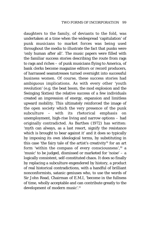daughters to the family, of deviants to the fold, was undertaken at a time when the widespread 'capitulation' of punk musicians to market forces was being used throughout the media to illustrate the fact that punks were 'only human after all'. The music papers were filled with the familiar success stories describing the route from rags to rags and riches – of punk musicians flying to America, of bank clerks become magazine editors or record producers, of harrassed seamstresses turned overnight into successful business women. Of course, these success stories had ambiguous implications. As with every other 'youth revolution' (e.g. the beat boom, the mod explosion and the Swinging Sixties) the relative success of a few individuals created an impression of energy, expansion and limitless upward mobility. This ultimately reinforced the image of the open society which the very presence of the punk subculture – with its rhetorical emphasis on unemployment, high-rise living and narrow options – had originally contradicted. As Barthes (1972) has written: 'myth can always, as a last resort, signify the resistance which is brought to bear against it' and it does so typically by imposing its own ideological terms, by substituting in this case 'the fairy tale of the artist's creativity'9 for an art form 'within the compass of every consciousness',10 a 'music' to be judged, dismissed or marketed for 'noise' – a logically consistent, self-constituted chaos. It does so finally by replacing a subculture engendered by history, a product of real historical contradictions, with a handful of brilliant nonconformists, satanic geniuses who, to use the words of Sir John Read, Chairman of E.M.I, 'become in the fullness of time, wholly acceptable and can contribute greatly to the development of modern music'.<sup>11</sup>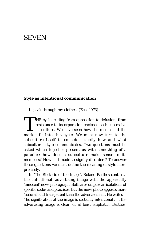# **SEVEN**

## **Style as intentional communication**

I speak through my clothes. (Eco, 1973)

THE cycle leading from opposition to defusion, from<br>resistance to incorporation encloses each successive<br>subculture. We have seen how the media and the<br>meaket fit into this sucle. We must now turn to the resistance to incorporation encloses each successive subculture. We have seen how the media and the market fit into this cycle. We must now turn to the subculture itself to consider exactly how and what subcultural style communicates. Two questions must be asked which together present us with something of a paradox: how does a subculture make sense to its members? How is it made to signify disorder ? To answer these questions we must define the meaning of style more precisely.

In 'The Rhetoric of the Image', Roland Barthes contrasts the 'intentional' advertising image with the apparently 'innocent' news photograph. Both are complex articulations of specific codes and practices, but the news photo appears more 'natural' and transparent than the advertisement. He writes – 'the signification of the image is certainly intentional . . . the advertising image is clear, or at least emphatic'. Barthes'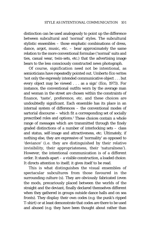distinction can be used analogously to point up the difference between subcultural and 'normal' styles. The subcultural stylistic ensembles – those emphatic combinations of dress, dance, argot, music, etc. – bear approximately the same relation to the more conventional formulae ('normal' suits and ties, casual wear, twin-sets, etc.) that the advertising image bears to the less consciously constructed news photograph.

Of course, signification need not be intentional, as semioticians have repeatedly pointed out. Umberto Eco writes 'not only the expressly intended communicative object . . . but every object may be viewed . . . as a sign' (Eco, 1973). For instance, the conventional outfits worn by the average man and woman in the street are chosen within the constraints of finance, 'taste', preference, etc. and these choices are undoubtedly significant. Each ensemble has its place in an internal system of differences – the conventional modes of sartorial discourse – which fit a corresponding set of socially prescribed roles and options.<sup>1</sup> These choices contain a whole range of messages which are transmitted through the finely graded distinctions of a number of interlocking sets – class and status, self-image and attractiveness, etc. Ultimately, if nothing else, they are expressive of 'normality' as opposed to 'deviance' (i.e. they are distinguished by their relative invisibility, their appropriateness, their 'naturalness'). However, the intentional communication is of a different order. It stands apart – a visible construction, a loaded choice. It directs attention to itself; it gives itself to be read.

This is what distinguishes the visual ensembles of spectacular subcultures from those favoured in the surrounding culture (s). They are *obviously* fabricated (even the mods, precariously placed between the worlds of the straight and the deviant, finally declared themselves different when they gathered in groups outside dance halls and on sea fronts). They *display* their own codes (e.g. the punk's ripped T-shirt) or at least demonstrate that codes are there to be used and abused (e.g. they have been thought about rather than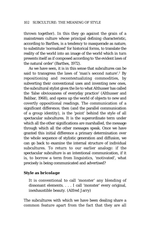thrown together). In this they go against the grain of a mainstream culture whose principal defining characteristic, according to Barthes, is a tendency to masquerade as nature, to substitute 'normalized' for historical forms, to translate the reality of the world into an image of the world which in turn presents itself as if composed according to 'the evident laws of the natural order' (Barthes, 1972).

As we have seen, it is in this sense that subcultures can be said to transgress the laws of 'man's second nature'.<sup>2</sup> By repositioning and recontextualizing commodities, by subverting their conventional uses and inventing new ones, the subcultural stylist gives the lie to what Althusser has called the 'false obviousness of everyday practice' (Althusser and Balibar, 1968), and opens up the world of objects to new and covertly oppositional readings. The communication of a significant *difference*, then (and the parallel communication of a group *identity*), is the 'point' behind the style of all spectacular subcultures. It is the superordinate term under which all the other significations are marshalled, the message through which all the other messages speak. Once we have granted this initial difference a primary determination over the whole sequence of stylistic generation and diffusion, we can go back to examine the internal structure of individual subcultures. To return to our earlier analogy: if the spectacular subculture is an intentional communication, if it is, to borrow a term from linguistics, 'motivated', what precisely is being communicated and advertised?

## **Style as** *bricolage*

It is conventional to call 'monster' any blending of dissonant elements. . . . I call 'monster' every original, inexhaustible beauty. (Alfred Jarry)

The subcultures with which we have been dealing share a common feature apart from the fact that they are all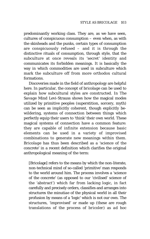predominantly working class. They are, as we have seen, cultures of conspicuous consumption – even when, as with the skinheads and the punks, certain types of consumption are conspicuously refused – and it is through the distinctive rituals of consumption, through style, that the subculture at once reveals its 'secret' identity and communicates its forbidden meanings. It is basically the way in which commodities are *used* in subculture which mark the subculture off from more orthodox cultural formations.

Discoveries made in the field of anthropology are helpful here. In particular, the concept of *bricolage* can be used to explain how subcultural styles are constructed. In *The Savage Mind* Levi-Strauss shows how the magical modes utilized by primitive peoples (superstition, sorcery, myth) can be seen as implicitly coherent, though explicitly bewildering, systems of connection between things which perfectly equip their users to 'think' their own world. These magical systems of connection have a common feature: they are capable of infinite extension because basic elements can be used in a variety of improvised combinations to generate new meanings within them. *Bricolage* has thus been described as a 'science of the concrete' in a recent definition which clarifies the original anthropological meaning of the term:

[Bricolage] refers to the means by which the non-literate, non-technical mind of so-called 'primitive' man responds to the world around him. The process involves a 'science of the concrete' (as opposed to our 'civilised' science of the 'abstract') which far from lacking logic, in fact carefully and precisely orders, classifies and arranges into structures the *minutiae* of the physical world in all their profusion by means of a 'logic' which is not our own. The structures, 'improvised' or made up (these are rough translations of the process of *bricoler*) as *ad hoc*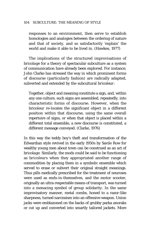#### 104 SUBCULTURE: THE MEANING OF STYLE

responses to an environment, then serve to establish homologies and analogies between the ordering of nature and that of society, and so satisfactorily 'explain' the world and make it able to be lived in. (Hawkes, 1977)

The implications of the structured improvisations of *bricolage* for a theory of spectacular subculture as a system of communication have already been explored. For instance, John Clarke has stressed the way in which prominent forms of discourse (particularly fashion) are radically adapted, subverted and extended by the subcultural *bricoleur*:

Together, object and meaning constitute a sign, and, within any one culture, such signs are assembled, repeatedly, into characteristic forms of discourse. However, when the bricoleur re-locates the significant object in a different position within that discourse, using the same overall repertoire of signs, or when that object is placed within a different total ensemble, a new discourse is constituted, a different message conveyed. (Clarke, 1976)

In this way the teddy boy's theft and transformation of the Edwardian style revived in the early 1950s by Savile Row for wealthy young men about town can be construed as an act of *bricolage*. Similarly, the mods could be said to be functioning as *bricoleurs* when they appropriated another range of commodities by placing them in a symbolic ensemble which served to erase or subvert their original straight meanings. Thus pills medically prescribed for the treatment of neuroses were used as ends-in-themselves, and the motor scooter, originally an ultra-respectable means of transport, was turned into a menacing symbol of group solidarity. In the same improvisatory manner, metal combs, honed to a razor-like sharpness, turned narcissism into an offensive weapon. Union jacks were emblazoned on the backs of grubby parka anoraks or cut up and converted into smartly tailored jackets. More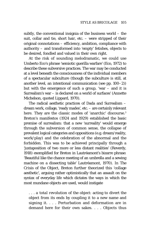subtly, the conventional insignia of the business world – the suit, collar and tie, short hair, etc. – were stripped of their original connotations – efficiency, ambition, compliance with authority – and transformed into 'empty' fetishes, objects to be desired, fondled and valued in their own right.

At the risk of sounding melodramatic, we could use Umberto Eco's phrase 'semiotic guerilla warfare' (Eco, 1972) to describe these subversive practices. The war may be conducted at a level beneath the consciousness of the individual members of a spectacular subculture (though the subculture is still, at another level, an intentional communication (see pp. 100–2)) but with the emergence of such a group, 'war – and it is Surrealism's war – is declared on a world of surfaces' (Annette Michelson, quoted Lippard, 1970).

The radical aesthetic practices of Dada and Surrealism – dream work, collage, 'ready mades', etc. – are certainly relevant here. They are the classic modes of 'anarchic' discourse.<sup>3</sup> Breton's manifestos (1924 and 1929) established the basic premise of surrealism: that a new 'surreality' would emerge through the subversion of common sense, the collapse of prevalent logical categories and oppositions (e.g. dream/reality, work/play) and the celebration of the abnormal and the forbidden. This was to be achieved principally through a 'juxtaposition of two more or less distant realities' (Reverdy, 1918) exemplified for Breton in Lautréamont's bizarre phrase: 'Beautiful like the chance meeting of an umbrella and a sewing machine on a dissecting table' Lautréamont, 1970). In *The Crisis of the Object*, Breton further theorized this 'collage aesthetic', arguing rather optimistically that an assault on the syntax of everyday life which dictates the ways in which the most mundane objects are used, would instigate

. . . *a total revolution of the object*: acting to divert the object from its ends by coupling it to a new name and signing it. . . . Perturbation and deformation are in demand here for their own sakes. . . . Objects thus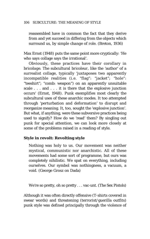reassembled have in common the fact that they derive from and yet succeed in differing from the objects which surround us, by simple *change of role*. (Breton, 1936)

Max Ernst (1948) puts the same point more cryptically: 'He who says collage says the irrational'.

Obviously, these practices have their corollary in *bricolage*. The subcultural *bricoleur*, like the 'author' of a surrealist collage, typically 'juxtaposes two apparently incompatible realities (i.e. "flag": "jacket"; "hole": "teeshirt"; "comb: weapon") on an apparently unsuitable scale . . . and . . . it is there that the explosive junction occurs' (Ernst, 1948). Punk exemplifies most clearly the subcultural uses of these anarchic modes. It too attempted through 'perturbation and deformation' to disrupt and reorganize meaning. It, too, sought the 'explosive junction'. But what, if anything, were these subversive practices being used to signify? How do we 'read' them? By singling out punk for special attention, we can look more closely at some of the problems raised in a reading of style.

## **Style in revolt: Revolting style**

Nothing was holy to us. Our movement was neither mystical, communistic nor anarchistic. All of these movements had some sort of programme, but ours was completely nihilistic. We spat on everything, including ourselves. Our symbol was nothingness, a vacuum, a void. (George Grosz on Dada)

We're so pretty, oh so pretty . . . vac-unt. (The Sex Pistols)

Although it was often directly offensive (T-shirts covered in swear words) and threatening (terrorist/guerilla outfits) punk style was defined principally through the violence of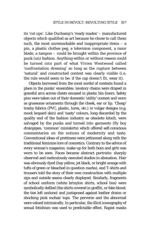its 'cut ups'. Like Duchamp's 'ready mades' – manufactured objects which qualified as art because he chose to call them such, the most unremarkable and inappropriate items – a pin, a plastic clothes peg, a television component, a razor blade, a tampon – could be brought within the province of punk (un) fashion. Anything within or without reason could be turned into part of what Vivien Westwood called 'confrontation dressing' so long as the rupture between 'natural' and constructed context was clearly visible (i.e. the rule would seem to be: if the cap doesn't fit, wear it).

Objects borrowed from the most sordid of contexts found a place in the punks' ensembles: lavatory chains were draped in graceful arcs across chests encased in plastic bin-liners. Safety pins were taken out of their domestic 'utility' context and worn as gruesome ornaments through the cheek, ear or lip. 'Cheap' trashy fabrics (PVC, plastic, lurex, etc.) in vulgar designs (e.g. mock leopard skin) and 'nasty' colours, long discarded by the quality end of the fashion industry as obsolete kitsch, were salvaged by the punks and turned into garments (fly boy drainpipes, 'common' miniskirts) which offered self-conscious commentaries on the notions of modernity and taste. Conventional ideas of prettiness were jettisoned along with the traditional feminine lore of cosmetics. Contrary to the advice of every woman's magazine, make-up for both boys and girls was worn to be seen. Faces became abstract portraits: sharply observed and meticulously executed studies in alienation. Hair was obviously dyed (hay yellow, jet black, or bright orange with tufts of green or bleached in question marks), and T-shirts and trousers told the story of their own construction with multiple zips and outside seams clearly displayed. Similarly, fragments of school uniform (white brinylon shirts, school ties) were symbolically defiled (the shirts covered in graffiti, or fake blood; the ties left undone) and juxtaposed against leather drains or shocking pink mohair tops. The perverse and the abnormal were valued intrinsically. In particular, the illicit iconography of sexual fetishism was used to predictable effect. Rapist masks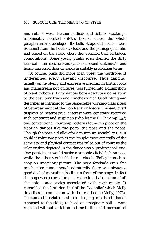and rubber wear, leather bodices and fishnet stockings, implausibly pointed stiletto heeled shoes, the whole paraphernalia of bondage – the belts, straps and chains – were exhumed from the boudoir, closet and the pornographic film and placed on the street where they retained their forbidden connotations. Some young punks even donned the dirty raincoat – that most prosaic symbol of sexual 'kinkiness' – and hence expressed their deviance in suitably proletarian terms.

Of course, punk did more than upset the wardrobe. It undermined every relevant discourse. Thus dancing, usually an involving and expressive medium in British rock and mainstream pop cultures, was turned into a dumbshow of blank robotics. Punk dances bore absolutely no relation to the desultory frugs and clinches which Geoff Mungham describes as intrinsic to the respectable working-class ritual of Saturday night at the Top Rank or Mecca.<sup>4</sup> Indeed, overt displays of heterosexual interest were generally regarded with contempt and suspicion (who let the BOF/wimp<sup>5</sup> in?) and conventional courtship patterns found no place on the floor in dances like the pogo, the pose and the robot. Though the pose did allow for a minimum sociability (i.e. it could involve two people) the 'couple' were generally of the same sex and physical contact was ruled out of court as the relationship depicted in the dance was a 'professional' one. One participant would strike a suitable cliché fashion pose while the other would fall into a classic 'Bailey' crouch to snap an imaginary picture. The pogo forebade even this much interaction, though admittedly there was always a good deal of masculine jostling in front of the stage. In fact the pogo was a caricature – a *reductio ad absurdum* of all the solo dance styles associated with rock music. It resembled the 'anti-dancing' of the 'Leapniks' which Melly describes in connection with the trad boom (Melly, 1972). The same abbreviated gestures – leaping into the air, hands clenched to the sides, to head an imaginary ball – were repeated without variation in time to the strict mechanical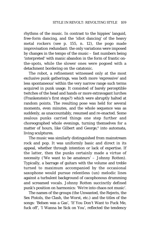rhythms of the music. In contrast to the hippies' languid, free-form dancing, and the 'idiot dancing' of the heavy metal rockers (see p. 155, n. 12), the pogo made improvisation redundant: the only variations were imposed by changes in the tempo of the music – fast numbers being 'interpreted' with manic abandon in the form of frantic onthe-spots, while the slower ones were pogoed with a detachment bordering on the catatonic.

The robot, a refinement witnessed only at the most exclusive punk gatherings, was both more 'expressive' and less spontaneous' within the very narrow range such terms acquired in punk usage. It consisted of barely perceptible twitches of the head and hands or more extravagant lurches (Frankenstein's first steps?) which were abruptly halted at random points. The resulting pose was held for several moments, even minutes, and the whole sequence was as suddenly, as unaccountably, resumed and re-enacted. Some zealous punks carried things one step further and choreographed whole evenings, turning themselves for a matter of hours, like Gilbert and George,<sup>6</sup> into automata, living sculptures.

The music was similarly distinguished from mainstream rock and pop. It was uniformly basic and direct in its appeal, whether through intention or lack of expertise. If the latter, then the punks certainly made a virtue of necessity ('We want to be amateurs' – Johnny Rotten). Typically, a barrage of guitars with the volume and treble turned to maximum accompanied by the occasional saxophone would pursue relentless (un) melodic lines against a turbulent background of cacophonous drumming and screamed vocals. Johnny Rotten succinctly defined punk's position on harmonics: 'We're into chaos not music'.

The names of the groups (the Unwanted, the Rejects, the Sex Pistols, the Clash, the Worst, etc.) and the titles of the songs: 'Belsen was a Gas', 'If You Don't Want to Fuck Me, fuck off', 'I Wanna be Sick on You', reflected the tendency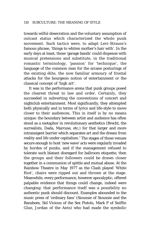towards wilful desecration and the voluntary assumption of outcast status which characterized the whole punk movement. Such tactics were, to adapt Levi-Strauss's famous phrase, 'things to whiten mother's hair with'. In the early days at least, these 'garage bands' could dispense with musical pretensions and substitute, in the traditional romantic terminology, 'passion' for 'technique', the language of the common man for the arcane posturings of the existing élite, the now familiar armoury of frontal attacks for the bourgeois notion of entertainment or the classical concept of 'high art'.

It was in the performance arena that punk groups posed the clearest threat to law and order. Certainly, they succeeded in subverting the conventions of concert and nightclub entertainment. Most significantly, they attempted both physically and in terms of lyrics and life-style to move closer to their audiences. This in itself is by no means unique: the boundary between artist and audience has often stood as a metaphor in revolutionary aesthetics (Brecht, the surrealists, Dada, Marcuse, etc.) for that larger and more intransigent barrier which separates art and the dream from reality and life under capitalism.7 The stages of those venues secure enough to host 'new wave' acts were regularly invaded by hordes of punks, and if the management refused to tolerate such blatant disregard for ballroom etiquette, then the groups and their followers could be drawn closer together in a communion of spittle and mutual abuse. At the Rainbow Theatre in May 1977 as the Clash played 'White Riot', chairs were ripped out and thrown at the stage. Meanwhile, every performance, however apocalyptic, offered palpable evidence that things could change, indeed were changing: that performance itself was a possibility no authentic punk should discount. Examples abounded in the music press of 'ordinary fans' (Siouxsie of Siouxsie and the Banshees, Sid Vicious of the Sex Pistols, Mark P of *Sniffin Glue*, Jordan of the Ants) who had made the symbolic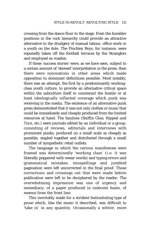crossing from the dance floor to the stage. Even the humbler positions in the rock hierarchy could provide an attractive alternative to the drudgery of manual labour, office work or a youth on the dole. The Finchley Boys, for instance, were reputedly taken off the football terraces by the Stranglers and employed as roadies.

If these 'success stories' were, as we have seen, subject to a certain amount of 'skewed' interpretation in the press, then there were innovations in other areas which made opposition to dominant definitions possible. Most notably, there was an attempt, the first by a predominantly workingclass youth culture, to provide an alternative critical space within the subculture itself to counteract the hostile or at least ideologically inflected coverage which punk was receiving in the media. The existence of an alternative punk press demonstrated that it was not only clothes or music that could be immediately and cheaply produced from the limited resources at hand. The fanzines (*Sniffin Glue, Ripped and Torn*, etc.) were journals edited by an individual or a group, consisting of reviews, editorials and interviews with prominent punks, produced on a small scale as cheaply as possible, stapled together and distributed through a small number of sympathetic retail outlets.

The language in which the various manifestoes were framed was determinedly 'working class' (i.e. it was liberally peppered with swear words) and typing errors and grammatical mistakes, misspellings and jumbled pagination were left uncorrected in the final proof. Those corrections and crossings out that were made before publication were left to be deciphered by the reader. The overwhelming impression was one of urgency and immediacy, of a paper produced in indecent haste, of memos from the front line.

This inevitably made for a strident buttonholing type of prose which, like the music it described, was difficult to 'take in' in any quantity. Occasionally a wittier, more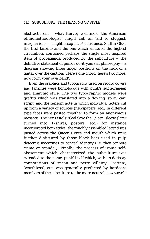abstract item – what Harvey Garfinkel (the American ethnomethodologist) might call an 'aid to sluggish imaginations' – might creep in. For instance, *Sniffin Glue*, the first fanzine and the one which achieved the highest circulation, contained perhaps the single most inspired item of propaganda produced by the subculture – the definitive statement of punk's do-it-yourself philosophy – a diagram showing three finger positions on the neck of a guitar over the caption: 'Here's one chord, here's two more, now form your own band'.

Even the graphics and typography used on record covers and fanzines were homologous with punk's subterranean and anarchic style. The two typographic models were graffiti which was translated into a flowing 'spray can' script, and the ransom note in which individual letters cut up from a variety of sources (newspapers, etc.) in different type faces were pasted together to form an anonymous message. The Sex Pistols' 'God Save the Queen' sleeve (later turned into T-shirts, posters, etc.) for instance incorporated both styles: the roughly assembled legend was pasted across the Queen's eyes and mouth which were further disfigured by those black bars used in pulp detective magazines to conceal identity (i.e. they connote crime or scandal). Finally, the process of ironic selfabasement which characterized the subculture was extended to the name 'punk' itself which, with its derisory connotations of 'mean and petty villainy', 'rotten', 'worthless', etc. was generally preferred by hardcore members of the subculture to the more neutral 'new wave'.8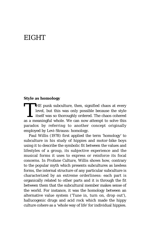# EIGHT

## **Style as homology**

THE punk subculture, then, signified chaos at every<br>level, but this was only possible because the style<br>itself was so thoroughly ordered. The chaos cohered<br>as a meaningful whole. We can now strem tto solve this level, but this was only possible because the style as a meaningful whole. We can now attempt to solve this paradox by referring to another concept originally employed by Levi-Strauss: homology.

Paul Willis (1978) first applied the term 'homology' to subculture in his study of hippies and motor-bike boys using it to describe the symbolic fit between the values and lifestyles of a group, its subjective experience and the musical forms it uses to express or reinforce its focal concerns. In *Profane Culture*, Willis shows how, contrary to the popular myth which presents subcultures as lawless forms, the internal structure of any particular subculture is characterized by an extreme orderliness: each part is organically related to other parts and it is through the fit between them that the subcultural member makes sense of the world. For instance, it was the homology between an alternative value system ('Tune in, turn on, drop out'), hallucogenic drugs and acid rock which made the hippy culture cohere as a 'whole way of life' for individual hippies.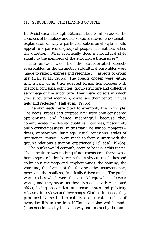In *Resistance Through Rituals*, Hall *et al*. crossed the concepts of homology and *bricolage* to provide a systematic explanation of why a particular subcultural style should appeal to a particular group of people. The authors asked the question: 'What specifically does a subcultural style signify to the members of the subculture themselves?'

The answer was that the appropriated objects reassembled in the distinctive subcultural ensembles were 'made to reflect, express and resonate . . . aspects of group life' (Hall *et al*., 1976b). The objects chosen were, either intrinsically or in their adapted forms, homologous with the focal concerns, activities, group structure and collective self-image of the subculture. They were 'objects in which (the subcultural members) could see their central values held and reflected' (Hall *et al*., 1976b).

The skinheads were cited to exemplify this principle. The boots, braces and cropped hair were only considered appropriate and hence meaningful because they communicated the desired qualities: 'hardness, masculinity and working-classness'. In this way 'The symbolic objects – dress, appearance, language, ritual occasions, styles of interaction, music – were made to form a *unity* with the group's relations, situation, experience' (Hall *et al*., 1976b).

The punks would certainly seem to bear out this thesis. The subculture was nothing if not consistent. There was a homological relation between the trashy cut-up clothes and spiky hair, the pogo and amphetamines, the spitting, the vomiting, the format of the fanzines, the insurrectionary poses and the 'soulless', frantically driven music. The punks wore clothes which were the sartorial equivalent of swear words, and they swore as they dressed – with calculated effect, lacing obscenities into record notes and publicity releases, interviews and love songs. Clothed in chaos, they produced Noise in the calmly orchestrated Crisis of everyday life in the late 1970s – a noise which made (no)sense in exactly the same way and to exactly the same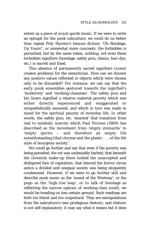extent as a piece of *avant-garde* music. If we were to write an epitaph for the punk subculture, we could do no better than repeat Poly Styrene's famous dictum: 'Oh Bondage, Up Yours!', or somewhat more concisely: the forbidden is permitted, but by the same token, nothing, not even these forbidden signifiers (bondage, safety pins, chains, hair-dye, etc.) is sacred and fixed.

This absence of permanently sacred signifiers (icons) creates problems for the semiotician. How can we discern any positive values reflected in objects which were chosen only to be discarded? For instance, we can say that the early punk ensembles gestured towards the signified's 'modernity' and 'working-classness'. The safety pins and bin liners signified a relative material poverty which was either directly experienced and exaggerated or sympathetically assumed, and which in turn was made to stand for the spiritual paucity of everyday life. In other words, the safety pins, etc. 'enacted' that transition from real to symbolic scarcity which Paul Piccone (1969) has described as the movement from 'empty stomachs' to 'empty spirits – and therefore an empty life notwithstanding [the] chrome and the plastic . . . of the life style of bourgeois society'.

We could go further and say that even if the poverty was being parodied, the wit was undeniably barbed; that beneath the clownish make-up there lurked the unaccepted and disfigured face of capitalism; that beyond the horror circus antics a divided and unequal society was being eloquently condemned. However, if we were to go further still and describe punk music as the 'sound of the Westway', or the pogo as the 'high-rise leap', or to talk of bondage as reflecting the narrow options of working-class youth, we would be treading on less certain ground. Such readings are both too literal and too conjectural. They are extrapolations from the subculture's own prodigious rhetoric, and rhetoric is not self-explanatory: it may say what it means but it does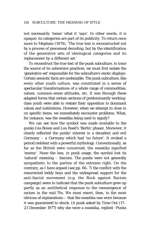not necessarily 'mean' what it 'says'. In other words, it is opaque: its categories are part of its publicity. To return once more to Mepham (1974), 'The true text is reconstructed not by a process of piecemeal decoding, but by the identification of the generative sets of ideological categories and its replacement by a different set.'

To reconstruct the true text of the punk subculture, to trace the source of its subversive practices, we must first isolate the 'generative set' responsible for the subculture's exotic displays. Certain semiotic facts are undeniable. The punk subculture, like every other youth culture, was constituted in a series of spectacular transformations of a whole range of commodities, values, common-sense attitudes, etc. It was through these adapted forms that certain sections of predominantly workingclass youth were able to restate their opposition to dominant values and institutions. However, when we attempt to close in on specific items, we immediately encounter problems. What, for instance, was the swastika being used to signify?

We can see how the symbol was made available to the punks (via Bowie and Lou Reed's 'Berlin' phase). Moreover, it clearly reflected the punks' interest in a decadent and evil Germany – a Germany which had 'no future'. It evoked a period redolent with a powerful mythology. Conventionally, as far as the British were concerned, the swastika signified 'enemy'. None the less, in punk usage, the symbol lost its 'natural' meaning – fascism. The punks were not generally sympathetic to the parties of the extreme right. On the contrary, as I have argued (see pp. 66–7) the conflict with the resurrected teddy boys and the widespread support for the anti-fascist movement (e.g. the Rock against Racism campaign) seem to indicate that the punk subculture grew up partly as an antithetical response to the reemergence of racism in the mid-70s. We must resort, then, to the most obvious of explanations – that the swastika was worn because it was guaranteed to shock. (A punk asked by *Time Out* (17– 23 December 1977) why she wore a swastika, replied: 'Punks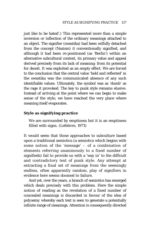just like to be hated'.) This represented more than a simple inversion or inflection of the ordinary meanings attached to an object. The signifier (swastika) had been wilfully detached from the concept (Nazism) it conventionally signified, and although it had been re-positioned (as 'Berlin') within an alternative subcultural context, its primary value and appeal derived precisely from its lack of meaning: from its potential for deceit. It was exploited as an empty effect. We are forced to the conclusion that the central value 'held and reflected' in the swastika was the communicated absence of any such identifiable values. Ultimately, the symbol was as 'dumb' as the rage it provoked. The key to punk style remains elusive. Instead of arriving at the point where we can begin to make sense of the style, we have reached the very place where meaning itself evaporates.

## **Style as signifying practice**

We are surrounded by emptiness but it is an emptiness filled with signs. (Lefebvre, 1971)

It would seem that those approaches to subculture based upon a traditional semiotics (a semiotics which begins with some notion of the 'message' – of a combination of elements referring unanimously to a fixed number of signifieds) fail to provide us with a 'way in' to the difficult and contradictory text of punk style. Any attempt at extracting a final set of meanings from the seemingly endless, often apparently random, play of signifiers in evidence here seems doomed to failure.

And yet, over the years, a branch of semiotics has emerged which deals precisely with this problem. Here the simple notion of reading as the revelation of a fixed number of concealed meanings is discarded in favour of the idea of *polysemy* whereby each text is seen to generate a potentially infinite range of meanings. Attention is consequently directed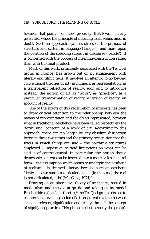towards that point – or more precisely, that level – in any given text where the principle of meaning itself seems most in doubt. Such an approach lays less stress on the primacy of structure and system in language ('langue'), and more upon the *position* of the speaking subject in discourse ('parole'). It is concerned with the *process* of meaning-construction rather than with the final product.

Much of this work, principally associated with the *Tel Quel* group in France, has grown out of an engagement with literary and filmic texts. It involves an attempt to go beyond conventional theories of art (as mimesis, as representation, as a transparent reflection of reality, etc.) and to introduce instead 'the notion of art as "work", as "practice", as a particular *transformation* of reality, a version of reality, an account of reality'.1

One of the effects of this redefinition of interests has been to draw critical attention to the relationship between the means of representation and the object represented, between what in traditional aesthetics have been called respectively the 'form' and 'content' of a work of art. According to this approach, there can no longer be any absolute distinction between these two terms and the primary recognition that the *ways* in which things are said – the narrative structures employed – impose quite rigid limitations on *what* can be said is of course crucial. In particular, the notion that a detachable content can be inserted into a more or less neutral form – the assumption which seems to underpin the aesthetic of realism – is deemed illusory because such an aesthetic 'denies its own status as articulation. . . . [in this case] the real is not articulated, *it is*' (MacCabe, 1974)<sup>2</sup>

Drawing on an alternative theory of aesthetics, rooted in modernism and the *avant-garde* and taking as its model Brecht's idea of an 'epic theatre',3 the *Tel Quel* group sets out to counter the prevailing notion of a transparent relation between sign and referent, signification and reality, through the concept of *signifying practice*. This phrase reflects exactly the group's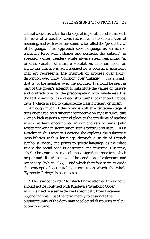central concerns with the ideological implications of form, with the idea of a positive construction and deconstruction of meaning, and with what has come to be called the 'productivity' of language. This approach sees language as an active, transitive force which shapes and positions the 'subject' (as speaker, writer, reader) while always itself remaining 'in process' capable of infinite adaptation. This emphasis on signifying practice is accompanied by a polemical insistence that art represents the triumph of process over fixity, disruption over unity, 'collision' over 'linkage'4 – the triumph, that is, of the signifier over the signified. It should be seen as part of the group's attempt to substitute the values of 'fissure' and contradiction for the preoccupation with 'wholeness' (i.e. the text 'conceived as a closed structure' (Lackner and Matias, 1972)) which is said to characterize classic literary criticism.

Although much of this work is still at a tentative stage, it does offer a radically different perspective on style in subculture – one which assigns a central place to the problems of reading which we have encountered in our analysis of punk. Julia Kristeva's work on signification seems particularly useful. In *La Revolution du Langage Poetique* she explores the subversive possibilities within language through a study of French symbolist poetry, and points to 'poetic language' as the 'place where the social code is destroyed and renewed' (Kristeva, 1975). She counts as 'radical' those signifying practices which negate and disturb syntax – 'the condition of coherence and rationality' (White, 1977) – and which therefore serve to erode the concept of 'actantial position' upon which the whole 'Symbolic Order,\*5 is seen to rest.

\* The 'symbolic order' to which I have referred throughout should not be confused with Kristeva's 'Symbolic Order' which is used in a sense derived specifically from Lacanian psychoanalysis. I use the term merely to designate the apparent unity of the dominant ideological discourses in play at any one time.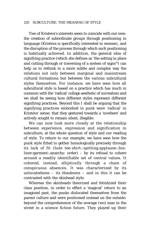#### 120 SUBCULTURE: THE MEANING OF STYLE

Two of Kristeva's interests seem to coincide with our own: the creation of subordinate groups through *positioning in language* (Kristeva is specifically interested in women), and the disruption of the process through which such positioning is habitually achieved. In addition, the general idea of signifying practice (which she defines as 'the setting in place and cutting through or traversing of a system of signs'6) can help us to rethink in a more subtle and complex way the relations not only between marginal and mainstream cultural formations but between the various subcultural styles themselves. For instance, we have seen how all subcultural style is based on a practice which has much in common with the 'radical' collage aesthetic of surrealism and we shall be seeing how different styles represent different signifying practices. Beyond this I shall be arguing that the signifying practices embodied in punk were 'radical' in Kristeva' sense: that they gestured towards a 'nowhere' and actively *sought* to remain silent, illegible.

We can now look more closely at the relationship between experience, expression and signification in subculture; at the whole question of style and our reading of style. To return to our example, we have seen how the punk style fitted to gether homologically precisely through its lack of fit (hole tee-shirt::spitting:applause::binliner:garment::anarchy: order) – by its refusal to cohere around a readily identifiable set of central values. It cohered, instead, *elliptically* through a chain of conspicuous absences. It was characterized by its unlocatedness – its blankness – and in this it can be contrasted with the skinhead style.

Whereas the skinheads theorized and fetishized their class position, in order to effect a 'magical' return to an imagined past, the punks dislocated themselves from the parent culture and were positioned instead on the outside: beyond the comprehension of the average (wo) man in the street in a science fiction future. They played up their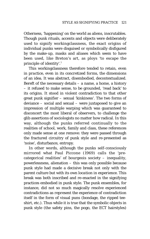Otherness, 'happening' on the world as aliens, inscrutables. Though punk rituals, accents and objects were deliberately used to signify workingclassness, the exact origins of individual punks were disguised or symbolically disfigured by the make-up, masks and aliases which seem to have been used, like Breton's art, as ploys 'to escape the principle of identity'.7

This workingclassness therefore tended to retain, *even in practice, even in its concretized forms*, the dimensions of an idea. It was abstract, disembodied, decontextualized. Bereft of the necessary details – a name, a home, a history – it refused to make sense, to be grounded, 'read back' to its origins. It stood in violent contradiction to that other great punk signifier – sexual 'kinkiness'. The two forms of deviance – social and sexual – were juxtaposed to give an impression of multiple warping which was guaranteed to disconcert the most liberal of observers, to challenge the glib assertions of sociologists no matter how radical. In this way, although the punks referred continually to the realities of school, work, family and class, these references only made sense at one remove: they were passed through the fractured circuitry of punk style and re-presented as 'noise', disturbance, entropy.

In other words, although the punks self-consciously mirrored what Paul Piccone (1969) calls the 'precategorical realities' of bourgeois society – inequality, powerlessness, alienation – this was only possible because punk style had made a decisive break not only with the parent culture but with its own *location in experience*. This break was both inscribed and re-enacted in the signifying practices embodied in punk style. The punk ensembles, for instance, did not so much magically resolve experienced contradictions as *represent* the experience of contradiction itself in the form of visual puns (bondage, the ripped teeshirt, etc.). Thus while it is true that the symbolic objects in punk style (the safety pins, the pogo, the ECT hairstyles)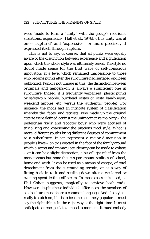were 'made to form a "*unity*" with the group's relations, situations, experience' (Hall *et al*., 1976b), this unity was at once 'ruptural' and 'expressive', or more precisely it expressed itself through rupture.

This is not to say, of course, that all punks were equally aware of the disjunction between experience and signification upon which the whole style was ultimately based. The style no doubt made sense for the first wave of self-conscious innovators at a level which remained inaccessible to those who became punks after the subculture had surfaced and been publicized. Punk is not unique in this: the distinction between originals and hangers-on is always a significant one in subculture. Indeed, it is frequently verbalized (plastic punks or safety-pin people, burrhead rastas or rasta bandwagon, weekend hippies, etc. versus the 'authentic' people). For instance, the mods had an intricate system of classification whereby the 'faces' and 'stylists' who made up the original coterie were defined against the unimaginative majority – the pedestrian 'kids' and 'scooter boys' who were accused of trivializing and coarsening the precious mod style. What is more, different youths bring different degrees of commitment to a subculture. It can represent a major dimension in people's lives – an axis erected in the face of the family around which a secret and immaculate identity can be made to cohere – or it can be a slight distraction, a bit of light relief from the monotonous but none the less paramount realities of school, home and work. It can be used as a means of escape, of total detachment from the surrounding terrain, or as a way of fitting back in to it and settling down after a week-end or evening spent letting off steam. In most cases it is used, as Phil Cohen suggests, magically to achieve both ends. However, despite these individual differences, the members of a subculture must share a common language. And if a style is really to catch on, if it is to become genuinely popular, it must say the right things in the right way at the right time. It must anticipate or encapsulate a mood, a moment. It must embody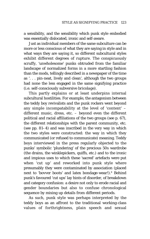a sensibility, and the sensibility which punk style embodied was essentially dislocated, ironic and self-aware.

Just as individual members of the same subculture can be more or less conscious of what they are saying in style and in what ways they are saying it, so different subcultural styles exhibit different degrees of rupture. The conspicuously scruffy, 'unwholesome' punks obtruded from the familiar landscape of normalized forms in a more startling fashion than the mods, tellingly described in a newspaper of the time as '. . . pin-neat, lively and clean', although the two groups had none the less engaged in the same signifying practice (i.e. self-consciously subversive *bricolage*).

This partly explains or at least underpins internal subcultural hostilities. For example, the antagonism between the teddy boy revivalists and the punk rockers went beyond any simple incompatability at the level of 'content' – different music, dress, etc. – beyond even the different political and racial affiliations of the two groups (see p. 67), the different relationships with the parent community, etc. (see pp. 81–4) and was inscribed in the very way in which the two styles were constructed: the way in which they communicated (or refused to communicate) meaning. Teddy boys interviewed in the press regularly objected to the punks' symbolic 'plundering' of the precious 50s wardrobe (the drains, the winklepickers, quiffs, etc.) and to the ironic and impious uses to which these 'sacred' artefacts were put when 'cut up' and reworked into punk style where presumably they were contaminated by association (placed next to 'bovver boots' and latex bondage-wear!).8 Behind punk's favoured 'cut ups' lay hints of disorder, of breakdown and category confusion: a desire not only to erode racial and gender boundaries but also to confuse chronological sequence by mixing up details from different periods.

As such, punk style was perhaps interpreted by the teddy boys as an affront to the traditional working-class values of forthrightness, plain speech and sexual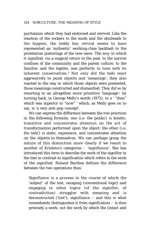puritanism which they had endorsed and revived. Like the reaction of the rockers to the mods and the skinheads to the hippies, the teddy boy revival seems to have represented an 'authentic' working-class backlash to the proletarian posturings of the new wave. *The way in which it signified*, via a magical return to the past, to the narrow confines of the community and the parent culture, to the familiar and the legible, was perfectly in tune with its inherent conservatism.9 Not only did the teds react aggressively to punk objects and 'meanings', they also reacted to the way in which those objects were presented, those meanings constructed and dismantled. They did so by resorting to an altogether more primitive 'language': by turning back, in George Melly's words (1972), to a ' "then" which was superior to "now" ' which, as Melly goes on to say, is 'a very anti-pop concept'.

We can express the difference between the two practices in the following formula: one (i.e. the punks') is kinetic, transitive and concentrates attention on *the act of transformation* performed upon the object: the other (i.e. the teds') is static, expressive, and concentrates attention on the *objects-in-themselves*. We can perhaps grasp the nature of this distinction more clearly if we resort to another of Kristeva's categories – '*signifiance*'. She has introduced this term to describe the work of the signifier in the text in contrast to signification which refers to the work of the signified. Roland Barthes defines the difference between the two operations thus:

Signifiance is a *process* in the course of which the 'subject' of the text, escaping (conventional logic) and engaging in other logics (of the signifier, of contradiction) struggles with meaning and is deconstructed ('lost'); signifiance – and this is what immediately distinguishes it from signification – is thus precisely a work; not the work by which the (intact and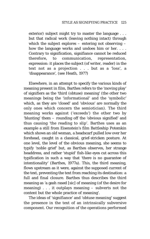exterior) subject might try to master the language . . . but that radical work (leaving nothing intact) through which the subject explores – entering not observing – how the language works and undoes him or her. . . . Contrary to signification, signifiance cannot be reduced therefore, to communication, representation, expression: it places the subject (of writer, reader) in the text not as a projection . . . but as a 'loss', a 'disappearance', (see Heath, 1977)

Elsewhere, in an attempt to specify the various kinds of meaning present in film, Barthes refers to the 'moving play' of signifiers as the 'third (obtuse) meaning' (the other two meanings being the 'informational' and the 'symbolic' which, as they are 'closed' and 'obvious' are normally the only ones which concern the semiotician). The third meaning works against ('exceeds') the other two by 'blunting' them – rounding off the 'obvious signified' and thus causing 'the reading to slip'. Barthes uses as an example a still from Eisenstein's film *Battleship Potemkin* which shows an old woman, a headscarf pulled low over her forehead, caught in a classical, grief-stricken posture. At one level, the level of the obvious meaning, she seems to typify 'noble grief' but, as Barthes observes, her strange headdress, and rather 'stupid' fish-like eyes cut across this typification in such a way that 'there is no guarantee of intentionality' (Barthes, 1977a). This, the third meaning, flows upstream as it were, against the supposed current of the text, preventing the text from reaching its destination: a full and final closure. Barthes thus describes the third meaning as 'a gash rased [sic] of meaning (of the desire for meaning) . . . it outplays meaning – subverts not the content but the whole practice of meaning'.

The ideas of 'signifiance' and 'obtuse meaning' suggest the presence in the text of an intrinsically subversive component. Our recognition of the operations performed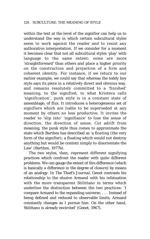within the text at the level of the signifier can help us to understand the way in which certain subcultural styles seem to work against the reader and to resist any authorative interpretation. If we consider for a moment it becomes clear that not all subcultural styles 'play' with language to the same extent: some are more 'straightforward' than others and place a higher priority on the construction and projection of a firm and coherent identity. For instance, if we return to our earlier example, we could say that whereas the teddy boy style says its piece in a relatively direct and obvious way, and remains resolutely committed to a 'finished' meaning, to the signified, to what Kristeva calls 'signification', punk style is in a constant state of assemblage, of flux. It introduces a heterogeneous set of signifiers which are liable to be superseded at any moment by others no less productive. It invites the reader to 'slip into' 'signifiance' to lose the sense of direction, the direction of sense. Cut adrift from meaning, the punk style thus comes to approximate the state which Barthes has described as 'a *floating* (the very form of the signifier); a floating which would not destroy anything but would be content simply to disorientate the Law' (Barthes, 1977b).

The two styles, then, represent different signifying practices which confront the reader with quite different problems. We can gauge the extent of this difference (which is basically a difference in the degree of *closure*) by means of an analogy. In *The Thief's Journal*, Genet contrasts his relationship to the elusive Armand with his infatuation with the more transparent Stilittano in terms which underline the distinction between the two practices: 'I compare Armand to the expanding universe. . . . Instead of being defined and reduced to observable limits, Armand constantly changes as I pursue him. On the other hand, Stilittano is already encircled' (Genet, 1967).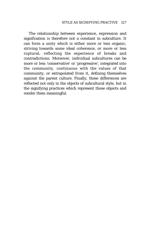The relationship between experience, expression and signification is therefore not a constant in subculture. It can form a unity which is either more or less organic, striving towards some ideal coherence, or more or less ruptural, reflecting the experience of breaks and contradictions. Moreover, individual subcultures can be more or less 'conservative' or 'progressive', integrated *into* the community, continuous with the values of that community, or extrapolated *from* it, defining themselves *against* the parent culture. Finally, these differences are reflected not only in the objects of subcultural style, but in the signifying practices which represent those objects and render them meaningful.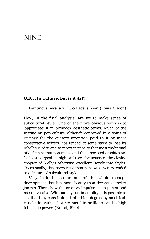## NINE

## **O.K., it's Culture, but is it Art?**

Painting is jewellery . . . collage is poor. (Louis Aragon)

How, in the final analysis, are we to make sense of subcultural style? One of the more obvious ways is to 'appreciate' it in orthodox aesthetic terms. Much of the writing on pop culture, although conceived in a spirit of revenge for the cursory attention paid to it by more conservative writers, has tended at some stage to lose its rebellious edge and to resort instead to that most traditional of defences: that pop music and the associated graphics are 'at least as good as high art' (see, for instance, the closing chapter of Melly's otherwise excellent *Revolt into Style*). Occasionally, this reverential treatment was even extended to a feature of subcultural style:

Very little has come out of the whole teenage development that has more beauty than decorated rocker jackets. They show the creative impulse at its purest and most inventive. Without any sentimentality, it is possible to say that they constitute art of a high degree, symmetrical, ritualistic, with a bizarre metallic brilliance and a high fetishistic power. (Nuttal, 1969)<sup>1</sup>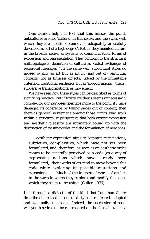One cannot help but feel that this misses the point. Subcultures are not 'cultural' in this sense, and the styles with which they are identified cannot be adequately or usefully described as 'art of a high degree'. Rather they manifest culture in the broader sense, as systems of communication, forms of expression and representation. They conform to the structural anthropologists' definition of culture as 'coded exchanges of reciprocal messages'.2 In the same way, subcultural styles do indeed qualify as art but as art in (and out of) particular contexts; not as timeless objects, judged by the immutable criteria of traditional aesthetics, but as 'appropriations', 'thefts', subversive transformations, as *movement*.

We have seen how these styles can be described as forms of signifying practice. But if Kristeva's thesis seems unnecessarily complex for our purposes (perhaps more to the point, if I have damaged its coherence by taking pieces out of context) then there is general agreement among those critics who work within a structuralist perspective that both artistic expression and aesthetic pleasure are intimately bound up with the destruction of existing codes and the formulation of new ones:

. . . aesthetic expression aims to communicate notions, subtleties, complexities, which have not yet been formulated, and, therefore, as soon as an aesthetic order comes to be generally perceived as a code (as a way of expressing notions which have already been formulated), then works of art tend to move beyond this code while exploring its possible mutations and extensions. . . . Much of the interest of works of art lies in the ways in which they explore and modify the codes which they seem to be using. (Culler, 1976)

It is through a dialectic of the kind that Jonathan Culler describes here that subcultural styles are created, adapted and eventually superseded. Indeed, the succession of postwar youth styles can be represented on the formal level as a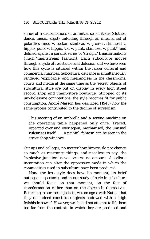series of transformations of an initial set of items (clothes, dance, music, argot) unfolding through an internal set of polarities (mod v. rocker, skinhead v. greaser, skinhead v. hippie, punk v. hippie, ted v. punk, skinhead v. punk<sup>3</sup>) and defined against a parallel series of 'straight' transformations ('high'/mainstream fashion). Each subculture moves through a cycle of resistance and defusion and we have seen how this cycle is situated within the larger cultural and commercial matrices. Subcultural deviance is simultaneously rendered 'explicable' and meaningless in the classrooms, courts and media at the same time as the 'secret' objects of subcultural style are put on display in every high street record shop and chain-store boutique. Stripped of its unwholesome connotations, the style becomes fit for public consumption. André Masson has described (1945) how the same process contributed to the decline of surrealism:

This meeting of an umbrella and a sewing machine on the operating table happened only once. Traced, repeated over and over again, mechanised, the unusual vulgarises itself. . . . A painful 'fantasy' can be seen in the street shop windows.

Cut ups and collages, no matter how bizarre, do not change so much as rearrange things, and needless to say, the 'explosive junction' never occurs: no amount of stylistic incantation can alter the oppressive mode in which the commodities used in subculture have been produced.

None the less style does have its moment, its brief outrageous spectacle, and in our study of style in subculture we should focus on that moment, on the fact of transformation rather than on the objects-in-themselves. Returning to our rocker jackets, we can agree with Nuttall that they do indeed constitute objects endowed with a 'high fetishistic power'. However, we should not attempt to lift them too far from the contexts in which they are produced and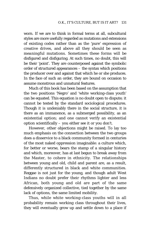worn. If we are to think in formal terms at all, subcultural styles are more usefully regarded as mutations and extensions of existing codes rather than as the 'pure' expression of creative drives, and above all they should be seen as *meaningful* mutations. Sometimes these forms will be disfigured and disfiguring. At such times, no doubt, this will be their 'point'. They are counterposed against the symbolic order of structured appearances – the syntax which positions the producer over and against that which he or she produces. In the face of such an order, they are bound on occasion to assume monstrous and unnatural features.

Much of this book has been based on the assumption that the two positions 'Negro' and 'white working-class youth' can be equated. This equation is no doubt open to dispute; it cannot be tested by the standard sociological procedures. Though it is undeniably there in the social structure, it is there as an immanence, as a submerged possibility, as an existential option; and one cannot verify an existential option scientifically – you either see it or you don't.

However, other objections might be raised. To lay too much emphasis on the connection between the two groups does a disservice to a black community formed in centuries of the most naked oppression imaginable: a culture which, for better or worse, bears the stamp of a singular history and which, moreover, has at last begun to break away from the Master, to cohere in ethnicity. The relationships between young and old, child and parent are, as a result, differently structured in black and white communities. Reggae is not just for the young, and though adult West Indians no doubt prefer their rhythms lighter and less African, both young and old are part of the same defensively organized collective, tied together by the same lack of options, the same limited mobility.

Thus, while white working-class youths will in all probability remain working class throughout their lives, they will eventually grow up and settle down to a place if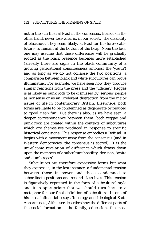not in the sun then at least in the consensus. Blacks, on the other hand, never lose what is, in our society, the disability of blackness. They seem likely, at least for the foreseeable future, to remain at the bottom of the heap. None the less, one may assume that these differences will be gradually eroded as the black presence becomes more established (already there are signs in the black community of a growing generational consciousness amongst the 'youth') and as long as we do not collapse the two positions, a comparison between black and white subcultures can prove illuminating. For example, we have seen how they produce similar reactions from the press and the judiciary. Reggae is as likely as punk rock to be dismissed by 'serious' people as nonsense or as an irrelevant distraction from the major issues of life in contemporary Britain. Elsewhere, both forms are liable to be condemned as degenerate or reduced to 'good clean fun'. But there is also, as we have seen, a deeper correspondence between them: both reggae and punk rock are created within the contexts of subcultures which are themselves produced in response to specific historical conditions. This response embodies a Refusal: it begins with a movement away from the consensus (and in Western democracies, the consensus is sacred). It is the unwelcome revelation of difference which draws down upon the members of a subculture hostility, derision, 'white and dumb rages'.

Subcultures are therefore expressive forms but what they express is, in the last instance, a fundamental tension between those in power and those condemned to subordinate positions and second-class lives. This tension is figuratively expressed in the form of subcultural style and it is appropriate that we should turn here to a metaphor for our final definition of subculture. In one of his most influential essays 'Ideology and Ideological State Apparatuses', Althusser describes how the different parts of the social formation – the family, education, the mass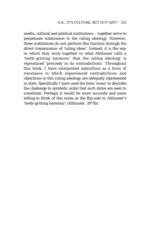media, cultural and political institutions – together serve to perpetuate submission to the ruling ideology. However, these institutions do not perform this function through the direct transmission of 'ruling ideas'. Instead, it is the way in which they work together in what Althusser calls a 'teeth-gritting harmony' that the ruling ideology is reproduced 'precisely in its contradictions'. Throughout this book, I have interpreted subculture as a form of resistance in which experienced contradictions and objections to this ruling ideology are obliquely represented in style. Specifically I have used the term 'noise' to describe the challenge to symbolic order that such styles are seen to constitute. Perhaps it would be more accurate and more telling to think of this noise as the flip-side to Althusser's 'teeth-gritting harmony' (Althusser, 1971b).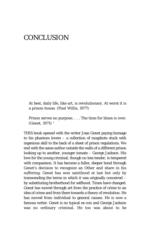# **CONCLUSION**

At best, daily life, like art, is revolutionary. At worst it is a prison-house. (Paul Willis, 1977)

Prison serves no purpose. . . . The time for blues is over. (Genet, 1971) 1

THIS book opened with the writer Jean Genet paying homage to his phantom lovers – a collection of mugshots stuck with ingenious skill to the back of a sheet of prison regulations. We end with the same author outside the walls of a different prison looking up to another, younger inmate – George Jackson. His love for the young criminal, though no less tender, is tempered with compassion. It has become a fuller, deeper bond through Genet's decision to recognize an Other and share in his suffering. Genet has won sainthood at last but only by transcending the terms in which it was originally conceived – by substituting brotherhood for selfhood. Times have changed. Genet has moved through art from the practice of crime to an idea of crime and from there towards a theory of revolution. He has moved from individual to general causes. He is now a famous writer. Genet is no typical ex-con and George Jackson was no ordinary criminal. He too was about to be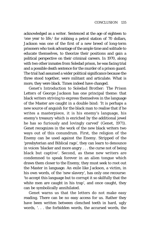acknowledged as a writer. Sentenced at the age of eighteen to 'one year to life, $1$  for robbing a petrol station of 70 dollars, Jackson was one of the first of a new breed of long-term prisoners who took advantage of the ample time and solitude to educate themselves, to theorize their positions and gain a political perspective on their criminal careers. In 1970, along with two other inmates from Soledad prison, he was facing trial and a possible death sentence for the murder of a prison guard. The trial had assumed a wider political significance because the three stood together, were militant and articulate. What is more, they were black. Times indeed have changed.

Genet's Introduction to *Soledad Brother: The Prison Letters of George Jackson* has one principal theme: that black writers striving to express themselves in the language of the Master are caught in a double bind: 'It is perhaps a new source of anguish for the black man to realise that if he writes a masterpiece, it is his enemy's language, his enemy's treasury which is enriched by the additional jewel he has so furiously and lovingly carved' (Genet, 1971). Genet recognizes in the work of the new black writers two ways out of this conundrum. First, the religion of the Enemy can be used against the Enemy. Stripped of the 'presbyterian and Biblical rags', they can learn to denounce in voices 'blacker and more angry . . . the curse not of being black but captive'. Second, as these new writers are condemned to speak forever in an alien tongue which draws them closer to the Enemy, they must seek to root out the Master in language. An exile like Jackson, a victim, in his own words, of the 'new slavery', has only one recourse: 'to accept this language but to corrupt it so skilfully that the white men are caught in his trap', and once caught, they can be symbolically annihilated.

Genet warns us that the letters do not make easy reading. There can be no easy access for us. Rather they have been written between clenched teeth in hard, ugly words, '. . . the forbidden words, the accursed words, the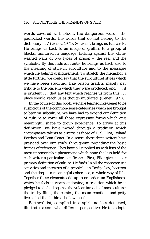words covered with blood, the dangerous words, the padlocked words, the words that do not belong to the dictionary . . .' (Genet, 1971). So Genet brings us full circle. He brings us back to an image of graffiti, to a group of blacks, immured in language, kicking against the whitewashed walls of two types of prison – the real and the symbolic. By this indirect route, he brings us back also to the meaning of style in subculture and to the messages which lie behind disfigurement. To stretch the metaphor a little further, we could say that the subcultural styles which we have been studying, like prison graffiti, merely pay tribute to the place in which they were produced, and '. . . it is prudent . . . that any text which reaches us from this . . . place should reach us as though mutilated' (Genet, 1971).

In the course of this book, we have learned like Genet to be suspicious of the common-sense categories which are brought to bear on subculture. We have had to expand our definition of culture to cover all those expressive forms which give meaningful shape to group experience. To arrive at this definition, we have moved through a tradition which encompasses talents as diverse as those of T. S. Eliot, Roland Barthes and Jean Genet. In a sense, these three writers have presided over our study throughout, providing the basic frames of reference. They have all supplied us with lists of the most unremarkable phenomena which none the less hold for each writer a particular significance. First, Eliot gives us our primary definition of culture. He finds 'in all the characteristic activities and interests of a people' – in Derby Day, beetroot and the dogs – a meaningful coherence, a 'whole way of life'. Together these elements add up to an order, an Englishness which he feels is worth endorsing; a tradition which he is pledged to defend against the vulgar inroads of mass culture: the trashy films, the comics, the mean emotions and petty lives of all the faithless 'hollow men'.

Barthes' list, compiled in a spirit no less detached, illustrates a somewhat different perspective. He too adopts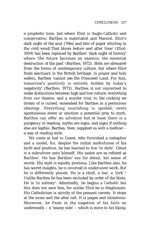a prophetic tone, but where Eliot is Anglo-Catholic and conservative, Barthes is materialist and Marxist. Eliot's dark night of the soul ('Men and bits of paper whirling in the cold wind/That blows before and after time' (Eliot, 1959) has been replaced by Barthes' 'dark night of history' where 'the future becomes an essence, the essential destruction of the past' (Barthes, 1972). Both are alienated from the forms of contemporary culture, but where Eliot finds sanctuary in the British heritage, in prayer and holy wafers, Barthes 'cannot see the Promised Land. For him, tomorrow's positivity is entirely hidden by today's negativity' (Barthes, 1972). Barthes is not concerned to make distinctions between high and low culture: everything from our theatre, and a murder trial, to the cooking we dream of is cursed, enmeshed for Barthes in a pernicious ideology. Everything nourishing is spoiled; every spontaneous event or emotion a potential prey to myth. Barthes can offer no salvation but at least there is a purgatory in reading: myths are signs, and signs if nothing else are legible. Barthes, then, supplied us with a method – a way of reading style.

We come at last to Genet, who furnished a metaphor and a model, for, despite the initial misfortunes of his birth and position, he has learned to live 'in style'. Genet is a subculture unto himself. His tastes are as refined as Barthes'. He has Barthes' eye for detail, his sense of words. His style is equally precious. Like Barthes also, he has secret insights, he is involved in undercover work. But he is differently placed. He is a thief, a liar, a 'jerk'.2 Unlike Barthes he has been excluded by order of the State. He is 'in solitary'. Admittedly, he begins a Catholic but this does not save him, for unlike Eliot he is illegitimate. His Catholicism is strictly of the peasant variety. It stops at the icons and the altar rail. It is pagan and idolatrous. Moreover, he finds in the negation of his faith an underneath – a 'seamy side' – which is more to his liking.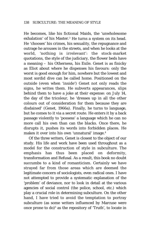He becomes, like his fictional Maids, the 'unwholesome exhalation' of his Master.<sup>3</sup> He turns a system on its head. He 'chooses' his crimes, his sexuality, the repugnance and outrage he arouses in the streets, and when he looks at the world, 'nothing is irrelevant': the stock-market quotations, the style of the judiciary, the flower beds have a meaning – his Otherness, his Exile. Genet is as finicky as Eliot about where he dispenses his favours: only the worst is good enough for him, nowhere but the lowest and most sordid dive can be called home. Positioned on the outside (even when 'inside') Genet not only reads the signs, he writes them. He subverts appearances, slips behind them to have a joke at their expense: on July 14, the day of the tricoleur, he 'dresses up in all the other colours out of consideration for them because they are disdained' (Genet, 1966a). Finally, he turns to language, but he comes to it via a secret route. He enters it by a back passage violently to 'possess' a language which he can no more call his own than can the blacks. Once there, he disrupts it, pushes its words into forbidden places. He makes it over into his own 'unnatural' image.4

Of the three writers, Genet is closest to the object of our study. His life and work have been used throughout as a model for the construction of style in subculture. The emphasis has thus been placed on deformity, transformation and Refusal. As a result, this book no doubt succumbs to a kind of romanticism. Certainly we have strayed far from those areas which are deemed the legitimate concern of sociologists, even radical ones. I have not attempted to provide a systematic explanation of the 'problem' of deviance, nor to look in detail at the various agencies of social control (the police, school, etc.) which play a crucial role in determining subculture. On the other hand, I have tried to avoid the temptation to portray subculture (as some writers influenced by Marcuse were once prone to  $d\sigma$ <sup>5</sup> as the repository of 'Truth', to locate in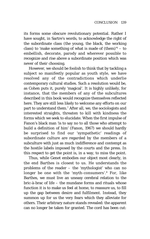its forms some obscure revolutionary potential. Rather I have sought, in Sartre's words, to acknowledge the right of the subordinate class (the young, the black, the working class) to 'make something of what is made of (them)' $6 -$  to embellish, decorate, parody and wherever possible to recognize and rise above a subordinate position which was never of their choosing.

However, we should be foolish to think that by tackling a subject so manifestly popular as youth style, we have resolved any of the contradictions which underlie contemporary cultural studies. Such a resolution would be, as Cohen puts it, purely 'magical'. It is highly unlikely, for instance, that the members of any of the subcultures described in this book would recognize themselves reflected here. They are still less likely to welcome any efforts on our part to understand them.<sup>7</sup> After all, we, the sociologists and interested straights, threaten to kill with kindness the forms which we seek to elucidate. When the first impulse of Fanon's black man 'is to say no to all those who attempt to build a definition of him' (Fanon, 1967) we should hardly be surprised to find our 'sympathetic' readings of subordinate culture are regarded by the members of a subculture with just as much indifference and contempt as the hostile labels imposed by the courts and the press. In this respect to get the point is, in a way, to miss the point.

Thus, while Genet embodies our object most clearly, in the end Barthes is closest to us. He understands the problems of the reader – the 'mythologist' who can no longer be one with the 'myth-consumers'.<sup>8</sup> For, like Barthes, we must live an uneasy cerebral relation to the bric-à-brac of life – the mundane forms and rituals whose function it is to make us feel at home, to reassure us, to fill up the gap between desire and fulfilment. Instead, they summon up for us the very fears which they alleviate for others. Their arbitrary nature stands revealed: the apparent can no longer be taken for granted. The cord has been cut: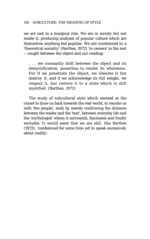we are cast in a marginal role. We are in society but not inside it, producing analyses of popular culture which are themselves anything but popular. We are condemned to a 'theoretical sociality' (Barthes, 1972) 'in camera' to the text – caught between the object and our reading:

. . . we constantly drift between the object and its demystification, powerless to render its wholeness. For if we penetrate the object, we liberate it but destroy it; and if we acknowledge its full weight, we respect it, but restore it to a state which is still mystified. (Barthes, 1972)

The study of subcultural style which seemed at the outset to draw us back towards the real world, to reunite us with 'the people', ends by merely confirming the distance between the reader and the 'text', between everyday life and the 'mythologist' whom it surrounds, fascinates and finally excludes. It would seem that we are still, tike Barthes (1972), 'condemned for some time yet to speak *excessively* about reality'.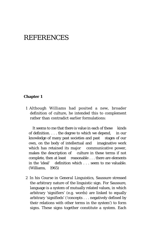# REFERENCES

### **Chapter 1**

1 Although Williams had posited a new, broader definition of culture, he intended this to complement rather than contradict earlier formulations:

It seems to me that there is value in each of these kinds of definition. . . . the degree to which we depend, in our knowledge of many past societies and past stages of our own, on the body of intellectual and imaginative work which has retained its major communicative power, makes the description of culture in these terms if not complete, then at least reasonable . . . there are elements in the 'ideal' definition which . . . seem to me valuable. (Williams, 1965)

2 In his *Course in General Linguistics*, Saussure stressed the arbitrary nature of the linguistic sign. For Saussure, language is a system of mutually related values, in which arbitrary 'signifiers' (e.g. words) are linked to equally arbitrary 'signifieds' ('concepts . . . negatively defined by their relations with other terms in the system') to form signs. These signs together constitute a system. Each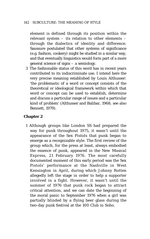#### 142 SUBCULTURE: THE MEANING OF STYLE

element is defined through its position within the relevant system – its relation to other elements – through the dialectics of identity and difference. Saussure postulated that other systems of significance (e.g. fashion, cookery) might be studied in a similar way, and that eventually linguistics would form part of a more general science of signs – a semiology.

3 The fashionable status of this word has in recent years contributed to its indiscriminate use. I intend here the very precise meaning established by Louis Althusser: 'the *problematic* of a word or concept consists of the theoretical or ideological framework within which that word or concept can be used to establish, determine and discuss a particular range of issues and a particular kind of problem' (Althusser and Balibar, 1968; see also Bennett, 1979).

# **Chapter 2**

1 Although groups like London SS had prepared the way for punk throughout 1975, it wasn't until the appearance of the Sex Pistols that punk began to emerge as a recognizable style. The first review of the group which, for the press at least, always embodied the essence of punk, appeared in the *New Musical Express*, 21 February 1976. The most carefully documented moment of this early period was the Sex Pistols' performance at the Nashville in West Kensington in April, during which Johnny Rotten allegedly left the stage in order to help a supporter involved in a fight. However, it wasn't until the summer of 1976 that punk rock began to attract critical attention, and we can date the beginning of the moral panic to September 1976 when a girl was partially blinded by a flying beer glass during the two-day punk festival at the 100 Club in Soho.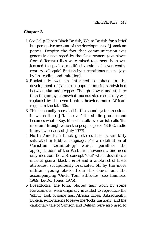### **Chapter 3**

- 1 See Dilip Hiro's *Black British, White British* for a brief but perceptive account of the development of Jamaican patois. Despite the fact that communication was generally discouraged by the slave owners (e.g. slaves from different tribes were mixed together) the slaves learned to speak a modified version of seventeenthcentury colloquial English by surreptitious means (e.g. by lip-reading and imitation).
- 2 Rocksteady was an intermediate phase in the development of Jamaican popular music, sandwiched between ska and reggae. Though slower and stickier than the jumpy, somewhat raucous ska, rocksteady was replaced by the even tighter, heavier, more 'African' reggae in the late 60s.
- 3 This is actually recreated in the sound system sessions in which the d-j 'talks over' the studio product and becomes what I-Roy, himself a talk-over artist, calls 'the medium through which the people speak' (B.B.C. radio interview broadcast, July 1977).
- 4 North American black ghetto culture is similarly saturated in Biblical language. For a redefinition of Christian terminology which parallels the appropriations of the Rastafari movement, one need only mention the U.S. concept 'soul' which describes a musical genre (black r & b) and a whole set of black attitudes, scrupulously bracketed off by the more militant young blacks from the 'blues' and the accompanying 'Uncle Tom' attitudes (see Hannerz, 1969; Le-Roi Jones, 1975).
- 5 Dreadlocks, the long, plaited hair worn by some Rastafarians, were originally intended to reproduce the 'ethnic' look of some East African tribes. Subsequently, Biblical exhortations to leave the 'locks unshorn', and the cautionary tale of Samson and Delilah were also used to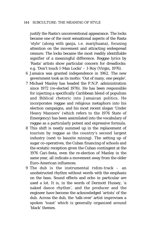justify the Rasta's unconventional appearance. The locks became one of the most sensational aspects of the Rasta 'style' (along with ganja, i.e. marijhuana), focusing attention on the movement and attracting widespread censure. The locks became the most readily identifiable signifier of a meaningful difference. Reggae lyrics by 'Rasta' artists show particular concern for dreadlocks: e.g. 'Don't touch I-Man Locks' – I-Roy (Virgin, 1976).

- 6 Jamaica was granted independence in 1962. The new government took as its motto: 'Out of many, one people'.
- 7 Michael Manley has headed the P.N.P. administration since 1972 (re-elected 1976). He has been responsible for injecting a specifically Caribbean blend of populism and Biblical rhetoric into Jamaican politics. He incorporates reggae and religious metaphors into his election campaigns, and his most recent slogan 'Under Heavy Manners' (which refers to the 1976 State of Emergency) has been assimilated into the vocabulary of reggae as a particularly potent and expressive formula.
- 8 This shift is neatly summed up in the replacement of tourism by reggae as the country's second largest industry (next to bauxite mining). The setting up of sugar co-operatives, the Cuban financing of schools and the ecstatic reception given the Cuban contingent at the 1976 Cari-festa, even the re-election of Manley in the same year, all indicate a movement away from the older Euro-American influences.
- 9 The dub is the instrumental ridim-track an unobstructed rhythm without words with the emphasis on the bass. Sound effects and echo in particular are used a lot. It is, in the words of Dermott Hussey, 'a naked dance rhythm', and the producer and the engineer have become the acknowledged 'artists' of the dub. Across the dub, the 'talk-over' artist improvises a spoken 'toast' which is generally organized around 'black' themes.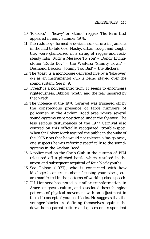- 10 'Rockers' 'heavy' or 'ethnic' reggae. The term first appeared in early summer 1976.
- 11 The rude boys formed a deviant subculture in Jamaica in the mid to late 60s. Flashy, urban 'rough and tough', they were glamorized in a string of reggae and rocksteady hits: 'Rudy a Message To You' – Dandy Livingstone; 'Rude Boy' – the Wailers; 'Shanty Town' – Desmond Dekker; 'Johnny Too Bad' – the Slickers.
- 12 The 'toast' is a monologue delivered live by a 'talk-over' d-j as an instrumental dub is being played over the sound system. See n. 9.
- 13 'Dread' is a polysemantic term. It seems to encompass righteousness, Biblical 'wrath' and the fear inspired by that wrath.
- 14 The violence at the 1976 Carnival was triggered off by the conspicuous presence of large numbers of policemen in the Acklam Road area where several sound-systems were positioned under the fly-over. The less serious disturbances of the 1977 Carnival also centred on this officially recognized 'trouble-spot'. When Sir Robert Mark assured the public in the wake of the 1976 riots that he would not tolerate a 'no-go area', one suspects he was referring specifically to the soundsystems in the Acklam Road.
- 15 A police raid on the Carib Club in the autumn of 1974 triggered off a pitched battle which resulted in the arrest and subsequent acquittal of four black youths.
- 16 See Tolson (1977), who is concerned with how ideological constructs about 'keeping your place', etc. are manifested in the patterns of working-class speech.
- 17 Ulf Hannerz has noted a similar transformation in American ghetto-culture, and associated these changing patterns of physical movement with an adjustment in the self-concept of younger blacks. He suggests that the younger blacks are defining themselves against the down-home parent culture and quotes one respondent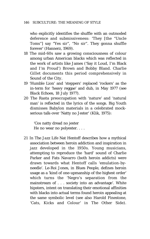who explicitly identifies the shuffle with an outmoded deference and submissiveness: 'They [the "Uncle Toms"] say "Yes sir", "No sir". They gonna shuffle forever' (Hannerz, 1969).

- 18 The mid-60s saw a growing consciousness of colour among urban American blacks which was reflected in the work of artists like James ('Say it Loud, I'm Black and I'm Proud') Brown and Bobby Bland. Charlie Gillet documents this period comprehensively in *Sound of the City*.
- 19 'Humble Lion' and 'steppers' replaced 'rockers' as the in-term for 'heavy reggae' and dub, in May 1977 (see *Black Echoes*, 18 July 1977).
- 20 The Rasta preoccupation with 'nature' and 'natural man' is reflected in the lyrics of the songs. Big Youth dismisses Babylon materials in a celebrated mockserious talk-over 'Natty no Jester' (Klik, 1975):

'Cos natty dread no jester He no wear no polyester. . . .

21 In *The Jazz Life* Nat Hentoff describes how a mythical association between heroin addiction and inspiration in jazz developed in the 1950s. Young musicians, attempting to reproduce the 'hard' sound of Charlie Parker and Fats Navarro (both heroin addicts) were drawn towards what Hentoff calls 'emulation-byneedle'. Le-Roi Jones, in *Blues People*, defines heroin usage as a 'kind of one-upmanship of the highest order' which turns the 'Negro's separation from the mainstream of . . . society into an advantage'. White hipsters, intent on translating their emotional affinities with blacks into actual terms found heroin appealing at the same symbolic level (see also Harold Finestone, 'Cats, Kicks and Colour' in *The Other Side*).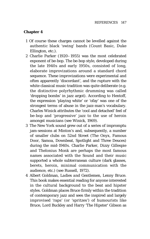### **Chapter 4**

- 1 Of course these charges cannot be levelled against the authentic black 'swing' bands (Count Basic, Duke Ellington, etc.).
- 2 Charlie Parker (1920–1955) was the most celebrated exponent of be-bop. The be-bop style, developed during the late 1940s and early 1950s, consisted of long, elaborate improvizations around a standard chord sequence. These improvizations were experimental and often apparently 'discordant', and the rupture with the white classical music tradition was quite deliberate (e.g. the distinctive polyrhythmic drumming was called 'dropping bombs' in jazz argot). According to Hentoff, the expression 'playing white' or 'ofay' was one of the strongest terms of abuse in the jazz-man's vocabulary. Charles Winick attributes the 'cool and detached' feel of be-bop and 'progressive' jazz to the use of heroin amongst musicians (see Winick, 1969).
- 3 The New York sound grew out of a series of impromptu jam-sessions at Minton's and, subsequently, a number of smaller clubs on 52nd Street (The Onyx, Famous Door, Samoa, Downbeat, Spotlight and Three Deuces) during the mid-1940s. Charlie Parker, Dizzy Gillespie and Thelonius Monk are perhaps the most famous names associated with the Sound and their music supported a whole subterranean culture (dark glasses, berets, heroin, minimal communication with the audience, etc.) (see Russell, 1972).
- 4 Albert Goldman, *Ladies and Gentlemen, Lenny Bruce*. This book makes essential reading for anyone interested in the cultural background to the beat and hipster styles. Goldman places Bruce firmly within the tradition of contemporary jazz and sees the inspired and largely improvised 'raps' (or 'spritzes') of humourists like Bruce, Lord Buckley and Harry 'The Hipster' Gibson as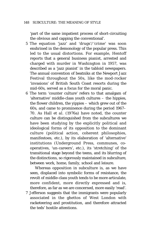'part of the same impatient process of short-circuiting the obvious and capping the conventional'.

- 5 The equation 'jazz' and 'drugs'/'crime' was soon enshrined in the demonology of the popular press. This led to the usual distortions. For example, Hentoff reports that a general business pianist, arrested and charged with murder in Washington in 1957, was described as a 'jazz pianist' in the tabloid newspapers. The annual convention of beatniks at the Newport Jazz Festival throughout the 50s, like the mod-rocker 'invasions' of British South Coast resorts during the mid-60s, served as a focus for the moral panic.
- 6 The term 'counter culture' refers to that amalgam of 'alternative' middle-class youth cultures – the hippies, the flower children, the yippies – which grew out of the 60s, and came to prominence during the period 1967– 70. As Hall *et al*. (1976a) have noted, the counter culture can be distinguished from the subcultures we have been studying by the explicitly political and ideological forms of its opposition to the dominant culture (political action, coherent philosophies, manifestoes, etc.), by its elaboration of 'alternative' institutions (Underground Press, communes, cooperatives, 'un-careers', etc.), its 'stretching' of the transitional stage beyond the teens, and its blurring of the distinctions, so rigorously maintained in subculture, between work, home, family, school and leisure.

Whereas opposition in subculture is, as we have seen, displaced into symbolic forms of resistance, the revolt of middle-class youth tends to be more articulate, more confident, more directly expressed and is, therefore, as far as we are concerned, more easily 'read'.

7 Jefferson suggests that the immigrants were popularly associated in the ghettos of West London with racketeering and prostitution, and therefore attracted the teds' hostile attentions.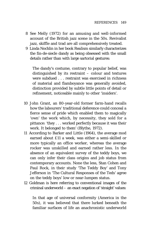- 8 See Melly (1972) for an amusing and well-informed account of the British jazz scene in the 50s. Revivalist jazz, skiffle and trad are all comprehensively treated.
- 9 Linda Nochlin in her book *Realism* similarly characterizes the fin-de-siecle dandy as being obsessed with the small details rather than with large sartorial gestures:

The dandy's costume, contrary to popular belief, was distinguished by its restraint – colour and textures were subdued . . . restraint was exercised in richness of material and flamboyance was generally avoided, distinction provided by subtle little points of detail or refinement, noticeable mainly to other 'insiders'.

- 10 John Grant, an 80-year-old former farm-hand recalls how the labourers' traditional deference could conceal a fierce sense of pride which enabled them to magically 'own' the work which, by necessity, they sold for a pittance: 'they . . . worked perfectly because it was their work. It belonged to *them*' (Blythe, 1972).
- 11 According to Barker and Little (1964), the average mod earned about £11 a week, was either a semi-skilled or more typically an office worker, whereas the average rocker was unskilled and earned rather less. In the absence of an equivalent survey of the teddy boys, we can only infer their class origins and job status from contemporary accounts. None the less, Stan Cohen and Paul Rock, in their study 'The Teddy Boy' and Tony Jefferson in 'The Cultural Responses of the Teds' agree on the teddy boys' low or near-lumpen status.
- 12 Goldman is here referring to conventional images of the criminal underworld – an exact negation of 'straight' values:

In that age of universal conformity (America in the 50s), it was believed that there lurked beneath the familiar surfaces of life an anachronistic underworld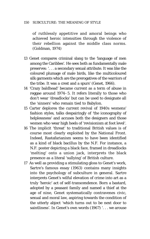#### 150 SUBCULTURE: THE MEANING OF STYLE

of ruthlessly appetitive and amoral beings who achieved heroic intensities through the violence of their rebellion against the middle class norms. (Goldman, 1974)

- 13 Genet compares criminal slang to the 'language of men among the Caribbes'. He sees both as fundamentally male preserves: '. . . a secondary sexual attribute. It was like the coloured plumage of male birds, like the multicoloured silk garments which are the prerogatives of the warriors of the tribe. It was a crest and a spurs' (Genet, 1966).
- 14 'Crazy baldhead' became current as a term of abuse in reggae around 1974–5. It refers literally to those who don't wear 'dreadlocks' but can be used to designate all the 'sinners' who remain tied to Babylon.
- 15 Carter deplores the current revival of 1940s womens' fashion styles, talks despairingly of 'the iconography of helplessness' and accuses both the designers and those women who wear high heels of 'revisionism at foot level'.
- 16 The implicit 'threat' to traditional British values is of course most clearly exploited by the National Front. Indeed, Rastafarianism seems to have been identified as a kind of black bacillus by the N.F. For instance, a N.F. poster depicting a black face, framed in dreadlocks 'melting' onto a union jack, interprets the black presence as a literal 'sullying' of British culture.
- 17 As well as providing a stimulating gloss to Genet's work, Sartre's famous essay (1963) contains many insights into the psychology of subculture in general. Sartre interprets Genet's wilful elevation of crime into art as a truly 'heroic' act of self-transcendence. Born a bastard, adopted by a peasant family and named a thief at the age of nine, Genet systematically contravenes civic, sexual and moral law, aspiring towards the condition of the utterly abject 'which turns out to be next door to saintliness'. In Genet's own words (1967) '. . . we arouse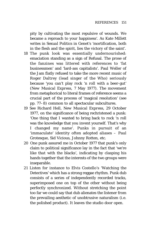pity by cultivating the most repulsive of wounds. We became a reproach to your happiness'. As Kate Millett writes in *Sexual Politics* in Genet's 'mortification, both in the flesh and the spirit, lies the victory of the saint'.

- 18 The punk look was essentially undernourished: emaciation standing as a sign of Refusal. The prose of the fanzines was littered with references to 'fat businessmen' and 'lard-ass capitalists'. Paul Weller of the Jam flatly refused to take the more recent music of Roger Daltrey (lead singer of the Who) seriously because 'you can't play rock 'n roll with a beer-gut' (*New Musical Express*, 7 May 1977). The movement from metaphorical to literal frames of reference seems a crucial part of the process of 'magical resolution' (see pp. 77–8) common to all spectacular subcultures.
- 19 See Richard Hell, *New Musical Express*, 29 October 1977, on the significance of being rechristened a punk: 'One thing that I wanted to bring back to rock 'n roll was the knowledge that you invent yourself. That's why I changed my name'. Punks in pursuit of an 'immaculate' identity often adopted aliases – Paul Grotesque, Sid Vicious, Johnny Rotten, etc.
- 20 One punk assured me in October 1977 that punk's only claim to political significance lay in the fact that 'we're like *that* with the blacks', indicating by clasping his hands together that the interests of the two groups were inseparable.
- 21 Listen for instance to Elvis Costello's 'Watching the Detectives' which has a strong reggae rhythm. Punk dub consists of a series of independently recorded tracks, superimposed one on top of the other without being perfectly synchronized. Without stretching the point too far we could say that dub alienates the listener from the prevailing aesthetic of unobtrusive naturalism (i.e. the polished product). It leaves the studio door open.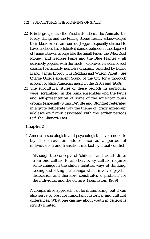#### 152 SUBCULTURE: THE MEANING OF STYLE

- 22 R & B groups like the Yardbirds, Them, the Animals, the Pretty Things and the Rolling Stones readily acknowledged their black American sources. Jagger frequently claimed to have modelled his celebrated dance routines on the stage act of James Brown. Groups like the Small Faces, the Who, Zoot Money, and Georgie Fame and the Blue Flames – all extremely popular with the mods – did cover versions of soul classics (particularly numbers originally recorded by Bobby Bland, James Brown, Otis Redding and Wilson Picket). See Charlie Gillet's excellent *Sound of the City* for a thorough account of black American music in the 1950s and 1960s.
- 23 The subcultural styles of these periods in particular were 'scrambled' in the punk ensembles and the lyrics and self-presentation of some of the American punk groups (especially Mink DeVille and Blondie) reiterated in a quite deliberate way the theme of 'crazy mixed-up' adolescence firmly associated with the earlier periods (c.f. the Shangri-Las).

## **Chapter 5**

1 American sociologists and psychologists have tended to lay the stress on adolescence as a period of individualism and transition marked by ritual conflict:

Although the concepts of 'childish' and 'adult' differ from one culture to another, every culture requires *some* change in the child's habitual ways of thinking, feeling and acting – a change which involves psychic dislocation and therefore constitutes a 'problem' for the individual and the culture. (Kenniston, 1969)

A comparative approach can be illuminating, but it can also serve to obscure important historical and cultural differences. What one can say about youth in general is strictly limited.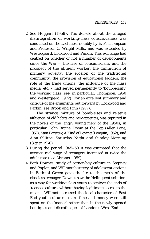2 See Hoggart (1958). The debate about the alleged disintegration of working-class consciousness was conducted on the Left most notably by E. P. Thompson and Professor C. Wright Mills, and was extended by Westergaard, Lockwood and Parkin. This exchange had centred on whether or not a number of developments since the War – the rise of consumerism, and the prospect of the affluent worker, the diminution of primary poverty, the erosion of the traditional community, the provision of educational ladders, the role of the trade unions, the influence of the mass media, etc. – had served permanently to 'bourgeoisify' the working class (see, in particular, Thompson, 1960 and Westergaard, 1972). For an excellent summary and critique of the arguments put forward by Lockwood and Parkin, see Brook and Finn (1977).

The strange mixture of bomb-sites and relative affluence, of old habits and new appetites, was captured in the novels of the 'angry young men' of the 1950s, in particular: John Braine, *Room at the Top* (Allen Lane, 1957); Stan Barstow, *A Kind of Loving* (Penguin, 1962); and Alan Sillitoe, *Saturday Night and Sunday Morning* (Signet, 1970).

- 3 During the period 1945–50 it was estimated that the average real wage of teenagers increased at twice the adult rate (see Abrams, 1959).
- 4 Both Downes' study of corner-boy culture in Stepney and Poplar, and Willmott's survey of adolescent options in Bethnal Green gave the lie to the myth of the classless teenager. Downes saw the 'delinquent solution' as a way for working class youth to achieve the ends of 'teenage culture' without having legitimate access to the means. Willmott stressed the local character of East End youth culture: leisure time and money were still spent on the 'manor' rather than in the newly opened boutiques and discotheques of London's West End.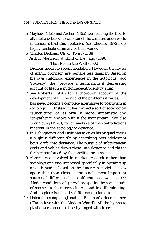#### 154 SUBCULTURE: THE MEANING OF STYLE

- 5 Mayhew (1851) and Archer (1865) were among the first to attempt a detailed description of the criminal underworld in London's East End 'rookeries' (see Chesney, 1972 for a highly readable summary of their work).
- 6 Charles Dickens, *Oliver Twist* (1838) Arthur Morrison, *A Child of the Jago* (1896) *The Hole in the Wall* (1902)

Dickens needs no recommendation. However, the novels of Arthur Morrison are perhaps less familiar. Based on his own childhood experiences in the notorious Jago 'rookery', they provide a fascinating if depressing account of life in a mid-nineteenth-century slum.

- 7 See Roberts (1976) for a thorough account of the development of P.O. work and the problems it raises: 'PO has never become a complete alternative to positivism in sociology. . . . Instead, it has formed a sort of sociological "subculture" of its own: a more humanistic and "empathetic" enclave within the mainstream'. See also Jock Young (1970), for an analysis of the contradictions inherent in the sociology of deviance.
- 8 In *Delinquency and Drift* Matza gives his original thesis a slightly different tilt by describing how adolescent boys 'drift' into deviance. The pursuit of subterranean goals and values draws them into deviance and this is further reinforced by the labelling process.
- 9 Abrams was involved in market research rather than sociology and was interested specifically in opening up a youth market based on the American model. He saw age rather than class as the single most important source of difference in an affluent post-war society: 'Under conditions of general prosperity the social study of society in class terms is less and less illuminating. And its place is taken by differences related to age.'
- 10 Listen for example to Jonathan Richman's 'Road-runner' ('I'm in love with the Modern World'). All the hymns to plastic were no doubt heavily tinged with irony.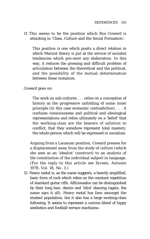11 This seems to be the position which Ros Coward is attacking in 'Class, Culture and the Social Formation':

This position is one which posits a direct relation in which Marxist theory is put at the service of socialist tendencies which pre-exist any elaboration. In this way, it reduces the pressing and difficult problem of articulation between the theoretical and the political, and the possibility of the mutual determination between these instances.

Coward goes on:

The work on sub-cultures . . . relies on a conception of history as the progressive unfolding of some inner principle (in this case economic contradiction) . . . it confuses consciousness and political and ideological representations and relies ultimately on a 'belief' that the working-class are the bearers of solution to conflict, that they somehow represent total mastery, the whole person which will be expressed in socialism.

Arguing from a Lacanian position, Coward presses for a displacement away from the study of culture (which she sees as an 'idealist' construct) to an analysis of the constitution of the individual subject in language. (For the reply to this article see *Screen, Autumn 1978, Vol. 18, No. 3*.)

12 Heavy metal is, as the name suggests, a heavily amplified, basic form of rock which relies on the constant repetition of standard guitar riffs. Afficionados can be distinguished by their long hair, denim and 'idiot' dancing (again, the name says it all). Heavy metal has fans amongst the student population, but it also has a large working-class following. It seems to represent a curious blend of hippy aesthetics and football terrace machismo.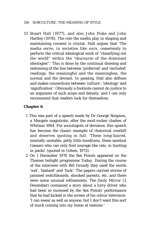13 Stuart Hall (1977), and also John Fiske and John Hartley (1978). The role the media play in shaping and maintaining consent is crucial. Hall argues that 'The media serve, in societies like ours, ceaselessly to perform the critical ideological work of "classifying out the world" within the "discourse of the dominant ideologies".' This is done by the continual drawing and redrawing of the line between 'preferred' and 'excluded' readings, the meaningful and the meaningless, the normal and the deviant. In passing, Hall also defines and makes connections between 'culture', 'ideology' and 'signification'. Obviously a footnote cannot do justice to an argument of such scope and density, and I can only recommend that readers look for themselves.

#### **Chapter 6**

- 1 This was part of a speech made by Dr George Simpson, a Margate magistrate, after the mod-rocker clashes of Whitsun 1964. For sociologists of deviance, this speech has become *the* classic example of rhetorical overkill and deserves quoting in full: 'These long-haired, mentally unstable, petty little hoodlums, these sawdust Caesars who can only find courage like rats, in hunting in packs' (quoted in Cohen, 1972).
- 2 On 1 December 1976 the Sex Pistols appeared on the Thames twilight programme *Today*. During the course of the interview with Bill Grundy they used the words 'sod', 'bastard' and 'fuck'. The papers carried stories of jammed switchboards, shocked parents, etc. and there were some unusual refinements. The *Daily Mirror* (2 December) contained a story about a lorry driver who had been so incensed by the Sex Pistols' performance that he had kicked in the screen of his colour television: 'I can swear as well as anyone, but I don't want this sort of muck coming into my home at teatime.'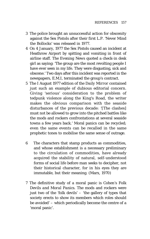- 3 The police brought an unsuccessful action for obscenity against the Sex Pistols after their first L.P. 'Never Mind the Bollocks' was released in 1977.
- 4 On 4 January, 1977 the Sex Pistols caused an incident at Heathrow Airport by spitting and vomiting in front of airline staff. The *Evening News* quoted a check-in desk girl as saying: 'The group are the most revolting people I have ever seen in my life. They were disgusting, sick and obscene.' Two days after this incident was reported in the newspapers, E.M.I, terminated the group's contract.
- 5 The I August 1977 edition of the *Daily Mirror* contained just such an example of dubious editorial concern. Giving 'serious' consideration to the problem of tedpunk violence along the King's Road, the writer makes the obvious comparison with the seaside disturbances of the previous decade: '[The clashes] must not be allowed to grow into the pitched battles like the mods and rockers confrontations at several seaside towns a few years back.' Moral panics can be recycled; even the same events can be recalled in the same prophetic tones to mobilise the same sense of outrage.
- 6 The characters that stamp products as commodities, and whose establishment is a necessary preliminary to the circulation of commodities, have already acquired the stability of natural, self-understood forms of social life before man seeks to decipher, not their historical character, for in his eyes they are immutable, but their meaning. (Marx, 1970)
- 7 The definitive study of a moral panic is Cohen's *Folk Devils and Moral Panics*. The mods and rockers were just two of the 'folk devils' – 'the gallery of types that society erects to show its members which roles should be avoided' – which periodically become the centre of a 'moral panic'.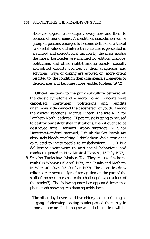Societies appear to be subject, every now and then, to periods of moral panic. A condition, episode, person or group of persons emerges to become defined as a threat to societal values and interests; its nature is presented in a stylised and stereotypical fashion by the mass media; the moral barricades are manned by editors, bishops, politicians and other right-thinking people; socially accredited experts pronounce their diagnoses and solutions; ways of coping are evolved or (more often) resorted to; the condition then disappears, submerges or deteriorates and becomes more visible. (Cohen, 1972)

Official reactions to the punk subculture betrayed all the classic symptoms of a moral panic. Concerts were cancelled; clergymen, politicians and pundits unanimously denounced the degeneracy of youth. Among the choicer reactions, Marcus Lipton, the late M.P. for Lambeth North, declared: 'If pop music is going to be used to destroy our established institutions, then it ought to be destroyed first.' Bernard Brook-Partridge, M.P. for Havering-Romford, stormed, 'I think the Sex Pistols are absolutely bloody revolting. I think their whole attitude is calculated to incite people to misbehaviour. . . . It is a deliberate incitement to anti-social behaviour and conduct' (quoted in *New Musical Express*, 15 July 1977).

8 See also 'Punks have Mothers Too: They tell us a few home truths' in *Woman* (15 April 1978) and 'Punks and Mothers' in *Woman's Own* (15 October 1977). These articles draw editorial comment (a sign of recognition on the part of the staff of the need to reassure the challenged expectations of the reader?). The following anecdote appeared beneath a photograph showing two dancing teddy boys:

The other day I overheard two elderly ladies, cringing as a gang of alarming looking punks passed them, say in tones of horror: 'Just imagine what their children will be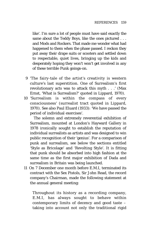like'. I'm sure a lot of people must have said exactly the same about the Teddy Boys, like the ones pictured . . . and Mods and Rockers. That made me wonder what had happened to them when the phase passed. I reckon they put away their drape suits or scooters and settled down to respectable, quiet lives, bringing up the kids and desperately hoping they won't won't get involved in any of these terrible Punk goings-on.

- 9 'The fairy-tale of the artist's creativity is western culture's last superstition. One of Surrealism's first revolutionary acts was to attack this myth . . .' (Max Ernst, 'What is Surrealism?' quoted in Lippard, 1970).
- 10 'Surrealism is within the compass of every consciousness' (surrealist tract quoted in Lippard, 1970). See also Paul Eluard (1933): 'We have passed the period of individual exercises'.

The solemn and extremely reverential exhibition of Surrealism, mounted at London's Hayward Gallery in 1978 ironically sought to establish the reputation of individual surrealists as artists and was designed to win public recognition of their 'genius'. For a comparison of punk and surrealism, see below the sections entitled 'Style as Bricolage' and 'Revolting Style'. It is fitting that punk should be absorbed into high fashion at the same time as the first major exhibition of Dada and surrealism in Britain was being launched.

11 On 7 December one month before E.M.I, terminated its contract with the Sex Pistols, Sir John Read, the record company's Chairman, made the following statement at the annual general meeting:

Throughout its history as a recording company, E.M.I, has always sought to behave within contemporary limits of decency and good taste – taking into account not only the traditional rigid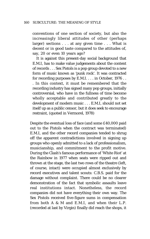conventions of one section of society, but also the increasingly liberal attitudes of other (perhaps larger) sections . . . at any given time . . . What is decent or in good taste compared to the attitudes of, say, 20 or even 10 years ago?

It is against this present-day social background that E.M.I, has to make value judgements about the content of records . . . Sex Pistols is a pop group devoted to a new form of music known as 'punk rock'. It was contracted for recording purposes by E.M.I. . . . in October, 1976 . . . In this context, it must be remembered that the recording industry has signed many pop groups, initially controversial, who have in the fullness of time become wholly acceptable and contributed greatly to the development of modern music . . . E.M.I, should not set itself up as a public censor, but it does seek to encourage restraint, (quoted in Vermorel, 1978)

Despite the eventual loss of face (and some £40,000 paid out to the Pistols when the contract was terminated) E.M.I, and the other record companies tended to shrug off the apparent contradictions involved in signing up groups who openly admitted to a lack of professionalism, musicianship, and commitment to the profit motive. During the Clash's famous performance of 'White Riot' at the Rainbow in 1977 when seats were ripped out and thrown at the stage, the last two rows of the theatre (left, of course, intact) were occupied almost exclusively by record executives and talent scouts: C.B.S. paid for the damage without complaint. There could be no clearer demonstration of the fact that symbolic assaults leave real institutions intact. Nonetheless, the record companies did not have everything their own way. The Sex Pistols received five-figure sums in compensation from both A & M and E.M.I, and when their L.P. (recorded at last by Virgin) finally did reach the shops, it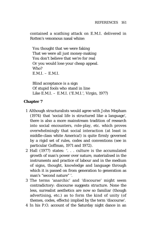contained a scathing attack on E.M.I. delivered in Rotten's venomous nasal whine:

You thought that we were faking That we were all just money-making You don't believe that we're for real Or you would lose your cheap appeal. Who? E.M.I. – E.M.I.

Blind acceptance is a sign Of stupid fools who stand in line Like E.M.I. – E.M.I. ('E.M.I.', Virgin, 1977)

## **Chapter 7**

- 1 Although structuralists would agree with John Mepham (1974) that 'social life is structured like a language', there is also a more mainstream tradition of research into social encounters, role-play, etc. which proves overwhelmingly that social interaction (at least in middle-class white America!) is quite firmly governed by a rigid set of rules, codes and conventions (see in particular Goffman, 1971 and 1972).
- 2 Hall (1977) states: '. . . culture is the accumulated growth of man's power over nature, materialised in the instruments and practice of labour and in the medium of signs, thought, knowledge and language through which it is passed on from generation to generation as man's "second nature" '.
- 3 The terms 'anarchic' and 'discourse' might seem contradictory: discourse suggests structure. None the less, surrealist aesthetics are now so familiar (though advertising, etc.) as to form the kind of unity (of themes, codes, effects) implied by the term 'discourse'.
- 4 In his P.O. account of the Saturday night dance in an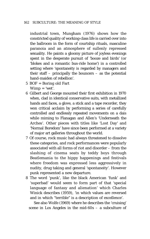industrial town, Mungham (1976) shows how the constricted quality of working-class life is carried over into the ballroom in the form of courtship rituals, masculine paranoia and an atmosphere of sullenly repressed sexuality. He paints a gloomy picture of joyless evenings spent in the desperate pursuit of 'booze and birds' (or 'blokes and a romantic bus-ride home') in a controlled setting where 'spontaneity is regarded by managers and their staff – principally the bouncers – as the potential hand-maiden of rebellion'.

- 5 BOF = Boring old Fart  $Wimp = 'wet'.$
- 6 Gilbert and George mounted their first exhibition in 1970 when, clad in identical conservative suits, with metallized hands and faces, a glove, a stick and a tape recorder, they won critical acclaim by performing a series of carefully controlled and endlessly repeated movements on a dais while miming to Flanagan and Allen's 'Underneath the Arches'. Other pieces with titles like 'Lost Day' and 'Normal Boredom' have since been performed at a variety of major art galleries throughout the world.
- 7 Of course, rock music had always threatened to dissolve these categories, and rock performances were popularly associated with all forms of riot and disorder – from the slashing of cinema seats by teddy boys through Beatlemania to the hippy happenings and festivals where freedom was expressed less aggressively in nudity, drug taking and general 'spontaneity'. However punk represented a new departure.
- 8 The word 'punk', like the black American 'funk' and 'superbad' would seem to form part of that 'special language of fantasy and alienation' which Charles Winick describes (1959), 'in which values are reversed and in which "terrible" is a description of excellence'.

See also Wolfe (1969) where he describes the 'cruising' scene in Los Angeles in the mid-60s – a subculture of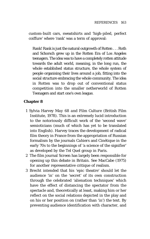custom-built cars, sweatshirts and 'high-piled, perfect coiffure' where 'rank' was a term of approval:

Rank! Rank is just the natural outgrowth of Rotten . . . Roth and Schorsch grew up in the Rotten Era of Los Angeles teenagers. The idea was to have a completely rotten attitude towards the adult world, meaning, in the long run, the whole established status structure, the whole system of people organising their lives around a job, fitting into the social structure embracing the whole community. The idea in Rotten was to drop out of conventional status competition into the smaller netherworld of Rotten Teenagers and start one's own league.

## **Chapter 8**

- 1 Sylvia Harvey *May 68 and Film Culture* (British Film Institute, 1978). This is an extremely lucid introduction to the notoriously difficult work of the 'second wave' semioticians (much of which has yet to be translated into English). Harvey traces the development of radical film theory in France from the appropriation of Russian formalism by the journals *Cahiers* and *Cinétique* in the early 70s to the beginnings of 'a science of the signifier' as developed by the *Tel Quel* group in Paris.
- 2 The film journal *Screen* has largely been responsible for opening up this debate in Britain. See MacCabe (1975) for another representative critique of realism.
- 3 Brecht intended that his 'epic theatre' should let the audience 'in' on the 'secret' of its own construction through the celebrated 'alienation techniques' which have the effect of distancing the spectator from the spectacle and, theoretically at least, making him or her reflect on the social relations depicted in the play and on his or her *position* on (rather than 'in') the text. By preventing audience identification with character, and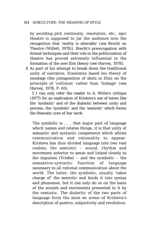by avoiding plot continuity, resolution, etc., epic theatre is supposed to jar the audience into the recognition that 'reality is alterable' (see *Brecht on Theatre* (Willett, 1978)). Brecht's preoccupation with formal techniques and their role in the politicization of theatre has proved extremely influential in the formation of the new film theory (see Harvey, 1978).

4 As part of his attempt to break down the traditional unity of narrative, Eisenstein based his theory of montage (the juxtaposition of shots in film) on the principle of 'collision' rather than 'linkage' (see Harvey, 1978, P. 65).

5 I can only refer the reader to A. White's critique (1977) for an explication of Kristeva's use of terms like the 'symbolic' and of the dialectic between unity and process, the 'symbolic' and the 'semiotic' which forms the thematic core of her work:

The symbolic is . . . that major part of language which names and relates things, it is that unity of semantic and syntactic competence which allows communication and rationality to appear. Kristeva has thus divided language into two vast realms, the *semiotic* – sound, rhythm and movement anterior to sense and linked closely to the impulses (Triebe) – and the *symbolic* – the semantico-syntactic function of language necessary to all rational communication about the world. The latter, the *symbolic*, usually 'takes charge of' the semiotic and binds it into syntax and phonemes, but it can only do so on the basis of the sounds and movements presented to it by the semiotic. The dialectic of the two parts of language form the *mise en scene* of Kristeva's description of poetics, subjectivity and revolution.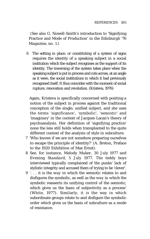(See also G. Nowell-Smith's introduction to 'Signifying Practice and Mode of Production' in the *Edinburgh '76 Magazine*, no. 1.)

 6 The setting in place, or constituting of a system of signs requires the identity of a speaking subject in a social institution which the subject recognises as the support of its identity. The traversing of the system takes place when the speaking subject is put in process and cuts across, at an angle as it were, the social institutions in which it had previously recognised itself. It thus coincides with the moment of social rupture, renovation and revolution. (Kristeva, 1976)

Again, Kristeva is specifically concerned with positing a notion of the *subject in process* against the traditional conception of the single, unified subject, and she uses the terms 'significance', 'symbolic', 'semiotic' and 'imaginary' in the context of Jacques Lacan's theory of psychoanalysis. Her definition of 'signifying practice' none the less still holds when transplanted to the quite different context of the analysis of style in subculture.

- 7 'Who knows if we are not somehow preparing ourselves to escape the principle of identity?' (A. Breton, Preface to the 1920 Exhibition of Max Ernst).
- 8 See, for instance, *Melody Maker*, 30 July 1977 and *Evening Standard*, 5 July 1977. The teddy boys interviewed typically complained of the punks' lack of stylistic integrity and accused them of trying to be 'clever'.
- 9 '. . . it is the *way in which* the semiotic relates to and disfigures the symbolic, as well as the *way in which* the symbolic reasserts its unifying control of the semiotic, which gives us the basis of subjectivity as a process' (White, 1977). Similarly, it is the way in which subordinate groups relate to and disfigure the symbolic order which gives us the basis of subculture as a mode of resistance.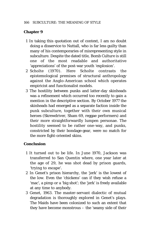## **Chapter 9**

- 1 In taking this quotation out of context, I am no doubt doing a disservice to Nuttall, who is far less guilty than many of his contemporaries of misrepresenting style in subculture. Despite the dated title, *Bomb Culture* is still one of the most readable and authoritative 'appreciations' of the post-war youth 'explosion'.
- 2 Scholte (1970). Here Scholte contrasts the epistemological premises of structural anthropology against the Anglo-American school which operates empiricist and functionalist models.
- 3 The hostility between punks and latter-day skinheads was a refinement which occurred too recently to gain a mention in the descriptive section. By October 1977 the skinheads had emerged as a separate faction inside the punk subculture, together with their own musical heroes (Skrewdriver, Sham 69, reggae performers) and their more straightforwardly lumpen personae. The hostility seemed to be rather one-way, and punks, constricted by their bondage-gear, were no match for the more fight-oriented skins.

# **Conclusion**

- 1 It turned out to be life. In June 1970, Jackson was transferred to San Quentin where, one year later at the age of 29, he was shot dead by prison guards, 'trying to escape'.
- 2 In Genet's prison hierarchy, the 'jerk' is the lowest of the low. Even the 'chickens' can if they wish refuse a 'mac', a pimp or a 'big shot'; the 'jerk' is freely available at any time to anybody.
- 3 Genet, 1963. The master-servant dialectic of mutual degradation is thoroughly explored in Genet's plays. The Maids have been colonized to such an extent that they have become monstrous – the 'seamy side of their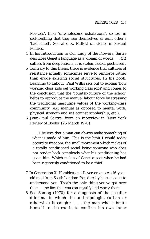Masters', their 'unwholesome exhalations', so lost in self-loathing that they see themselves as each other's 'bad smell'. See also K. Millett on Genet in *Sexual Politics*.

- 4 In his Introduction to *Our Lady of the Flowers*, Sartre describes Genet's language as a 'dream of words . . . (it) suffers from deep lesions, it is stolen, faked, poeticised'.
- 5 Contrary to this thesis, there is evidence that cultures of resistance actually sometimes serve to reinforce rather than erode existing social structures. In his book, *Learning to Labour*, Paul Willis sets out to explain 'how working class kids get working class jobs' and comes to the conclusion that the 'counter-culture of the school' helps to reproduce the manual labour force by stressing the traditional masculine values of the working-class community (e.g. manual as opposed to mental work, physical strength and wit against scholarship, etc.).
- 6 Jean-Paul Sartre, from an interview in 'New York Review of Books' (26 March 1970)

. . . I believe that a man can always make something of what is made of him. This is the limit I would today accord to freedom: the small movement which makes of a totally conditioned social being someone who does not render back completely what his conditioning has given him. Which makes of Genet a poet when he had been rigorously conditioned to be a thief.

- 7 In *Generation X*, Hamblett and Deverson quote a 16-yearold mod from South London: 'You'd really hate an adult to understand you. That's the only thing you've got over them – the fact that you can mystify and worry them.'
- 8 See Sontag (1970) for a diagnosis of the peculiar dilemma in which the anthropologist (urban or otherwise) is caught: '. . . the man who submits himself to the exotic to confirm his own inner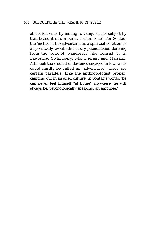### 168 SUBCULTURE: THE MEANING OF STYLE

alienation ends by aiming to vanquish his subject by translating it into a purely formal code'. For Sontag, the 'metier of the adventurer as a spiritual vocation' is a specifically twentieth-century phenomenon deriving from the work of 'wanderers' like Conrad, T. E. Lawrence, St-Exupery, Montherlant and Malraux. Although the student of deviance engaged in P.O. work could hardly be called an 'adventurer', there are certain parallels. Like the anthropologist proper, camping out in an alien culture, in Sontag's words, 'he can never feel himself "at home" anywhere; he will always be, psychologically speaking, an amputee.'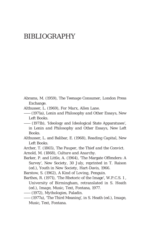# BIBLIOGRAPHY

- Abrams, M. (1959), *The Teenage Consumer*, London Press Exchange.
- Althusser, L. (1969), *For Marx*, Allen Lane.
- —— (1971a), *Lenin and Philosophy and Other Essays*, New Left Books.
- —— (1971b), 'Ideology and Ideological State Apparatuses', in *Lenin and Philosophy and Other Essays*, New Left Books.
- Althusser, L. and Balibar, E. (1968), *Reading Capital*, New Left Books.
- Archer, T. (1865), *The Pauper, the Thief and the Convict*.
- Arnold, M. (1868), *Culture and Anarchy*.
- Barker, P. and Little, A. (1964), 'The Margate Offenders: A Survey', *New Society*, 30 July, reprinted in T. Raison (ed.), *Youth in New Society*, Hart-Davis, 1966.
- Barstow, S. (1962), *A Kind of Loving*, Penguin.
- Barthes, R. (1971), 'The Rhetoric of the Image', *W.P.C.S*. 1 , University of Birmingham, retranslated in S. Heath (ed.), *Image, Music, Text*, Fontana, 1977.
- —— (1972), *Mythologies*, Paladin.
- —— (1977a), 'The Third Meaning', in S. Heath (ed.), *Image, Music, Text*, Fontana.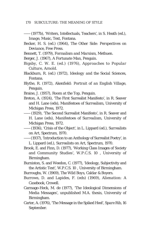- —— (1977b), 'Writers, Intellectuals, Teachers', in S. Heath (ed.), *Image, Music, Text*, Fontana.
- Becker, H. S. (ed.) (1964), *The Other Side: Perspectives on Deviance*, Free Press.
- Bennett, T. (1979), *Formalism and Marxism*, Methuen.
- Berger, J. (1967), *A Fortunate Man*, Penguin.
- Bigsby, C. W. E. (ed.) (1976), *Approaches to Popular Culture*, Arnold.
- Blackburn, R. (ed.) (1972), *Ideology and the Social Sciences*, Fontana.
- Blythe, R. (1972), *Akenfield: Portrait of an English Village*, Penguin.
- Braine, J. (1957), *Room at the Top*, Penguin.
- Breton, A. (1924), 'The First Surrealist Manifesto', in R. Seaver and H. Lane (eds), *Manifestoes of Surrealism*, University of Michigan Press, 1972.
- —— (1929), 'The Second Surrealist Manifesto', in R. Seaver and H. Lane (eds), *Manifestoes of Surrealism*, University of Michigan Press, 1972.
- —— (1936), 'Crisis of the Object', in L. Lippard (ed.), *Surrealists on Art*, Spectrum, 1970.
- —— (1937), 'Introduction to an Anthology of Surrealist Poetry', in L. Lippard (ed.), *Surrealists on Art*, Spectrum, 1970.
- Brook, E. and Finn, D. (1977), 'Working Class Images of Society and Community Studies', *W.P.C.S.* 10 , University of Birmingham.
- Burniston, S. and Weedon, C. (1977), 'Ideology, Subjectivity and the Artistic Text', *W.P.C.S.* 10 , University of Birmingham.
- Burroughs, W. (1969), *The Wild Boys*, Caldar & Boyers.
- Burrows, D. and Lapides, F. (eds) (1969), *Alienation: A Casebook*, Crowell.
- Carmago-Heck, M. de (1977), 'The Ideological Dimensions of Media Messages', unpublished M.A. thesis, University of Birmingham.
- Carter, A. (1976), 'The Message in the Spiked Heel', *Spare Rib*, 16 September.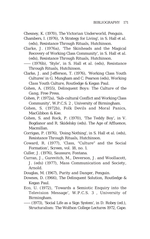Chesney, K. (1970), *The Victorian Underworld*, Penguin.

- Chambers, I. (1976), 'A Strategy for Living', in S. Hall *et al*. (eds), *Resistance Through Rituals*, Hutchinson.
- Clarke, J. (1976a), 'The Skinheads and the Magical Recovery of Working Class Community', in S. Hall *et al*. (eds), *Resistance Through Rituals*, Hutchinson.
- —— (1976b), 'Style', in S. Hall *et al*. (eds), *Resistance Through Rituals*, Hutchinson.
- Clarke, J. and Jefferson, T. (1976), 'Working Class Youth Cultures' in G. Mungham and C. Pearson (eds), *Working Class Youth Culture*, Routledge & Kegan Paul.
- Cohen, A. (1955), *Delinquent Boys: The Culture of the Gang*, Free Press.
- Cohen, P. (1972a), 'Sub-cultural Conflict and Working Class Community', *W.P.C.S.* 2 , University of Birmingham.
- Cohen, S. (1972b), *Folk Devils and Moral Panics*, MacGibbon & Kee.
- Cohen, S. and Rock, P. (1970), 'The Teddy Boy', in V. Bogdanor and R. Skidelsky (eds). *The Age of Affluence*, Macmillan.
- Corrigan, P. (1976), 'Doing Nothing', in S. Hall *et al*. (eds), *Resistance Through Rituals*, Hutchinson.
- Coward, R. (1977), 'Class, "Culture" and the Social Formation', *Screen*, vol. 18, no. 1.
- Culler, J. (1976), *Saussure*, Fontana.
- Curran, J., Gurevitch, M., Deverson, J. and Woollacott, J. (eds) (1977), *Mass Communication and Society*, Arnold.
- Douglas, M. (1967), *Purity and Danger*, Penguin.
- Downes, D. (1966), *The Delinquent Solution*, Routledge & Kegan Paul.
- Eco, U. (1972), 'Towards a Semiotic Enquiry into the Television Message', *W.P.C.S.* 3 , University of Birmingham.
- —— (1973), 'Social Life as a Sign System', in D. Robey (ed.), *Structuralism: The Wolfson College Lectures 1972,* Cape.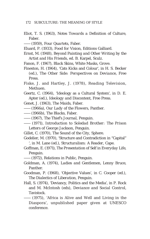- Eliot, T. S. (1963), *Notes Towards a Definition of Culture*, Faber.
- —— (1959), *Four Quartets*, Faber.
- Eluard, P. (1933), *Food for Vision*, Editions Galliard.
- Ernst, M. (1948), *Beyond Painting and Other Writing by the Artist and His Friends*, ed. B. Karpel, Sculz.
- Fanon, F. (1967), *Black Skins, White Masks*, Grove.
- Fineston, H. (1964), 'Cats Kicks and Colour', in H. S. Becker (ed.), *The Other Side: Perspectives on Deviance*, Free Press.
- Fiske, J. and Hartley, J. (1978), *Reading Television*, Methuen.
- Geertz, C. (1964), 'Ideology as a Cultural System', in D. E. Apter (ed.), *Ideology and Discontent*, Free Press.
- Genet, J. (1963), *The Maids*, Faber.
- —— (1966a), *Our Lady of the Flowers*, Panther.
- —— (1966b), *The Blacks*, Faber.
- —— (1967), *The Thief's Journal*, Penguin.
- —— (1971), Introduction to *Soledad Brother: The Prison Letters of George Jackson*, Penguin.
- Gillet, C. (1970), *The Sound of the City*, Sphere.
- Godelier, M. (1970), 'Structure and Contradiction in "Capital" ', in M. Lane (ed.), *Structuralism: A Reader*, Cape.
- Goffman, E. (1971), *The Presentation of Self in Everyday Life*, Penguin.
- —— (1972), *Relations in Public*, Penguin.
- Goldman, A. (1974), *Ladies and Gentlemen, Lenny Bruce*, Panther.
- Goodman, P. (1968), 'Objective Values', in C. Cooper (ed.), *The Dialectics of Liberation*, Penguin.
- Hall, S. (1974), 'Deviancy, Politics and the Media', in P. Rock and M. McIntosh (eds), *Deviance and Social Control*, Tavistock.
- —— (1975), 'Africa is Alive and Well and Living in the Diaspora', unpublished paper given at UNESCO conference.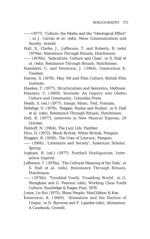—— (1977), 'Culture, the Media and the "Ideological Effect"

', in J. Curran *et al*. (eds), *Mass Communication and Society*, Arnold.

Hall, S., Clarke, J., Jefferson, T. and Roberts, B. (eds) (1976a), *Resistance Through Rituals*, Hutchinson.

—— (1976b), 'Subculture, Culture and Class', in S. Hall *et al*. (eds), *Resistance Through Rituals*, Hutchinson.

Hamblett, C. and Deverson, J. (1964), *Generation X*, Tandem.

Harvey, S. (1978), *May '68 and Film Culture*, British Film Institute.

Hawkes, T. (1977), *Structuralism and Semiotics*, Methuen.

Hannerz, U. (1969), *Soulside: An Inquiry into Ghetto Culture and Community*, Columbia Press.

- Heath, S. (ed.) (1977), *Image, Music, Text*, Fontana.
- Hebdige, D. (1976), 'Reggae, Rastas and Rudies', in S. Hall *et al*. (eds), *Resistance Through Rituals*, Hutchinson.
- Hell, R. (1977), interview in *New Musical Express*, 29 October.
- Hentoff, N. (1964)*, The Jazz Life*, Panther.
- Hiro, D. (1972), *Black British, White British,* Penguin.
- Hoggart, R. (1958), *The Uses of Literacy*, Penguin.
- —— (1966), 'Literature and Society', *American Scholar*, Spring.
- Ingham, R. (ed.) (1977), *Football Hooliganism*, Interaction Imprint.
- Jefferson, T. (1976a), 'The Cultural Meaning of the Teds', in S. Hall *et al*. (eds), *Resistance Through Rituals*, Hutchinson.
- —— (1976b), 'Troubled Youth, Troubling World', in G. Mungham and G. Pearson (eds), *Working Class Youth Culture*, Routledge & Kegan Paul, 1976.

Jones, Le-Roi (1975), *Blues People*, MacGibbon & Kee.

Kenniston, K. (1969), 'Alienation and the Decline of Utopia', in D. Burrows and F. Lapides (eds), *Alienation: A Casebook*, Crowell.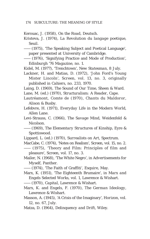Kerouac, J. (1958), *On the Road*, Deutsch.

- Kristeva, J. (1974), *La Revolution du langage poetique*, Seuil.
- —— (1975), 'The Speaking Subject and Poetical Language', paper presented at University of Cambridge.
- —— (1976), 'Signifying Practice and Mode of Production', *Edinburgh '76 Magazine*, no. 1.
- Kidel, M. (1977), 'Trenchtown', *New Statesman*, 8 July.
- Lackner, H. and Matias, D. (1972), 'John Ford's *Young Mister Lincoln', Screen*, vol. 13, no. 3, originally published in *Cahiers*, no. 233, 1970.

Laing, D. (1969), *The Sound of Our Time*, Sheen & Ward.

- Lane, M. (ed.) (1970), *Structuralism: A Reader*, Cape.
- Lautréamont, Comte de (1970), *Chants du Maldoror*, Alison & Busby.
- Lefebvre, H. (1971), *Everyday Life in the Modern World*, Allen Lane.
- Levi-Strauss, C. (1966), *The Savage Mind*, Weidenfeld & Nicolson.
- —— (1969), *The Elementary Structures of Kinship*, Eyre & Spottiswood.
- Lippard, L. (ed.) (1970), *Surrealists on Art*, Spectrum.
- MacCabe, C. (1974), 'Notes on Realism', *Screen*, vol. 15, no. 2. —— (1975), 'Theory and Film: Principles of film and pleasure', *Screen*, vol. 17, no. 3.
- Mailer, N. (1968), 'The White Negro', in *Advertisements for Myself*, Panther.

—— (1974), 'The Faith of Graffiti', *Esquire*, May.

Marx, K. (1951), 'The Eighteenth Brumaire', in *Marx and Engels Selected Works*, vol. 1, Lawrence & Wishart.

—— (1970), *Capital*, Lawrence & Wishart.

- Marx, K. and Engels, F. (1970), *The German Ideology*, Lawrence & Wishart.
- Masson, A. (1945), 'A Crisis of the Imaginary', *Horizon*, vol. 12, no. 67, July.
- Matza, D. (1964), *Delinquency and Drift*, Wiley.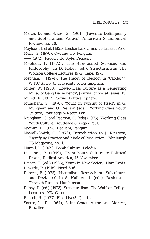- Matza, D. and Sykes, G. (1961), 'Juvenile Delinquency and Subterranean Values', *American Sociological Review,* no. 26.
- Mayhew, H. *et al.* (1851), *London Labour and the London Poor*.
- Melly, G. (1970), *Owning Up*, Penguin.
- —— (1972), *Revolt into Style*, Penguin.
- Mepham, J. (1972), 'The Structualist Sciences and Philosophy', in D. Robey (ed.), *Structuralism: The Wolfson College Lectures 1972*, Cape, 1973.
- Mepham, J. (1974), 'The Theory of Ideology in "Capital" ', *W.P.C.S.*, no. 6, University of Birmingham.
- Miller, W. (1958), 'Lower-Class Culture as a Generating Milieu of Gang Delinquency', *Journal of Social Issues*, 15.
- Millett, K. (1972), *Sexual Politics*, Sphere.
- Mungham, G. (1976), 'Youth in Pursuit of Itself', in G. Mungham and G. Pearson (eds), *Working Class Youth Culture*, Routledge & Kegan Paul.
- Mungham, G. and Pearson, G. (eds) (1976), *Working Class Youth Culture*, Routledge & Kegan Paul.
- Nochlin, I. (1976), *Realism*, Penguin.
- Nowell-Smith, G. (1976), Introduction to J. Kristeva, 'Signifying Practice and Mode of Production', *Edinburgh '76 Magazine*, no. 1.
- Nuttall, J. (1969), *Bomb Culture*, Paladin.
- Picconne, P. (1969), 'From Youth Culture to Political Praxis', *Radical America*, 15 November.
- Raison, T. (ed.) (1966), *Youth in New Society*, Hart-Davis.
- Reverdy, P. (1918), *Nord-Sud.*
- Roberts, B. (1976), 'Naturalistic Research into Subcultures and Deviance', in S. Hall *et al*. (eds), *Resistance Through Rituals*, Hutchinson.
- Robey, D. (ed.) (1973), *Structuralism: The Wolfson College Lectures 1972*, Cape.
- Russell, R. (1973), *Bird Lives!*, Quartet.
- Sartre, J. -P. (1964), *Saint Genet, Actor and Martyr*, Braziller.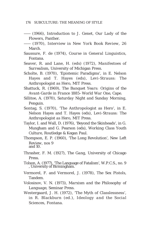- —— (1966), Introduction to J. Genet, *Our Lady of the Flowers*, Panther.
- —— (1970), Interview in *New York Book Review*, 26 March.
- Saussure, F. de (1974), *Course in General Linguistics*, Fontana.
- Seaver, R. and Lane, H. (eds) (1972), *Manifestoes of Surrealism*, University of Michigan Press.
- Scholte, B. (1970), 'Epistemic Paradigms', in E. Nelson Hayes and T. Hayes (eds), *Levi-Strauss: The Anthropologist as Hero*, MIT Press.
- Shattuck, R. (1969), *The Banquet Years: Origins of the Avant-Garde in France 1885–World War One*, Cape.
- Sillitoe, A. (1970), *Saturday Night and Sunday Morning*, Penguin.
- Sontag, S. (1970), 'The Anthropologist as Hero', in E. Nelson Hayes and T. Hayes (eds), *Levi-Strauss: The Anthropologist as Hero*, MIT Press.
- Taylor, I. and Wall, D. (1976), 'Beyond the Skinheads', in G. Mungham and G. Pearson (eds), *Working Class Youth Culture*, Routledge & Kegan Paul.
- Thompson, E. P. (1960), 'The Long Revolution', *New Left Review*, nos 9 and 10.
- Thrasher, F. M. (1927), *The Gang*, University of Chicago Press.
- Tolson, A. (1977), 'The Language of Fatalism', *W.P.C.S.*, no. 9 , University of Birmingham.
- Vermorel, F. and Vermorel, J. (1978), *The Sex Pistols*, Tandem.
- Volosinov, V. N. (1973), *Marxism and the Philosophy of Language*, Seminar Press.
- Westergaard, J. H. (1972), 'The Myth of Classlessness', in R. Blackburn (ed.), *Ideology and the Social Sciences*, Fontana.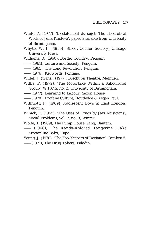- White, A. (1977), 'L'eclatement du sujet: The Theoretical Work of Julia Kristeva', paper available from University of Birmingham.
- Whyte, W. F. (1955), *Street Corner Society*, Chicago University Press.
- Williams, R. (1960), *Border Country*, Penguin.
- —— (1961), *Culture and Society*, Penguin.
- —— (1965), *The Long Revolution*, Penguin.
- *——* (1976), *Keywords*, Fontana.
- Willet, J. (trans.) *(*1977), *Brecht on Theatre*, Methuen.
- Willis, P. (1972), 'The Motorbike Within a Subcultural Group', *W.P.C.S.* no. 2, University of Birmingham.
- —— (1977), *Learning to Labour*, Saxon House.
- —— (1978), *Profane Culture*, Routledge & Kegan Paul.
- Willmott, P. (1969), *Adolescent Boys in East London*, Penguin.
- Winick, C. (1959), 'The Uses of Drugs by Jazz Musicians', *Social Problems*, vol. 7, no. 3, Winter.
- Wolfe, T. (1969), *The Pump House Gang*, Bantam.
- —— (1966), *The Kandy-Kolored Tangerine Flake Streamline Baby*, Cape.
- Young, J. (1970), 'The Zoo-Keepers of Deviance', *Catalyst* 5. —— (1971), *The Drug Takers*, Paladin.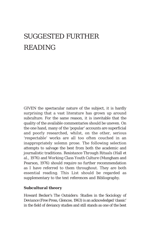# SUGGESTED FURTHER READING

GIVEN the spectacular nature of the subject, it is hardly surprising that a vast literature has grown up around subculture. For the same reason, it is inevitable that the quality of the available commentaries should be uneven. On the one hand, many of the 'popular' accounts are superficial and poorly researched, whilst, on the other, serious 'respectable' works are all too often couched in an inappropriately solemn prose. The following selection attempts to salvage the best from both the academic and journalistic traditions. *Resistance Through Rituals* (Hall *et al*., 1976) and *Working Class Youth Culture* (Mungham and Pearson, 1976) should require no further recommendation as I have referred to them throughout. They are both essential reading. This List should be regarded as supplementary to the text references and Bibliography.

#### **Subcultural theory**

Howard Becker's *The Outsiders: Studies in the Sociology of Deviance* (Free Press, Glencoe, 1963) is an acknowledged 'classic' in the field of deviancy studies and still stands as one of the best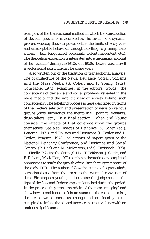examples of the transactional method in which the construction of deviant groups is interpreted as the result of a dynamic process whereby those in power define the limits of acceptable and unacceptable behaviour through *labelling* (e.g. marijhuana smoker = lazy, long-haired, potentially violent malcontent, etc.). The theoretical exposition is integrated into a fascinating account of the 'Jazz Life' during the 1940s and 1950s (Becker was himself a professional jazz musician for some years).

Also written out of the tradition of transactional analysis, *The Manufacture of the News. Deviance, Social Problems and the Mass Media* (S. Cohen and J. Young, (eds), Constable, 1973) examines, in the editors' words, 'the conceptions of deviance and social problems revealed in the mass media and the implicit view of society behind such conceptions'. The labelling process is here described in terms of the media's *selection* and *presentation* of news on various groups (gays, alcoholics, the mentally ill, political deviants, drug-takers, etc.). In a final section, Cohen and Young consider the *effects* of that coverage upon the groups themselves. See also *Images of Deviance* (S. Cohen (ed.), Penguin, 1971) and *Politics and Deviance* (I. Taylor and L. Taylor, Penguin, 1973), collections of papers given at the National Deviancy Conference, and *Deviance and Social Control* (P. Rock and M. McKintosh, (eds), Tavistock, 1973).

Finally, *Policing the Crisis* (S. Hall, T. Jefferson, J. Clarke, and B. Roberts, MacMillan, 1978) combines theoretical and empirical approaches to study the growth of the British mugging 'scare' of the early 1970s. The authors follow the course of a particularly sensational case from the arrest to the eventual conviction of three Birmingham youths, and examine the judgement in the light of the Law and Order campaign launched during the period. In the process, they trace the origin of the term 'mugging' and show how a combination of circumstances – the economic crisis, the breakdown of consensus, changes in black identity, etc. – conspired to imbue the alleged increase in street-violence with an ominous significance.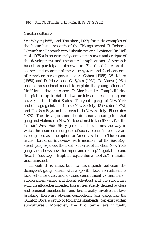#### **Youth culture**

See Whyte (1955) and Thrasher (1927) for early examples of the 'naturalistic' research of the Chicago school. B. Roberts' 'Naturalistic Research into Subcultures and Deviance' (in Hall *et al*. 1976a) is an extremely competent survey and critique of the development and theoretical implications of research based on participant observation. For the debate on the sources and meaning of the value system and focal concerns of American street-gangs, see A. Cohen (1955), W. Miller (1958) and D. Matza and G. Sykes (1961). D. Matza (1964) uses a transactional model to explain the young offender's 'drift' into a deviant 'career'. P. Marsh and A. Campbell bring the picture up to date in two articles on recent gangland activity in the United States: 'The youth gangs of New York and Chicago go into business' (*New Society*, 12 October 1978), and 'The Sex Boys on their own turf (*New Society*, 19 October 1978). The first questions the dominant assumption that gangland violence in New York declined in the 1960s after the 'classic' West Side Story period and examines the way in which the assumed resurgence of such violence in recent years is being used as a metaphor for America's decline. The second article, based on interviews with members of the Sex Boys street gang explores the focal concerns of modern New York gangs and shows how the importance of 'rep' (reputation) and 'heart' (courage; English equivalent: 'bottle') remains undiminished.

Though it is important to distinguish between the delinquent *gang* (small, with a specific local recruitment, a local set of loyalties, and a strong commitment to 'machismo', subterranean values and illegal activities) and the *subculture* which is altogether broader, looser, less strictly defined by class and regional membership and less literally involved in lawbreaking, there are obvious connections (e.g. gangs like the Quinton Boys, a group of Midlands skinheads, can exist within subcultures). Moreover, the two terms are virtually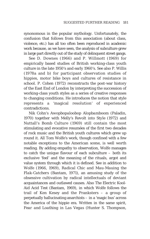synonomous in the popular mythology. Unfortunately, the confusion that follows from this association (about class, violence, etc.) has all too often been reproduced in academic work because, as we have seen, the analysis of subculture grew in large part directly *out of* the study of delinquent street gangs.

See D. Downes (1966) and P. Willmott (1969) for empirically based studies of British working-class youth culture in the late 1950's and early 1960's. See also P. Willis (1978a and b) for participant observation studies of hippies, motor bike boys and cultures of resistance in school. P. Cohen (1972) reconstructs the post-war history of the East End of London by interpreting the succession of working-class youth styles as a series of creative responses to changing conditions. He introduces the notion that style represents a 'magical resolution' of experienced contradictions.

Nik Cohn's *Awopbopaloobop Alopbamboom* (Paladin, 1970) together with Melly's *Revolt into Style* (1972) and Nuttall's *Bomb Culture* (1969) still contain the most stimulating and evocative resumées of the first two decades of rock music and the British youth cultures which grew up round it. All Tom Wolfe's work, though confined with a few notable exceptions to the American scene, is well worth reading. By adding empathy to observation, Wolfe manages to catch the unique flavour of each subculture – both its exclusive 'feel' and the meaning of the rituals, argot and value system through which it is defined. See in addition to Wolfe (1966, 1969), *Radical Chic and Mau-Mauing the Flak-Catchers* (Bantam, 1971), an amusing study of the obsessive cultivation by radical intellectuals of deviant acquaintances and outlawed causes. Also *The Electric Kool-Aid Acid Test* (Bantam, 1969), in which Wolfe follows the trail of Ken Kesey and the Pranksters – a group of perpetually hallucinating anarchists – in a 'magic bus' across the America of the hippie era. Written in the same spirit, *Fear and Loathing in Las Vegas* (Hunter S. Thompson,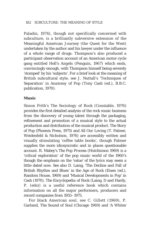Paladin, 1974), though not specifically concerned with subculture, is a brilliantly subversive extension of the Meaningful American Journey (the Quest for the West) undertaken by the author and his lawyer under the influence of a whole range of drugs. Thompson's also produced a participant observation account of an American motor-cycle gang entitled *Hell's Angels* (Penguin, 1967) which ends, convincingly enough, with Thompson himself being severely 'stomped' by his 'subjects'. For a brief look at the meaning of British subcultural style, see J. Nuttall's 'Techniques of Separation' in *Anatomy of Pop* (Tony Cash (ed.), B.B.C. publication, 1970).

#### **Music**

Simon Frith's *The Sociology of Rock* (Constable, 1976) provides the first detailed analysis of the rock music business from the discovery of young talent through the packaging, refinement and promotion of a musical style to the actual production and distribution of the musical product. *The Story of Pop* (Phoenix Press, 1975) and *All Our Loving* (T. Palmer, Weidenfeld & Nicholson, 1976) are accessibly written and visually stimulating 'coffee table books', though Palmer supplies the more idiosyncratic and in places questionable account. R. Mabey's *The Pop Process* (Hutchinson 1969) is a 'critical exploration' of the pop music world of the 1960's though the emphasis on the 'value' of the lyrics may seem a little dated now. See also D. Laing, 'The Decline and Fall of British Rhythm and Blues' in the *Age of Rock* (Eisen (ed.), Random House, 1969) and 'Musical Developments in Pop' in Cash (1970). *The Encyclopedia of Rock* (Laing, D and Hardy, P. (eds)) is a useful reference book which contains information on all the major performers, producers and record companies from 1955–1975.

For black American soul, see C. Gillett (1969), P. Garland, *The Sound of Soul* (Chicago 1969) and 'A Whiter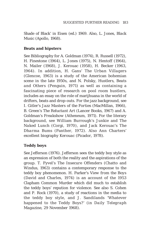Shade of Black' in Eisen (ed.) 1969. Also, L. Jones, *Black Music* (Apollo, 1968).

#### **Beats and hipsters**

See Bibliography for A. Goldman (1974), R. Russell (1972), H. Finestone (1964), L. Jones (1975), N. Hentoff (1964), N. Mailer (1968), J. Kerouac (1958), H. Becker (1963, 1964). In addition, H. Gans' *The Urban Villagers* (Glencoe, 1963) is a study of the American bohemian scene in the late 1950s, and N. Polsky, *Hustlers, Beats and Others* (Penguin, 1971) as well as containing a fascinating piece of research on pool room hustlers, includes an essay on the role of marijhuana in the world of drifters, beats and drop-outs. For the jazz background, see I. Gitler's *Jazz Masters of the Forties* (MacMillan, 1966), B. Green's *The Reluctant Art* (Lancer Books, 1967) and A. Goldman's *Freakshow* (Atheneum, 1971). For the literary background, see William Burrough's *Junkie* and *The Naked Lunch* (Corgi, 1970), and Jack Kerouac's *The Dharma Bums* (Panther, 1972). Also Ann Charters' excellent biography *Kerouac* (Picador, 1978).

#### **Teddy boys**

See Jefferson (1976). Jefferson sees the teddy boy style as an expression of both the reality and the aspirations of the group. T. Fyvel's *The Insecure Offenders* (Chatto and Windus, 1963) contains a contemporary response to the teddy boy phenomenon. H. Parker's *View from the Boys* (David and Charles, 1974) is an account of the 1953 Clapham Common Murder which did much to establish the teddy boys' repution for violence. See also S. Cohen and P. Rock (1970), a study of reactions in the media to the teddy boy style, and J. Sandilands 'Whatever happened to the Teddy Boys?' (in *Daily Telegraph Magazine*, 29 November 1968).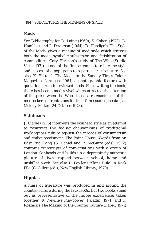### **Mods**

See Bibliography for D. Laing (1969), S. Cohen (1972), D. Hamblett and J. Deverson (1964). D. Hebdige's 'The Style of the Mods' gives a reading of mod style which stresses both the mods' symbolic subversion and fetishization of commodities. Gary Herman's study of *The Who* (Studio Vista, 1971) is one of the first attempts to relate the style and success of a pop group to a particular subculture. See also, K. Hatton's 'The Mods' in the *Sunday Times Colour Magazine*, 2 August 1964, a photographic feature with quotations from interviewed mods. Since writing the book, there has been a mod revival which attracted the attention of the press when the Who staged a re-enactment of the modrocker confrontations for their film *Quadrophenia* (see *Melody Maker*, 24 October 1978).

## **Skinheads**

J. Clarke (1976) interprets the skinhead style as an attempt to resurrect the fading chauvanisms of traditional workingclass culture against the inroads of consumerism and embourgeoisment. *The Paint House: Words from an East End Gang* (S. Daniel and P. McGuire (eds), 1972) contains transcripts of conversations with a group of London skinheads and builds up a depressingly authentic picture of lives trapped between school, home and unskilled work. See also P. Fowler's 'Skins Rule' in *Rock File* (C. Gillett (ed.), New English Library, 1970).

## **Hippies**

A mass of literature was produced in and around the counter-culture during the late 1960s, but two books stand out as representative of the hippie experience: taken together, R. Neville's *Playpower* (Paladin, 1971) and T. Roszack's *The Making of the Counter Culture* (Faber, 1971)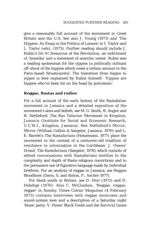give a reasonably full account of the movement in Great Britain and the U.S. See also J. Young (1971) and 'The Hippies: An Essay in the Politics of Leisure' in I. Taylor and L. Taylor (eds), (1973). Further reading should include J. Rubin's *Do It! Scenarios of the Revolution*, an indictment of 'Amerika' and a statement of anarchic intent. Rubin was a leading spokesman for the yippies (a politically militant off-shoot of the hippies which owed a certain amount to the Paris-based Situationists). The transition from hippie to yippie is best explained by Rubin himself: 'Yippies are hippies who've been hit on the head by policemen'.

#### **Reggae, Rastas and rudies**

For a full account of the early history of the Rastafarian movement in Jamaica and a detailed exposition of the movement's aims and beliefs, see M. G. Smith, R. Angier and R. Nettleford, *The Ras Tafarian Movement in Kingston, Jamaica* (Institute for Social and Economic Research, U.C.W.I., Kingston, Jamaica). Rex Nettleford's *Mirror, Mirror* (William Collins & Sangster, Jamaica, 1970) and L. E. Barrett's *The Rastafarians* (Heinemann, 1977) place the movement in the context of a centuries-old tradition of resistance to colonization in the Caribbean. J. Owens' *Dread: The Rastafarians* (Sangster, 1976) which consists of edited conversations with Rastafarians testifies to the complexity and depth of Rasta religious convictions and to the persuasive use of figurative language made by individual brethren. For an analysis of reggae in Jamaica, see *Reggae Bloodlines* (Davis, S. and Simon, P., Ancher 1977).

For black youth in Britain, see D. Hiro (1972) and D. Hebdige (1976). Also C. McGlashan, 'Reggae, reggae, reggae' in *Sunday Times Colour Magazine* (4 February 1973) contains interviews with reggae musicians and sound-system men and a description of a Saturday night 'blues' party. V. Hines' *Black Youth and the Survival Game*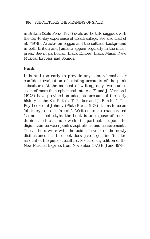*in Britain* (Zulu Press, 1973) deals as the title suggests with the day-to-day experience of disadvantage. See also Hall *et al*. (1978). Articles on reggae and the cultural background in both Britain and Jamaica appear regularly in the music press. See in particular, *Black Echoes, Black Music, New Musical Express* and *Sounds*.

#### **Punk**

It is still too early to provide any comprehensive or confident evaluation of existing accounts of the punk subculture. At the moment of writing, only two studies seem of more than ephemeral interest. F. and J. Vermorel (1978) have provided an adequate account of the early history of the Sex Pistols. T. Parker and J. Burchill's *The Boy Looked at Johnny* (Pluto Press, 1978) claims to be an 'obituary to rock 'n roll'. Written in an exaggerated 'scandal-sheet' style, the book is an exposé of rock's dubious ethics and dwells in particular upon the disjunction between punk's aspirations and achievements. The authors write with the acidic fervour of the newly disillusioned but the book does give a genuine 'insider' account of the punk subculture. See also any edition of the *New Musical Express* from November 1976 to June 1978.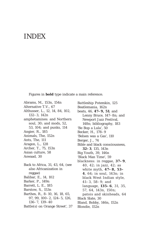## INDEX

Figures in **bold** type indicate a main reference.

Abrams, M., 153n, 154n Alternative T.V., 67 Althusser, L., 12, 14, 84, 102, 132–3, 142n amphetamines: and Northern soul, 30; and mods, 52, 53, 104; and punks, 114 Angier, R., 185 Animals, The, 152n Ants, The, 111 Aragon, L., 128 Archer, T., 75, 153n Asian culture, 58 Aswaad, 30 Back to Africa, 31, 43, 64, (*see also* Africanization in reggae) Balibar, E., 14, 102 Barker, P., 149n Barrett, L. E., 185 Barstow, S., 153n Barthes, R., 8–10, 16, 18, 65, 97, 99, 100–2, 124–5, 126, 136–7, 139–40 Battle(s) on Orange Street', 37

*Battleship Potemkin*, 125 Beatlemania, 162n beats, 46, **47–9, 51**; and Lenny Bruce, 147–8n; and Newport Jazz Festival, 148n; bibliography, 183 'Be Bop a Lula', 50 Becker, H., 178–9 'Belsen was a Gas', 110 Berger, J., 74 Bible and black consciousness, **32–3**, 135, 143n Big Youth, 39, 146n 'Black Man Time', 59 blackness: in reggae, **37–9**, 40, 42; in jazz, 42; as white myth, **47–8, 53– 4**, 64; in soul, 143n; in black West Indian style, 41–3, 58–9; and language, **135–6**, 31, 35, 57, 64, 143n, 150n; patois and skinheads, 64 Black Slate, 30 Bland, Bobby, 146n, 152n Blondie, 152n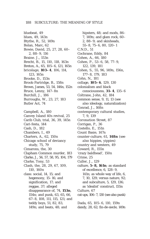bluebeat, 49 blues, 49, 143n Btythe, R., 52, 149n Bolan, Marc, 62 Bowie, David, 25, 27, 28, 60– 2, 88–9, 116 Braine. J., 153n Brecht, B., 15, 110, 118, 163n Breton, A., 65, 105–6, 121, 165n *bricolage*, **103–4**, 106, 114, 123, 165n Brooke, D., 153n Brook-Partridge, B., 158n Brown, James, 53, 54, 146n, 152n Bruce, Lenny, 147–8n Burchill, J., 186 Burroughs, W., 23, 27, 183 Butler Act, 74 Campbell, A., 180 Canvey Island 40s revival, 25 Carib Club, trial, 36, 39, 145n Cari-festa, 144 Cash, D., 182 Chambers, I., 49 Charters, A., 62, 150n Chicago school of deviancy study, 75, 79 Cimarons, the, 30 Clapham Common murder, 183 Clarke, J., 56, 57, 58, 95, 104, 179 Clarke, Tony, 53 Clash, the, 28, 29, 67, 109, 110, 160n class: social, 14, 15; and hegemony, 15–16; and signification, 17; and reggae, 37; alleged disappearance of, 74, **153n**, 154n; and punk, 63, 65, 66, 67–8, 108, 111, 115, 121; and teddy boys, 51, 82, 83, 149n; and beats, 48; and

hipsters, 48; and mods, 86– 7, 149n; and glam rock, 60– 2, 88–9; and skinheads, 55–8, 75–6, 80, 120–1 C.N.D., 51 Cochrane, Eddy, 84 Cohen, A., 66, 180 Cohen, P., 53–6, 58, 77–9, 122, 139, 181 Cohen, S., 55, 96, 149n, 156n, 177–8, 179, 183 Cohn, N., 181 collage, **105–6**, 129, 130 colonialism and black consciousness, **31–4**, 135–6 Coltrane, John, 42, 184 common sense, 9, 11, 13 (*see also* ideology, naturalization) Conrad, J., 168n contemporary cultural studies, 7, 9, 139 *Coronation Street*, 87 Corrigan, P., 36 Costello, E., 151n Count Basie, 147n counter-culture, 61, **148n** (*see also* hippies, yippies) country and western, 49 Coward, R., 155n 'crazy baldhead', 150n Crime, 25 Culler, J., 129 culture, **5–8, 161n**; as standard of excellence, 6, 128–9, 141n; as whole way of life, 6, 7, 10, 129; versus nature, 92; and subculture, 5, 129, 136; as 'idealist' construct, 155n Culture, 67 cut-ups, 106–7, 130 (*see also* punk) Dada, 65, 105–6, 110, 159n

dandy, 28, 62; fin-de-siecle, 149n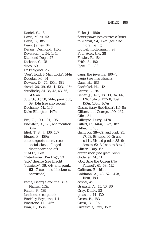Daniel, S., 184 Davis, Miles, 42 Davis, S., 185 Dean, James, 84 Decker, Desmond, 145n Deverson, J., 54, 167n *Diamond Dogs*, 27 Dickens, C., 75 disco, 60 Dr Feelgood, 25 'Don't touch I-Man Locks', 144n Douglas, M., 91 Downes, D., 75, 155n, 181 dread, 26, 39, 63–4, 123, 145n dreadlocks, 34, 36, 43, 63, 66, 143–4n dub, 36, 37, 38, 144n; punk dub, 69, 151n (*see also* reggae) Duchamp, M., 106 Duke Ellington, 147n Eco, U., 100, 101, 105 Eisenstein, A., 125; and montage, 164n Eliot, T. S., 7, 136, 137 Eluard, P., 159n embourgeoisement (*see* social class, alleged disappearance of) 'E.M.I.', 161n 'Entertainer (I'm the)', 53 'epic' theatre (*see* Brecht) 'ethnicity', 36, 64; and punk, **62–7** (*see also* blackness, negritude) Fame, Georgie and the Blue Flames, 152n Fanon, F., 139 fanziness (*see* punk) Finchley Boys, the, 111 Finestone, H., 146n

Finn, E., 153n

Fiske, J., 156n flower-power (*see* counter-culture) folk-devil, 94, 157n (*see also* moral panic) football hooliganism, 97 Four Aces, the, 38 Fowler, P., 184 Frith, S., 182 Fyvel, T., 183 gang, the juvenile, 180–1 ganja (*see* marijhuana) Gans, H., 183 Garfinkel, H., 112 Geertz, C., 94 Genet, J., 1–3, 18, 30, 34, 66, 126, 134–6, 137–8, 139, 150n, 166n, 167n Gibson, Harry 'the Hipster', 147–8n Gilbert and George, 109, 162n Giles, 51 Gillespie. Dizzy, 147n Gillett, C., 146n, 152n, 182 Gitler, I., 183 glam rock, **59–62**; and punk, 25, 27, 63, 68; style, 60–2; and 'crisis', 61; and gender, 88–9; demise, 62–3 (*see also* Bowie) Glitter, Gary, 62 glitter rock (*see* glam rock) Godelier, M., 11 'God Save the Queen (No Future)', 61, 68, 112 Goffman, E., 161n Goldman, A., 48, 52, 147n, 149n, 183 gospel, 49 Gramsci, A., 15, 16, 80 Gray, Dobie, 53 greasers, 44, 130 Green, B., 183 Grosz, G., 106 Grotesque, Paul, 151n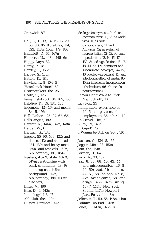#### Grunwick, 87

- Hall, S., 11, 13, 14, 15–16, 29, 56, 80, 85, 91, 94, 97, 114, 122, 148n, 156n, 179, 186 Hamblett, C., 54, 167n Hannertz, U., 143n, 145–6n
- *Happy Days*, 82
- Hardy, P., 182
- Hartley, J., 156n
- Harvey, S., 163n
- Hatton, K., 184
- Hawkes, T., 8, 104–5
- 'Heartbreak Hotel', 50
- Heartbreakers, the, 25
- Heath, S., 125
- heavy metal rock, 84, 109, 155n
- Hebdige, D., 59, 184, 185
- hegemony, **15–16**; and media, 84–5, 156n
- Hell, Richard, 25, 27, 62, 63,
- Hells Angels, 182
- Hentoff, N., 146n, 147n, 148n
- Herder, W., 6
- Herman, G., 184
- hippies, 55, 96, 109, 122; and dance, 113; and skinheads, 124, 130; and heavy metal, 155n; and festivals, 162n; bibliography, 181, 184–5
- hipsters, **46–9**; style, 48–9, 147n; relationship with black community, 48–9; and drug use, 146n; background, 147n; bibliography, 184–5 (*see also* jazz)
- Hines, V., 186
- Hiro, D., 4, 143n
- 'homology', 113–17
- 100 Club, the, 142n
- Hussey, Dermott, 144n

ideology: 'anonymous', 9, 10; and common sense, 11, 13; as world view, 11; as 'false consciousness', 11; and Althusser, 12; as system of representation, 12–13, 90; and reproduction, 12, 14, 16–17, 132–3; and signification, 13, 17, 18, 44, 57, 119; dominant and subordinate ideologies, **14–15**, 16; ideology-in-general, 14; and 'ideological effect' of media, 85, 156n; ideological incorporation of subculture, **96–9** (*see also* naturalization) 'If You Don't Want to Fuck Me, fuck off', 110 Iggy Pop, 25 immigration: experience of,

- 40–5; and patterns of employment, 36, 40, 41, 42
- 'In Crowd, The', 53
- I-Roy, 59, 143n
- 'I Stupid', 25
- 'I Wanna be Sick on You', 110
- Jackson, G., 134–5, 166n
- Jagger, Mick, 28, 152n
- Jam, the, 151n
- Jarman, D., 64
- Jarry, A., 33, 102
- jazz, 8, 30, 68, 40, 42, 44; and miscegenation, 46–8, 49, 50; trad, 51; modern, 44, 51, 68; be-bop, 47–8, 47n; avant-garde, 68; and drugs, 146n, 147n; swing, 46–7, 147n; New York Sound, 147n; Newport Jazz Festival, 148n Jefferson, T., 50, 56, 148n, 149n
- 'Johnny Too Bad', 145n
- Jones, L., 143n, 146n, 183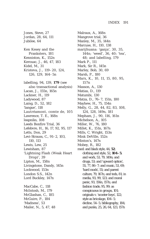Jones, Steve, 27 Jordan, 28, 64, 111 *Jubilee*, 64 Ken Kesey and the Pranksters, 181 Kenniston, K., 152n Kerouac, J., 46, 47, 183 Kidel, M., 31 Kristeva, J., 119–20, 124, 126, 129, 164–5n labelling, 94, 139, **179** (*see also* transactional analysis) Lacan, J., 155n, 165n Lackner, H., 119 Ladywood, 87 Laing, D., 52, 182 'langue', 118 Lautréamont, comte de, 105 Lawrence, T. E., 168n leapniks, 108 Leeds Bonfire Trial, 36 Lefebvre, H., 16, 17, 92, 95, 117 Letts, Don, 29 Levi-Strauss, C., 91–2, 103, 110, 113 Lewis, Lew, 25 Lewisham, 87 'Lightning Flash (Weak Heart Drop)', 39 Lipton, M., 158n Livingstone, Dandy, 145n Lockwood, 153n London S.S., 142n Lord Buckley, 147n MacCabe, C., 118 McIntosh, M., 179 McGlashan, C., 185 McGuire, P., 184 'Madness', 53 Mailer, N., 5, 47, 48

Malraux, A., 168n Mangrove trial, 36 Manley, M., 35, 144n Marcuse, H., 110, 138 marijhuana: 'ganja', 30, 35, 144n; 'weed', 36, 40; 'tea', 48; and labelling, 179 Mark P., 111 Mark, Sir R., 145n Marley, Bob, 30, 69 Marsh, P., 180 Marx, K., 10, 11, 15, 80, 95, 157n Masson, A., 130 Matias, D., 119 Matumbi, 130 Matza, D., 76–7, 151n, 180 Mayhew, H., 75, 154n Melly, G., 28, 44, 82, 83, 108, 124, 128, 149n, 181 Mepham, J., 90, 116, 161n Michelson, A., 105 Miller, W., 76, 180 Millet, K., 151n, 167n Mills, C. Wright, 153n Mink DeVille, 152n Minton's, 147n Mobey, R., 182 mod: and black style, 44, **52**; clothing and style, 52, **104–5**; and work, 53, 79, 149n; and drugs, 53; and 'upward option', 55, 77, 86–7; and music, 53, 69; 'hard mods', 55; and parent culture, 79, 167n; and teds, 81; in media, 93, 99, 123; and moral panic, 93, 156n, 157n; and fashion trade, 95, 99; as conspicuous in groups, 101; originals v. 'scooter-boys', 122; style as *bricolage,* 104–5; decline, 54–5; bibliography, 184; and punks, 25, 26, 64, 123, 157n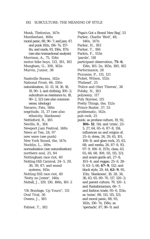Monk, Thelonius, 147n Montherlant, 168n moral panic, 88, 96–7; and jazz, 47; and punk 142n, 156–7n, 157– 8n; and mods, 93, 156n, 157n (*see also* transactional analysis) Morrison, A., 75, 154n motor-bike boys, 113, 181, 182 Mungham, G., 108, 162n Murvin, Junior, 38 Nashville Rooms, 142n National Front, 66, 150n naturalization, 12–13, 14, 16, 18, 19, 90–1; and clothing, 100–2; subculture as resistance to, 18, 90–2, 123 (*see also* common sense, ideology) Navarro, Fats, 146n negritude, 31, 37 (*see also* ethnicity, blackness) Nettleford, R., 185 Neville, R., 184 Newport Jazz Festival, 148n *News at Ten*, 24, 97 new wave (*see* punk) New York Sound, the, 147n Nochlin, L., 149n normalization (*see* naturalization) northern soul, 25, 84 Nottingham race riot, 40 Notting Hill Carnival, 24–5, 29, 36, 39, 87; and sound systems, 145n Notting Hill race riot, 40 'Notty no Jester', 146n Nuttall, J., 129, 130, 166n, 181–2 'Oh Bondage, Up Yours!', 115 Oval Trial, 36 Owens, J., 185 Palmer, T., 182

'Papa's Got a Brand New Bag', 53 Parker, Charlie 'Bird', 48, 146n, 147n Parker, H., 183 Parker, T., 186 Parkin, F., 153n 'parole', 118 participant observation, **75–6**, 154n, 161–2n, 165n, 180, 182 *Performance*, 28 Picconne, P., 115, 121 Picket, Wilson, 152n 'Pinhead', 25 'Police and (the) Thieves', 38 Polsky, N., 183 polysemy, 117 Poly Styrene, 115 Pretty Things, the, 152n Prince Buster, 37, 53 problematic, 142n pub rock, 25 punk: as profane culture, 19, 92, **106–12**, 114; and 'crisis', 23– 5, 27, 64, 65–6, 87–8, 114; influences on and origins of, 25–6; dress, 26, 29, 65, 101, 106–8; and glam rock, 25, 63, 68; and media, 26, 87–8, 93, 97–9, 106–8, 157n; class, 63, 65, 66, 68, 108, 111, 115, 121; and avant-garde art, 27–8, 103–4; and reggae, 25–6, 28– 9, 63–5, 66, **67–9**, 132; and black style, 29, 44, **62–9**, 95, 151n; 'blankness', 18, 28, 34, 36, 63, 65, 69–70, 117, 120–2; and parent culture, 79, 120–1; and Rastafarianism, 66–7; and fashion trade, 95–6, 151n; as 'noise', 88, 113, 115, 121; and moral panic, 88, 93, 142n, 156–7n, 158n; as 'spectacle', 87, 96–9; and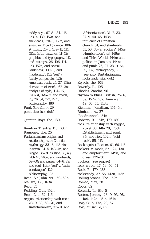teddy boys, 67, 81, 84, 116, 123–4, 130, 157n; and skinheads, 120–1, 166n; and swastika, 116–17; dance, 108– 9; music, 25–6, 109–11, 114, 151n, 161n; fanzines, 11–12; graphics and typography, 112; and 'cut-ups', 26, 106, 114, 123, 152n; and sexual 'kinkiness', 107–8; and 'modernity', 115; 'real' v. 'safety pin people', 122; American punk, 25, 27, 152n; derivation of word, 162–3n; analysis of style, **114–17**, **120–4, 126–7**; and mods, 25, 26, 64, 123, 157n; bibliography, 186 *Punk* (the film), 29 punk dub (*see* dub)

Quinton Boys, the, 180–1

Rainbow Theatre, 110, 160n Ramones, The, 25 Rastafarianism: origins and relationship with Christian mythology, **33–5**, 143–4n; insignia, 34–5, 143–4n; and reggae, **35–9**; as style, 36, 43, 143–4n, 146n; and skinheads, 59–60; and punks, 64–6, 29; and soul, 143n; 'real' v. 'rasta bandwagon', 122; bibliography, 185 Read, Sir John, 99, 159–60n realism, 118, 163n Reco, 35 Redding, Otis, 152n

- Reed, Lou, 62, 116
- reggae: relationship with rock, 28–9, 30, 68–70; and Rastafarianism, **35–9**; and

'Africanization', 31–2, 33, 37–9, 40, 65, 143n; influence of Christian church, 31; and skinheads, 55, 56, 58–9; 'rockers', 145n; 'Humble Lion', 43, 146n; and Third World, 144n; and politics in Jamaica, 144n; and punk, 26, 27, 28–9, 64, 69, 132, bibliography, 185 (*see also*, Rastafarianism, rocksteady, ska, dub) Rejects, the, 109 Reverdy, P., 105 Rhodes, Zandra, 96 rhythm 'n blues: British, 25–6, 69, 152n, 182; American, 42, 50, 55, 143n Richman, Jonathan, 154–5n Rimbaud, A., 27 'Roadrunner', 154n Roberts, B., 154n, 179, 180 rock: relationship with reggae, 28–9, 30, **68–70**; Rock Establishment and punk, 87; and riot, 162n; 'acid rock', 55, 113 Rock against Racism, 61, 66, 116 rockers: v. mods, 52, 124, 130; and employment, 149n; and dress, 129–30 'rockers' (*see* reggae) rock 'n roll, 47, 49, 50, 51 Rock, P., 179, 183 rocksteady, 37, 55, 143n, 145n Rolling Stones, The, 152n Romeo, Max, 38 *Roots*, 62 Roszack, T., 184–5 Rotten, Johnny, 28–9, 93, 98, 109, 142n, 151n, 161n Roxy Club, The, 29, 67 Roxy Music, 61, 62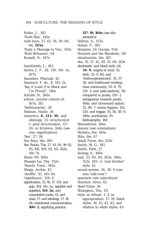#### 194 SUBCULTURE: THE MEANING OF STYLE

Rubin, J., 185 'Rude Boy', 145n rude boys, 37, 43, 56, 59, 60, 64, **145n** 'Rudy a Message to You', 145n 'Rule Britannia', 64 Russell, R., 147n Sandilands, J., 183 Sartre, J. P., 28, 139, 150–1n, 167n Saunders, Pharoah, 42 Saussure, F. de., 8, 141–2n 'Say it Loud (I'm Black and I'm Proud)', 146n Scholte, B., 166n school, counter-culture of, 167n, 181 'Seditionaries', 28 Selassie, Haille, 34 semiotics, **8, 141–30**; and ideology, 13; structuralist v. post-structuralist, 117– 20; in Kristeva, 164n (*see also* signification) 'Sex', 27, 28 Sex Boys, the, 180 Sex Pistols, The, 27, 61, 64, 90 92, 93, 106, 109, 111, 112, 142n, 156–7n Sham '69, 166n Shangri-las, The, 152n 'Shanty Town', 145n Shepp, Archie, 42 'shuffle', 41, 145–6n 'signifiance', 124–6 signification, 13, 16, 17, 133; and sign, 104, 141–2n; signifier and signified, **141–2n**; and connotative codes, 13; and class, 17; and ideology, 17, 18, 44; intentional communication, **100–2**; signifying practice,

**117–19; 164n** (*see also* semiotics) Sillitoe, A., 153n Simon, P., 185 Simpson, Dr George, 151n Siouxsie and the Banshees, 110 situationists, the, 185 ska, 35, 37, 42, 49, 55, 69, 143n skinheads: and black style, 44, **54–9**; origins in mod, 55; style, 55–9, 64; and 'embourgeoisement', 55, 57, 58; and traditional working class community, 55–8, 79, 120–1; and 'paki-bashing', 58; compared to punks, 120–1; antagonism towards punks, 166n; and 'downward option', 55, 86–7; versus hippies, 124, 130; and reggae, 55, 56, 58–9, 166n; puritanism, 55; bibliography, 184 Skrewdriver, 166n slavery (*see* colonialism) Slickers, the, 145n Slits, the, 67 Small Faces, the, 152n Smith, M. G., 185 Smith, Patti, 27 Sontag, S., 168n soul, 53, 60, 69, 143n, 146n, 152n, 182–3; 'soul brother' style, 42 sound-system, 36, 38–9 (*see also* 'talk-over') spectacle (*see* subculture) Stardust, Alvin, 62 Steel Pulse, 30 Stranglers, The, 111 style: as refusal, 1–3; as appropriation, 17–19; black styles, 36, 41, 42, 43; and relation to white styles, 43–